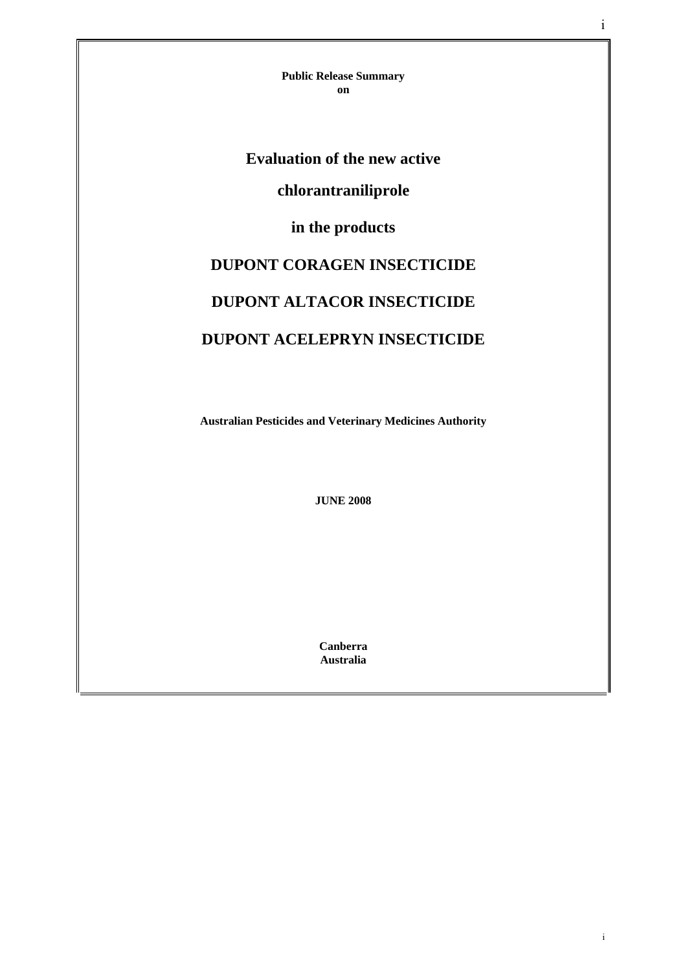**Public Release Summary on** 

# **Evaluation of the new active**

# **chlorantraniliprole**

# **in the products**

# **DUPONT CORAGEN INSECTICIDE DUPONT ALTACOR INSECTICIDE DUPONT ACELEPRYN INSECTICIDE**

**Australian Pesticides and Veterinary Medicines Authority** 

**JUNE 2008** 

**Canberra Australia** 

i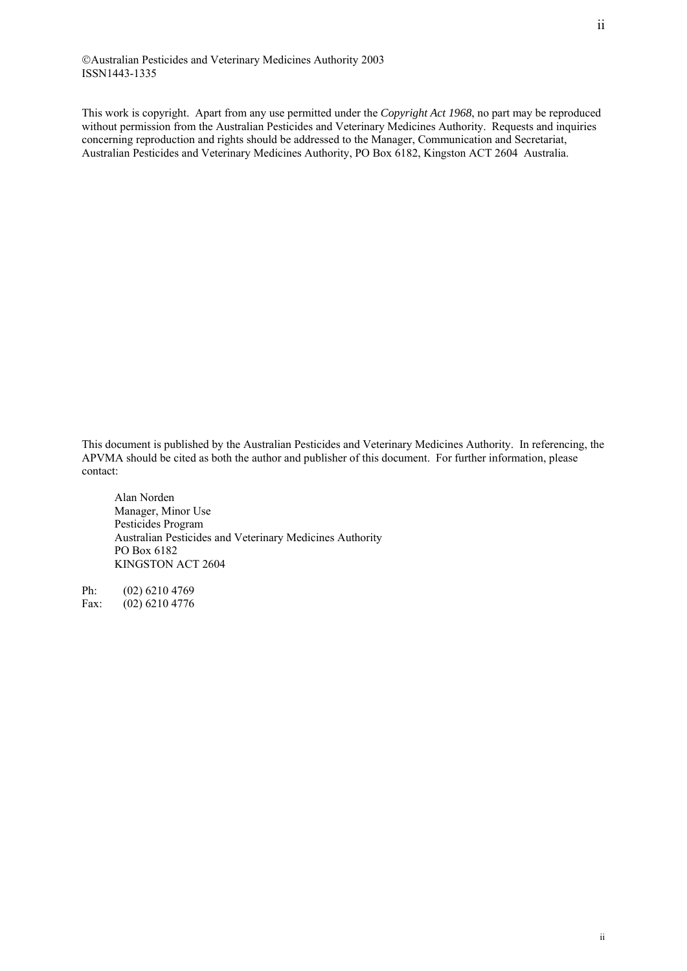©Australian Pesticides and Veterinary Medicines Authority 2003 ISSN1443-1335

This work is copyright. Apart from any use permitted under the *Copyright Act 1968*, no part may be reproduced without permission from the Australian Pesticides and Veterinary Medicines Authority. Requests and inquiries concerning reproduction and rights should be addressed to the Manager, Communication and Secretariat, Australian Pesticides and Veterinary Medicines Authority, PO Box 6182, Kingston ACT 2604 Australia.

This document is published by the Australian Pesticides and Veterinary Medicines Authority. In referencing, the APVMA should be cited as both the author and publisher of this document. For further information, please contact:

Alan Norden Manager, Minor Use Pesticides Program Australian Pesticides and Veterinary Medicines Authority PO Box 6182 KINGSTON ACT 2604

Ph: (02) 6210 4769 Fax: (02) 6210 4776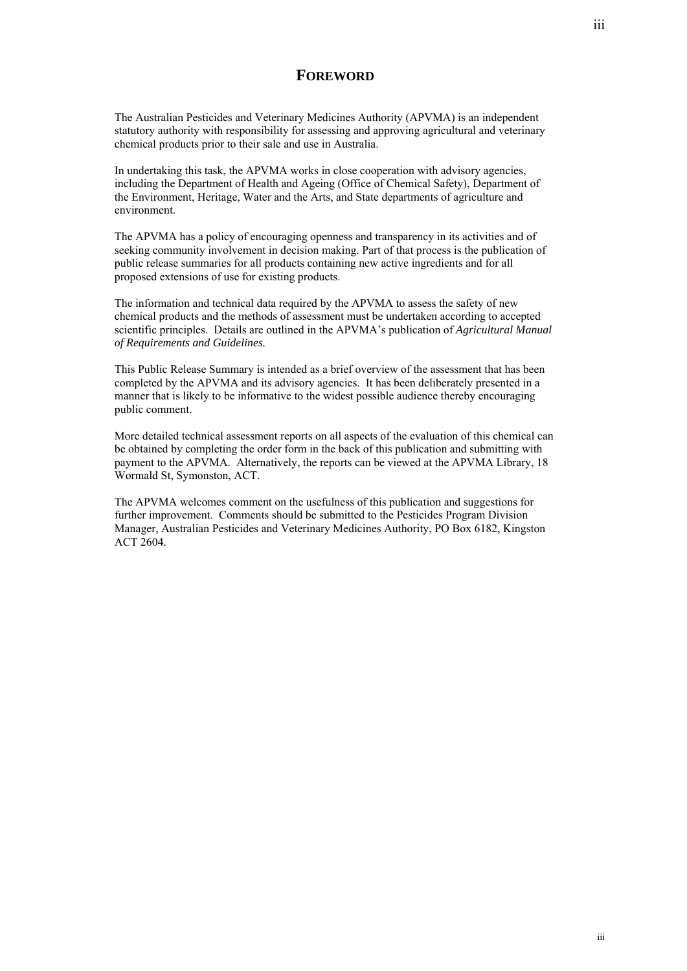## **FOREWORD**

The Australian Pesticides and Veterinary Medicines Authority (APVMA) is an independent statutory authority with responsibility for assessing and approving agricultural and veterinary chemical products prior to their sale and use in Australia.

In undertaking this task, the APVMA works in close cooperation with advisory agencies, including the Department of Health and Ageing (Office of Chemical Safety), Department of the Environment, Heritage, Water and the Arts, and State departments of agriculture and environment.

The APVMA has a policy of encouraging openness and transparency in its activities and of seeking community involvement in decision making. Part of that process is the publication of public release summaries for all products containing new active ingredients and for all proposed extensions of use for existing products.

The information and technical data required by the APVMA to assess the safety of new chemical products and the methods of assessment must be undertaken according to accepted scientific principles. Details are outlined in the APVMA's publication of *Agricultural Manual of Requirements and Guidelines.*

This Public Release Summary is intended as a brief overview of the assessment that has been completed by the APVMA and its advisory agencies. It has been deliberately presented in a manner that is likely to be informative to the widest possible audience thereby encouraging public comment.

More detailed technical assessment reports on all aspects of the evaluation of this chemical can be obtained by completing the order form in the back of this publication and submitting with payment to the APVMA. Alternatively, the reports can be viewed at the APVMA Library, 18 Wormald St, Symonston, ACT.

The APVMA welcomes comment on the usefulness of this publication and suggestions for further improvement. Comments should be submitted to the Pesticides Program Division Manager, Australian Pesticides and Veterinary Medicines Authority, PO Box 6182, Kingston ACT 2604.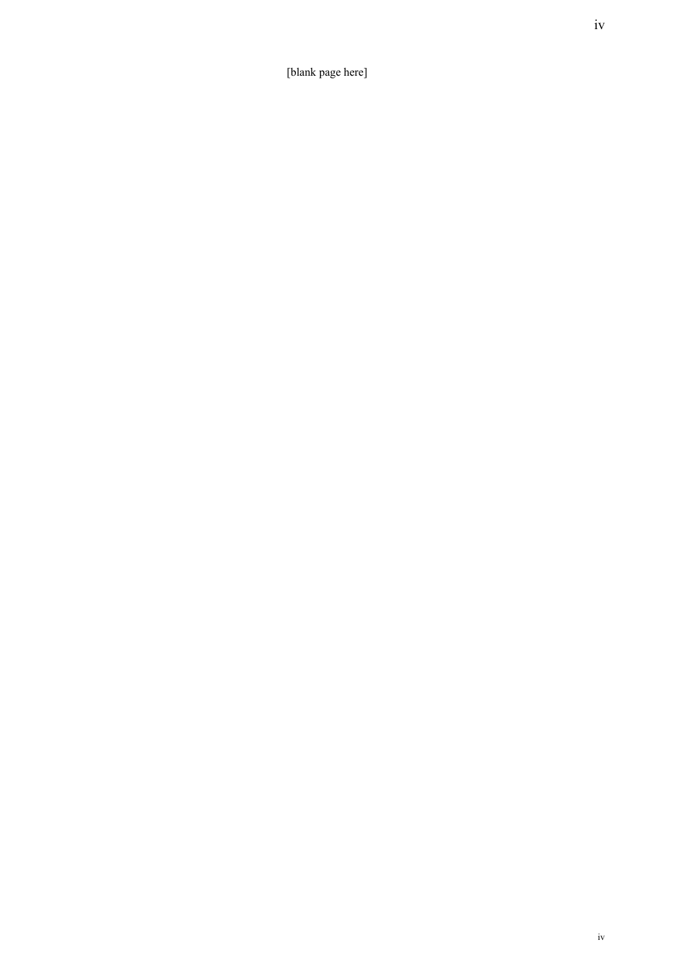[blank page here]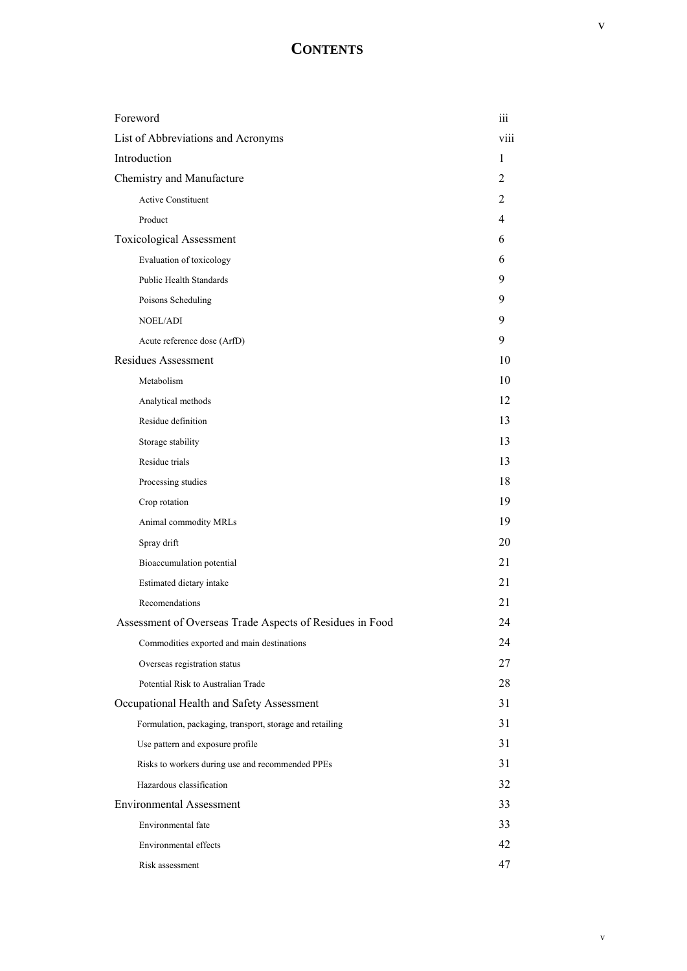# **CONTENTS**

| Foreword                                                 | iii            |
|----------------------------------------------------------|----------------|
| List of Abbreviations and Acronyms                       | viii           |
| Introduction                                             | 1              |
| Chemistry and Manufacture                                | $\overline{2}$ |
| <b>Active Constituent</b>                                | 2              |
| Product                                                  | 4              |
| <b>Toxicological Assessment</b>                          | 6              |
| Evaluation of toxicology                                 | 6              |
| Public Health Standards                                  | 9              |
| Poisons Scheduling                                       | 9              |
| <b>NOEL/ADI</b>                                          | 9              |
| Acute reference dose (ArfD)                              | 9              |
| <b>Residues Assessment</b>                               | 10             |
| Metabolism                                               | 10             |
| Analytical methods                                       | 12             |
| Residue definition                                       | 13             |
| Storage stability                                        | 13             |
| Residue trials                                           | 13             |
| Processing studies                                       | 18             |
| Crop rotation                                            | 19             |
| Animal commodity MRLs                                    | 19             |
| Spray drift                                              | 20             |
| Bioaccumulation potential                                | 21             |
| Estimated dietary intake                                 | 21             |
| Recomendations                                           | 21             |
| Assessment of Overseas Trade Aspects of Residues in Food | 24             |
| Commodities exported and main destinations               | 24             |
| Overseas registration status                             | 27             |
| Potential Risk to Australian Trade                       | 28             |
| Occupational Health and Safety Assessment                | 31             |
| Formulation, packaging, transport, storage and retailing | 31             |
| Use pattern and exposure profile                         | 31             |
| Risks to workers during use and recommended PPEs         | 31             |
| Hazardous classification                                 | 32             |
| <b>Environmental Assessment</b>                          | 33             |
| Environmental fate                                       | 33             |
| Environmental effects                                    | 42             |
| Risk assessment                                          | 47             |

v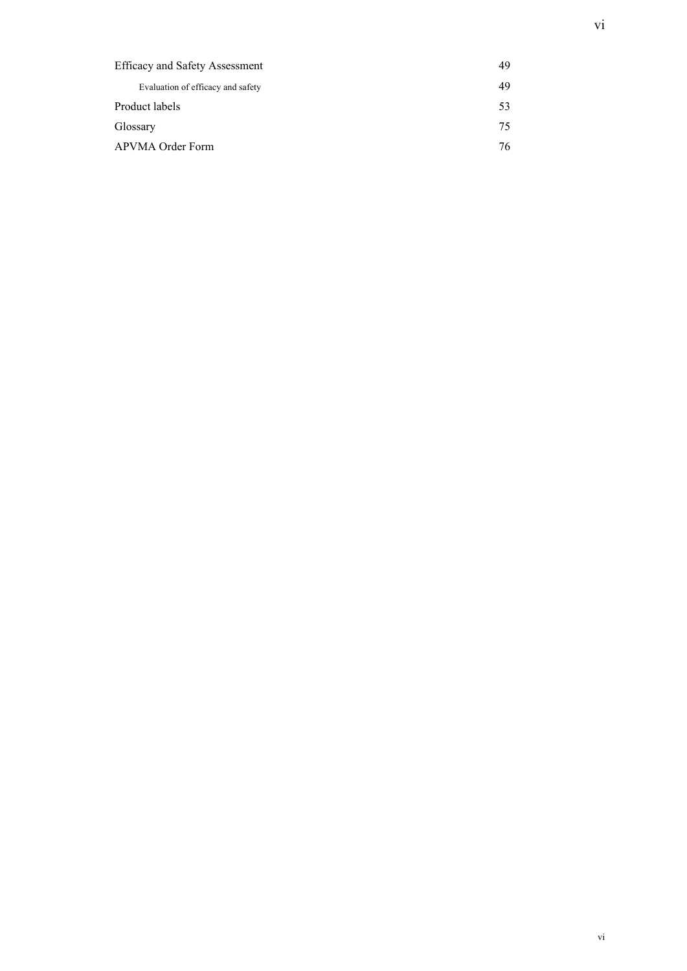| <b>Efficacy and Safety Assessment</b> | 49 |
|---------------------------------------|----|
| Evaluation of efficacy and safety     | 49 |
| Product labels                        | 53 |
| Glossary                              | 75 |
| APVMA Order Form                      | 76 |
|                                       |    |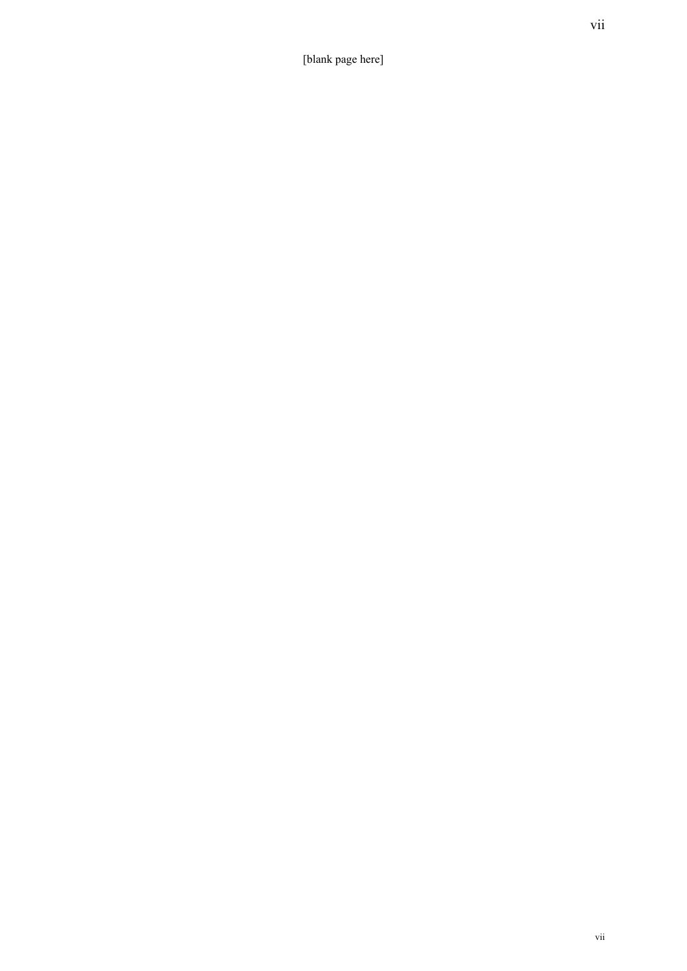[blank page here]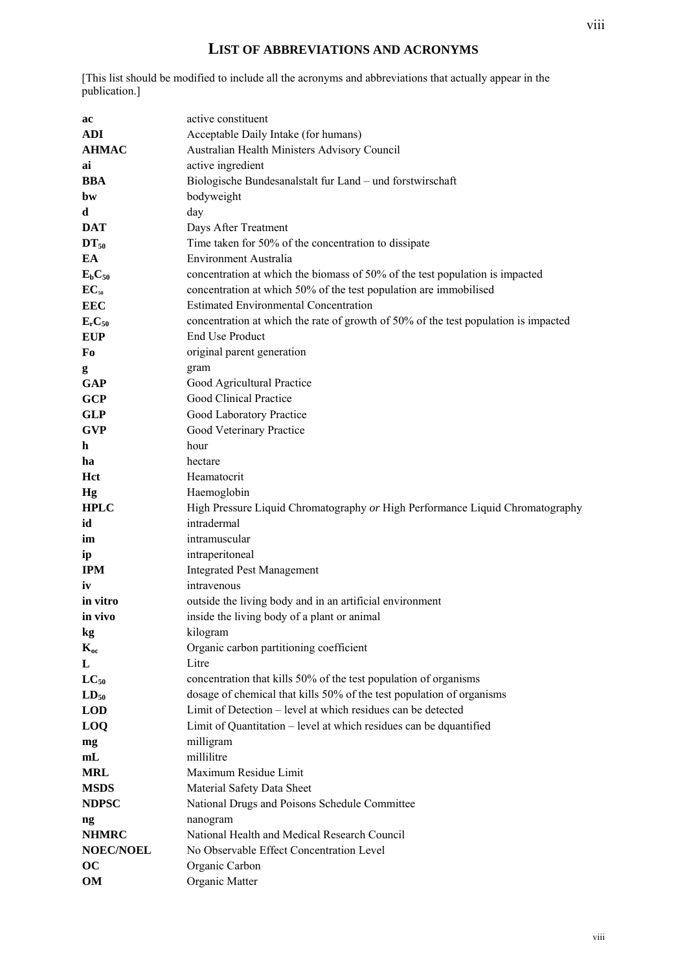# **LIST OF ABBREVIATIONS AND ACRONYMS**

[This list should be modified to include all the acronyms and abbreviations that actually appear in the publication.]

| ac                             | active constituent                                                                  |
|--------------------------------|-------------------------------------------------------------------------------------|
| <b>ADI</b>                     | Acceptable Daily Intake (for humans)                                                |
| <b>AHMAC</b>                   | Australian Health Ministers Advisory Council                                        |
| ai                             | active ingredient                                                                   |
| <b>BBA</b>                     | Biologische Bundesanalstalt fur Land - und forstwirschaft                           |
| bw                             | bodyweight                                                                          |
| d                              | day                                                                                 |
| <b>DAT</b>                     | Days After Treatment                                                                |
| $DT_{50}$                      | Time taken for 50% of the concentration to dissipate                                |
| EA                             | <b>Environment Australia</b>                                                        |
| $E_bC_{50}$                    | concentration at which the biomass of 50% of the test population is impacted        |
| $EC_{50}$                      | concentration at which 50% of the test population are immobilised                   |
| <b>EEC</b>                     | <b>Estimated Environmental Concentration</b>                                        |
| E <sub>r</sub> C <sub>50</sub> | concentration at which the rate of growth of 50% of the test population is impacted |
| <b>EUP</b>                     | <b>End Use Product</b>                                                              |
| Fo                             | original parent generation                                                          |
| g                              | gram                                                                                |
| <b>GAP</b>                     | Good Agricultural Practice                                                          |
| <b>GCP</b>                     | Good Clinical Practice                                                              |
| <b>GLP</b>                     | Good Laboratory Practice                                                            |
| <b>GVP</b>                     | Good Veterinary Practice                                                            |
| h                              | hour                                                                                |
| ha                             | hectare                                                                             |
| Hct                            | Heamatocrit                                                                         |
| Hg                             | Haemoglobin                                                                         |
| <b>HPLC</b>                    | High Pressure Liquid Chromatography or High Performance Liquid Chromatography       |
| id                             | intradermal                                                                         |
| im                             | intramuscular                                                                       |
| ip                             | intraperitoneal                                                                     |
| <b>IPM</b>                     | <b>Integrated Pest Management</b>                                                   |
| iv                             | intravenous                                                                         |
| in vitro                       | outside the living body and in an artificial environment                            |
| in vivo                        | inside the living body of a plant or animal                                         |
| $\mathbf{kg}$                  | kilogram                                                                            |
| $K_{oc}$                       | Organic carbon partitioning coefficient                                             |
| L                              | Litre                                                                               |
| $LC_{50}$                      | concentration that kills 50% of the test population of organisms                    |
| $LD_{50}$                      | dosage of chemical that kills 50% of the test population of organisms               |
| <b>LOD</b>                     | Limit of Detection – level at which residues can be detected                        |
| LOQ                            | Limit of Quantitation – level at which residues can be dquantified                  |
| mg                             | milligram                                                                           |
| mL                             | millilitre                                                                          |
| MRL                            | Maximum Residue Limit                                                               |
| <b>MSDS</b>                    | Material Safety Data Sheet                                                          |
| <b>NDPSC</b>                   | National Drugs and Poisons Schedule Committee                                       |
| ng                             | nanogram                                                                            |
| <b>NHMRC</b>                   | National Health and Medical Research Council                                        |
| <b>NOEC/NOEL</b>               | No Observable Effect Concentration Level                                            |
| oc                             | Organic Carbon                                                                      |
| <b>OM</b>                      | Organic Matter                                                                      |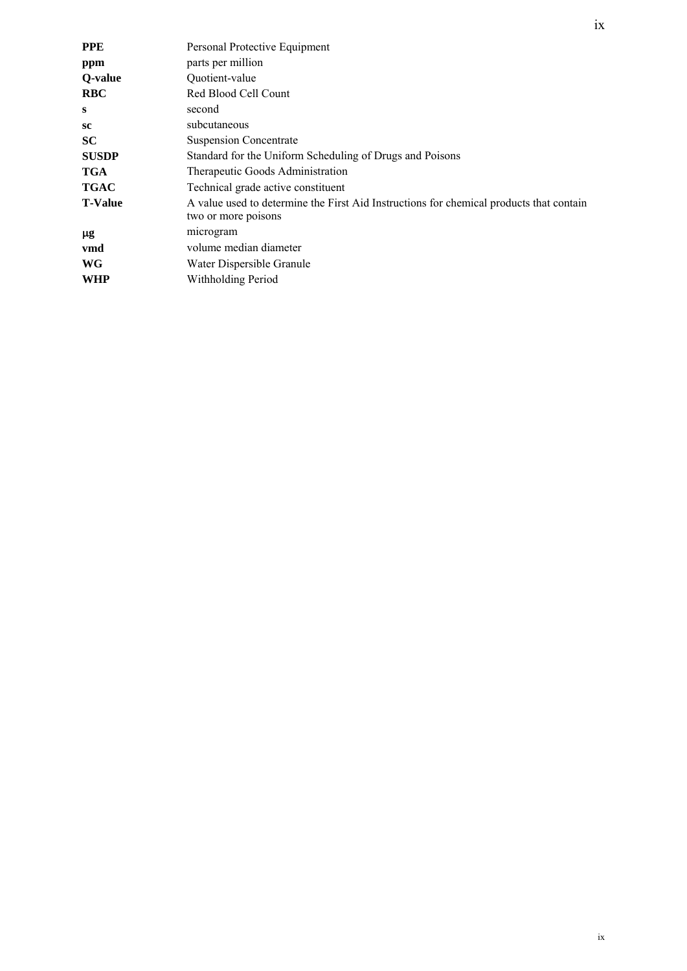| <b>PPE</b>     | Personal Protective Equipment                                                                                  |
|----------------|----------------------------------------------------------------------------------------------------------------|
| ppm            | parts per million                                                                                              |
| Q-value        | Quotient-value                                                                                                 |
| <b>RBC</b>     | Red Blood Cell Count                                                                                           |
| S              | second                                                                                                         |
| sc             | subcutaneous                                                                                                   |
| <b>SC</b>      | <b>Suspension Concentrate</b>                                                                                  |
| <b>SUSDP</b>   | Standard for the Uniform Scheduling of Drugs and Poisons                                                       |
| <b>TGA</b>     | Therapeutic Goods Administration                                                                               |
| <b>TGAC</b>    | Technical grade active constituent                                                                             |
| <b>T-Value</b> | A value used to determine the First Aid Instructions for chemical products that contain<br>two or more poisons |
| μg             | microgram                                                                                                      |
| vmd            | volume median diameter                                                                                         |
| WG             | Water Dispersible Granule                                                                                      |
| WHP            | Withholding Period                                                                                             |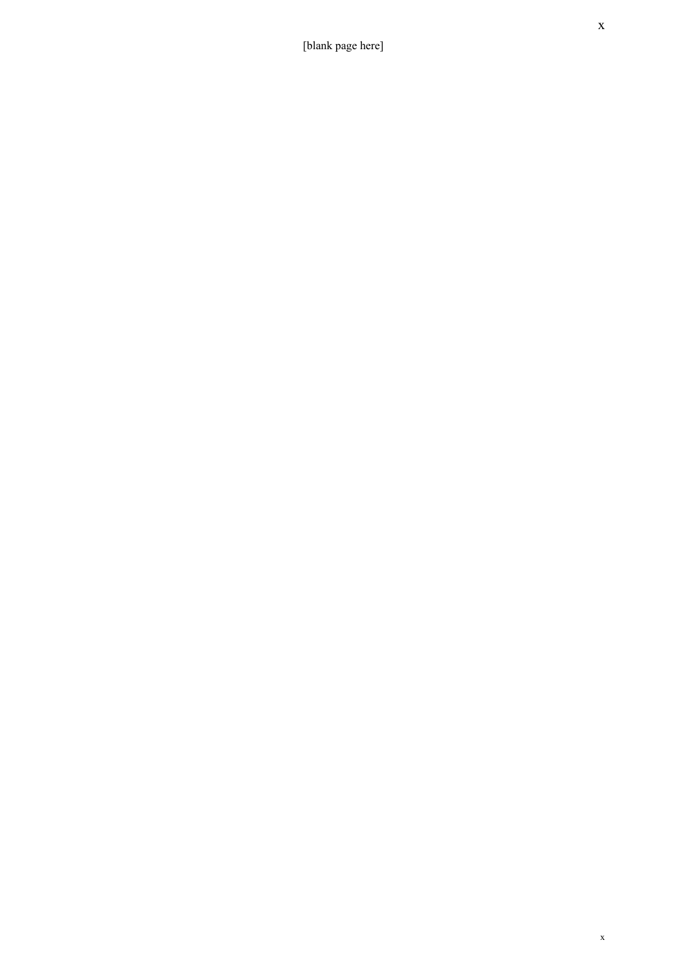[blank page here]

x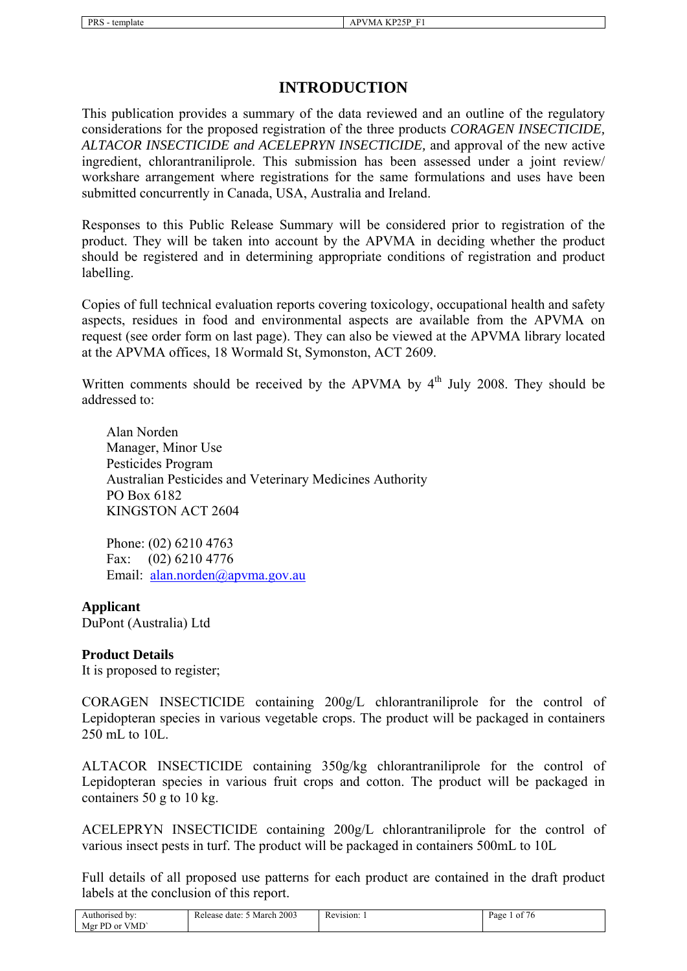# **INTRODUCTION**

This publication provides a summary of the data reviewed and an outline of the regulatory considerations for the proposed registration of the three products *CORAGEN INSECTICIDE, ALTACOR INSECTICIDE and ACELEPRYN INSECTICIDE,* and approval of the new active ingredient, chlorantraniliprole. This submission has been assessed under a joint review/ workshare arrangement where registrations for the same formulations and uses have been submitted concurrently in Canada, USA, Australia and Ireland.

Responses to this Public Release Summary will be considered prior to registration of the product. They will be taken into account by the APVMA in deciding whether the product should be registered and in determining appropriate conditions of registration and product labelling.

Copies of full technical evaluation reports covering toxicology, occupational health and safety aspects, residues in food and environmental aspects are available from the APVMA on request (see order form on last page). They can also be viewed at the APVMA library located at the APVMA offices, 18 Wormald St, Symonston, ACT 2609.

Written comments should be received by the APVMA by  $4<sup>th</sup>$  July 2008. They should be addressed to:

 Alan Norden Manager, Minor Use Pesticides Program Australian Pesticides and Veterinary Medicines Authority PO Box 6182 KINGSTON ACT 2604

 Phone: (02) 6210 4763 Fax: (02) 6210 4776 Email: [alan.norden@apvma.gov.au](mailto:alan.norden@apvma.gov.au) 

#### **Applicant**

DuPont (Australia) Ltd

#### **Product Details**

It is proposed to register;

CORAGEN INSECTICIDE containing 200g/L chlorantraniliprole for the control of Lepidopteran species in various vegetable crops. The product will be packaged in containers 250 mL to 10L.

ALTACOR INSECTICIDE containing 350g/kg chlorantraniliprole for the control of Lepidopteran species in various fruit crops and cotton. The product will be packaged in containers 50 g to 10 kg.

ACELEPRYN INSECTICIDE containing 200g/L chlorantraniliprole for the control of various insect pests in turf. The product will be packaged in containers 500mL to 10L

Full details of all proposed use patterns for each product are contained in the draft product labels at the conclusion of this report.

| Authorised by:                    | March 2003<br>Release date: | Revision: 1 | $\sim$ $-$<br>Page<br>- of<br>76 |
|-----------------------------------|-----------------------------|-------------|----------------------------------|
| <b>VMD</b><br>Mgr PD or $\lambda$ |                             |             |                                  |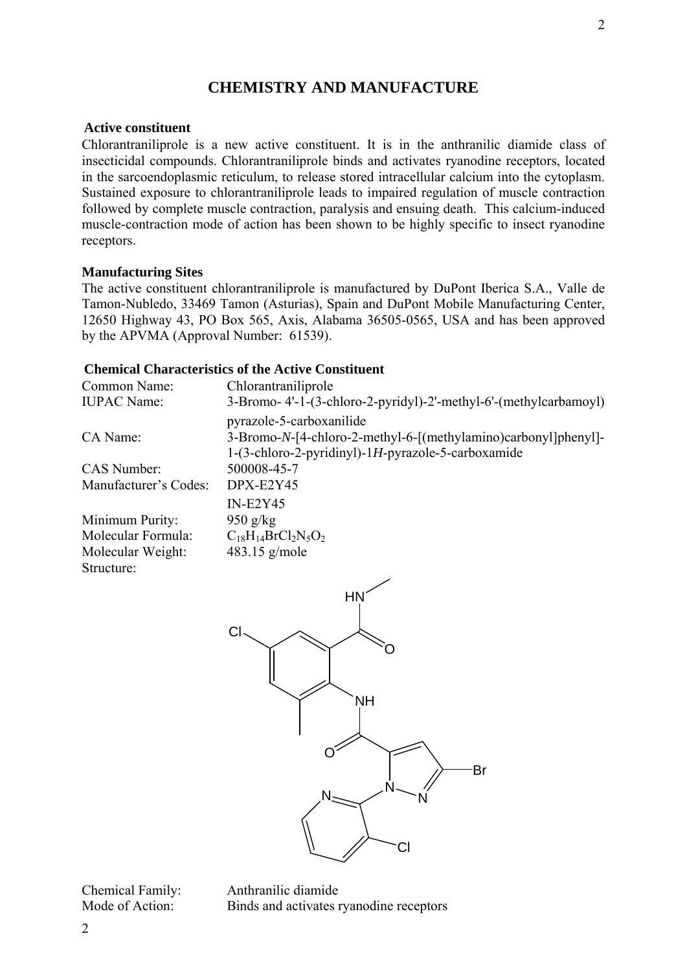# **CHEMISTRY AND MANUFACTURE**

# **Active constituent**

Chlorantraniliprole is a new active constituent. It is in the anthranilic diamide class of insecticidal compounds. Chlorantraniliprole binds and activates ryanodine receptors, located in the sarcoendoplasmic reticulum, to release stored intracellular calcium into the cytoplasm. Sustained exposure to chlorantraniliprole leads to impaired regulation of muscle contraction followed by complete muscle contraction, paralysis and ensuing death. This calcium-induced muscle-contraction mode of action has been shown to be highly specific to insect ryanodine receptors.

## **Manufacturing Sites**

The active constituent chlorantraniliprole is manufactured by DuPont Iberica S.A., Valle de Tamon-Nubledo, 33469 Tamon (Asturias), Spain and DuPont Mobile Manufacturing Center, 12650 Highway 43, PO Box 565, Axis, Alabama 36505-0565, USA and has been approved by the APVMA (Approval Number: 61539).

# **Chemical Characteristics of the Active Constituent**

| Common Name:          | Chlorantraniliprole                                              |
|-----------------------|------------------------------------------------------------------|
| <b>IUPAC</b> Name:    | 3-Bromo-4'-1-(3-chloro-2-pyridyl)-2'-methyl-6'-(methylcarbamoyl) |
|                       | pyrazole-5-carboxanilide                                         |
| CA Name:              | 3-Bromo-N-[4-chloro-2-methyl-6-[(methylamino)carbonyl]phenyl]-   |
|                       | 1-(3-chloro-2-pyridinyl)-1H-pyrazole-5-carboxamide               |
| <b>CAS</b> Number:    | 500008-45-7                                                      |
| Manufacturer's Codes: | DPX-E2Y45                                                        |
|                       | $IN-E2Y45$                                                       |
| Minimum Purity:       | $950$ g/kg                                                       |
| Molecular Formula:    | $C_{18}H_{14}BrCl_2N_5O_2$                                       |
| Molecular Weight:     | $483.15$ g/mole                                                  |
| Structure:            |                                                                  |



Chemical Family: Anthranilic diamide Mode of Action: Binds and activates ryanodine receptors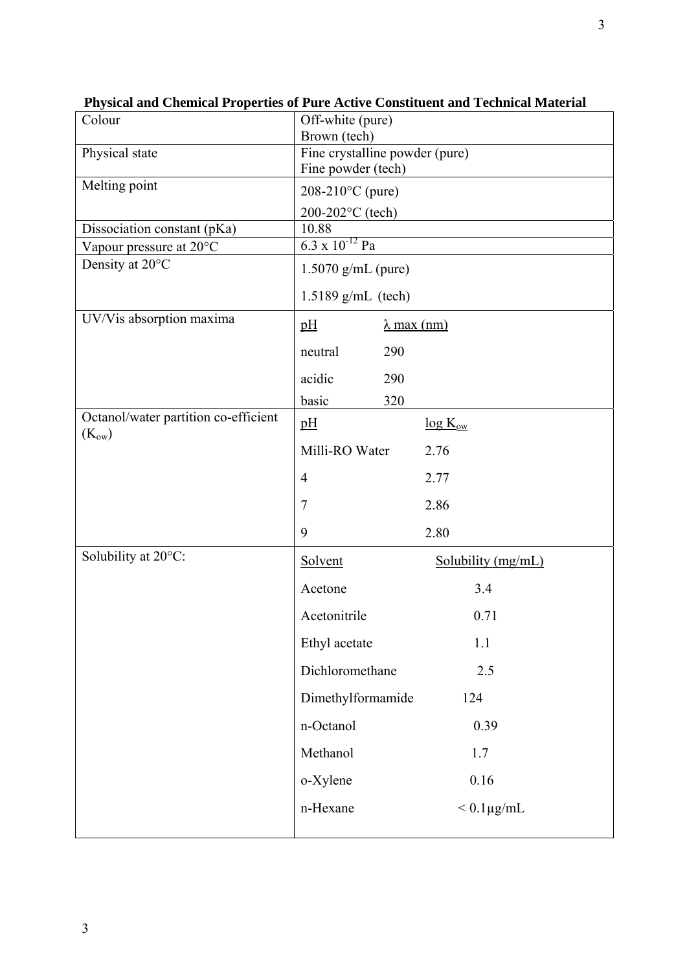| Colour                                             | Off-white (pure)               |                    |
|----------------------------------------------------|--------------------------------|--------------------|
|                                                    | Brown (tech)                   |                    |
| Physical state                                     | Fine crystalline powder (pure) |                    |
|                                                    | Fine powder (tech)             |                    |
| Melting point                                      | $208-210$ °C (pure)            |                    |
|                                                    | 200-202°C (tech)               |                    |
| Dissociation constant (pKa)                        | 10.88                          |                    |
| Vapour pressure at 20°C                            | $6.3 \times 10^{-12}$ Pa       |                    |
| Density at 20°C                                    | $1.5070$ g/mL (pure)           |                    |
|                                                    | $1.5189$ g/mL (tech)           |                    |
| UV/Vis absorption maxima                           | pH                             | $\lambda$ max (nm) |
|                                                    | 290<br>neutral                 |                    |
|                                                    | acidic<br>290                  |                    |
|                                                    | basic<br>320                   |                    |
| Octanol/water partition co-efficient<br>$(K_{ow})$ | pH                             | $log K_{ow}$       |
|                                                    | Milli-RO Water                 | 2.76               |
|                                                    | $\overline{4}$                 | 2.77               |
|                                                    | 7                              | 2.86               |
|                                                    | 9                              | 2.80               |
| Solubility at 20°C:                                | Solvent                        | Solubility (mg/mL) |
|                                                    | Acetone                        | 3.4                |
|                                                    | Acetonitrile                   | 0.71               |
|                                                    | Ethyl acetate                  | 1.1                |
|                                                    | Dichloromethane                | 2.5                |
|                                                    | Dimethylformamide              | 124                |
|                                                    | n-Octanol                      | 0.39               |
|                                                    | Methanol                       | 1.7                |
|                                                    | o-Xylene                       | 0.16               |
|                                                    | n-Hexane                       | $< 0.1 \mu g/mL$   |
|                                                    |                                |                    |

**Physical and Chemical Properties of Pure Active Constituent and Technical Material**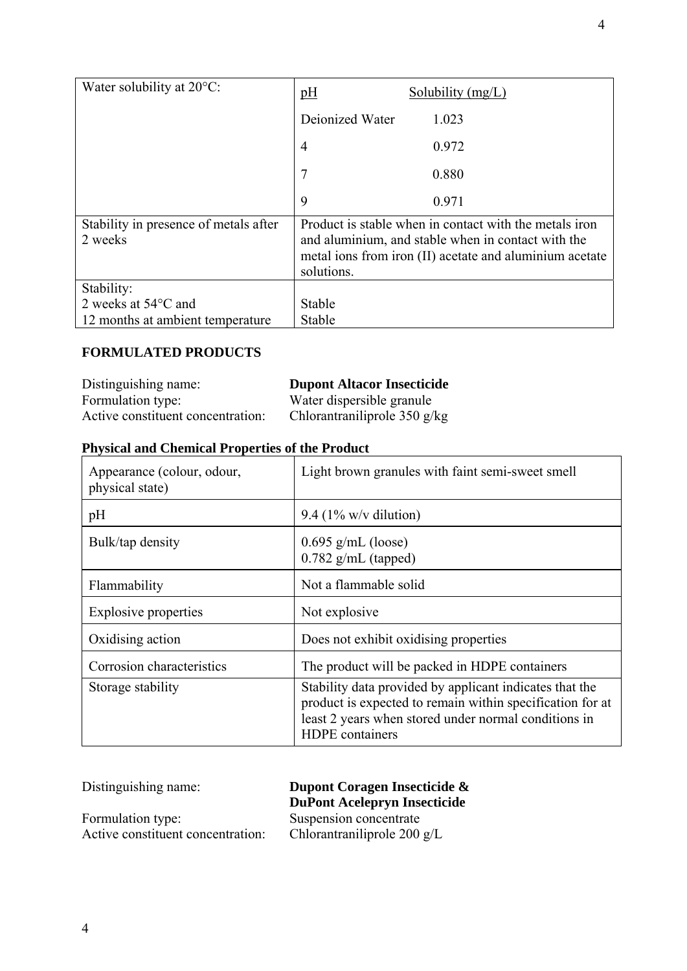| Water solubility at $20^{\circ}$ C:                                             | pH                                                                                                                                                                                    | Solubility $(mg/L)$ |
|---------------------------------------------------------------------------------|---------------------------------------------------------------------------------------------------------------------------------------------------------------------------------------|---------------------|
|                                                                                 | Deionized Water                                                                                                                                                                       | 1.023               |
|                                                                                 | $\overline{4}$                                                                                                                                                                        | 0.972               |
|                                                                                 | 7                                                                                                                                                                                     | 0.880               |
|                                                                                 | 9                                                                                                                                                                                     | 0.971               |
| Stability in presence of metals after<br>2 weeks                                | Product is stable when in contact with the metals iron<br>and aluminium, and stable when in contact with the<br>metal ions from iron (II) acetate and aluminium acetate<br>solutions. |                     |
| Stability:<br>2 weeks at $54^{\circ}$ C and<br>12 months at ambient temperature | Stable<br>Stable                                                                                                                                                                      |                     |

# **FORMULATED PRODUCTS**

| Distinguishing name:              | <b>Dupont Altacor Insecticide</b>                    |
|-----------------------------------|------------------------------------------------------|
| Formulation type:                 | Water dispersible granule                            |
| Active constituent concentration: | Chlorantraniliprole $350 \frac{\text{g}}{\text{kg}}$ |

# **Physical and Chemical Properties of the Product**

| Appearance (colour, odour,<br>physical state) | Light brown granules with faint semi-sweet smell                                                                                                                                                       |
|-----------------------------------------------|--------------------------------------------------------------------------------------------------------------------------------------------------------------------------------------------------------|
| pH                                            | 9.4 $(1\% \text{ w/v}$ dilution)                                                                                                                                                                       |
| Bulk/tap density                              | $0.695$ g/mL (loose)<br>$0.782$ g/mL (tapped)                                                                                                                                                          |
| Flammability                                  | Not a flammable solid                                                                                                                                                                                  |
| <b>Explosive properties</b>                   | Not explosive                                                                                                                                                                                          |
| Oxidising action                              | Does not exhibit oxidising properties                                                                                                                                                                  |
| Corrosion characteristics                     | The product will be packed in HDPE containers                                                                                                                                                          |
| Storage stability                             | Stability data provided by applicant indicates that the<br>product is expected to remain within specification for at<br>least 2 years when stored under normal conditions in<br><b>HDPE</b> containers |

Distinguishing name: **Dupont Coragen Insecticide & DuPont Acelepryn Insecticide**

Formulation type: Suspension concentrate<br>Active constituent concentration: Chlorantraniliprole 200 g/L Active constituent concentration: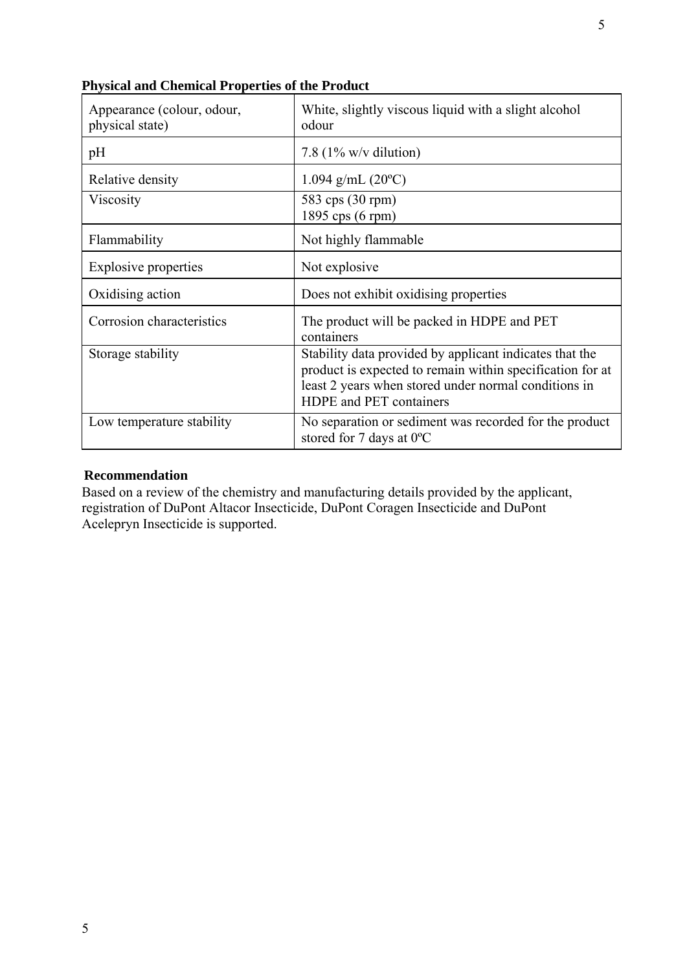| Appearance (colour, odour,<br>physical state) | White, slightly viscous liquid with a slight alcohol<br>odour                                                                                                                                           |
|-----------------------------------------------|---------------------------------------------------------------------------------------------------------------------------------------------------------------------------------------------------------|
| pH                                            | 7.8 $(1\% \text{ w/v} \text{ dilution})$                                                                                                                                                                |
| Relative density                              | $1.094$ g/mL $(20^{\circ}C)$                                                                                                                                                                            |
| Viscosity                                     | 583 cps (30 rpm)<br>1895 cps (6 rpm)                                                                                                                                                                    |
| Flammability                                  | Not highly flammable                                                                                                                                                                                    |
| <b>Explosive properties</b>                   | Not explosive                                                                                                                                                                                           |
| Oxidising action                              | Does not exhibit oxidising properties                                                                                                                                                                   |
| Corrosion characteristics                     | The product will be packed in HDPE and PET<br>containers                                                                                                                                                |
| Storage stability                             | Stability data provided by applicant indicates that the<br>product is expected to remain within specification for at<br>least 2 years when stored under normal conditions in<br>HDPE and PET containers |
| Low temperature stability                     | No separation or sediment was recorded for the product<br>stored for 7 days at $0^{\circ}$ C                                                                                                            |

**Physical and Chemical Properties of the Product**

# **Recommendation**

Based on a review of the chemistry and manufacturing details provided by the applicant, registration of DuPont Altacor Insecticide, DuPont Coragen Insecticide and DuPont Acelepryn Insecticide is supported.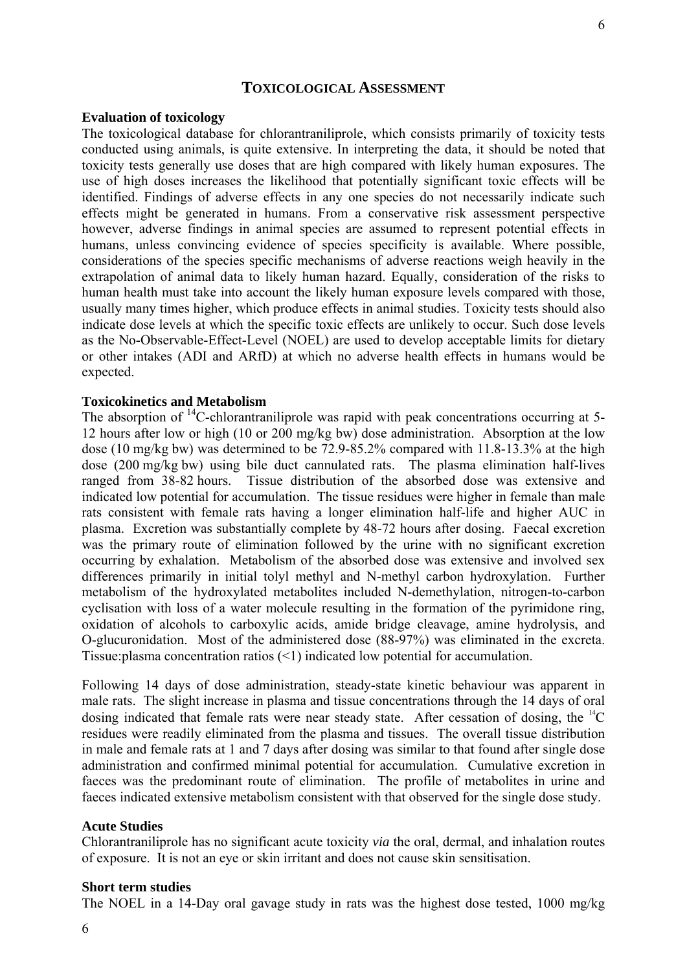## **TOXICOLOGICAL ASSESSMENT**

#### **Evaluation of toxicology**

The toxicological database for chlorantraniliprole, which consists primarily of toxicity tests conducted using animals, is quite extensive. In interpreting the data, it should be noted that toxicity tests generally use doses that are high compared with likely human exposures. The use of high doses increases the likelihood that potentially significant toxic effects will be identified. Findings of adverse effects in any one species do not necessarily indicate such effects might be generated in humans. From a conservative risk assessment perspective however, adverse findings in animal species are assumed to represent potential effects in humans, unless convincing evidence of species specificity is available. Where possible, considerations of the species specific mechanisms of adverse reactions weigh heavily in the extrapolation of animal data to likely human hazard. Equally, consideration of the risks to human health must take into account the likely human exposure levels compared with those, usually many times higher, which produce effects in animal studies. Toxicity tests should also indicate dose levels at which the specific toxic effects are unlikely to occur. Such dose levels as the No-Observable-Effect-Level (NOEL) are used to develop acceptable limits for dietary or other intakes (ADI and ARfD) at which no adverse health effects in humans would be expected.

#### **Toxicokinetics and Metabolism**

The absorption of  $^{14}$ C-chlorantraniliprole was rapid with peak concentrations occurring at 5-12 hours after low or high (10 or 200 mg/kg bw) dose administration. Absorption at the low dose (10 mg/kg bw) was determined to be 72.9-85.2% compared with 11.8-13.3% at the high dose (200 mg/kg bw) using bile duct cannulated rats. The plasma elimination half-lives ranged from 38-82 hours. Tissue distribution of the absorbed dose was extensive and indicated low potential for accumulation. The tissue residues were higher in female than male rats consistent with female rats having a longer elimination half-life and higher AUC in plasma. Excretion was substantially complete by 48-72 hours after dosing. Faecal excretion was the primary route of elimination followed by the urine with no significant excretion occurring by exhalation. Metabolism of the absorbed dose was extensive and involved sex differences primarily in initial tolyl methyl and N-methyl carbon hydroxylation. Further metabolism of the hydroxylated metabolites included N-demethylation, nitrogen-to-carbon cyclisation with loss of a water molecule resulting in the formation of the pyrimidone ring, oxidation of alcohols to carboxylic acids, amide bridge cleavage, amine hydrolysis, and O-glucuronidation. Most of the administered dose (88-97%) was eliminated in the excreta. Tissue:plasma concentration ratios (<1) indicated low potential for accumulation.

Following 14 days of dose administration, steady-state kinetic behaviour was apparent in male rats. The slight increase in plasma and tissue concentrations through the 14 days of oral dosing indicated that female rats were near steady state. After cessation of dosing, the  ${}^{14}C$ residues were readily eliminated from the plasma and tissues. The overall tissue distribution in male and female rats at 1 and 7 days after dosing was similar to that found after single dose administration and confirmed minimal potential for accumulation. Cumulative excretion in faeces was the predominant route of elimination. The profile of metabolites in urine and faeces indicated extensive metabolism consistent with that observed for the single dose study.

#### **Acute Studies**

Chlorantraniliprole has no significant acute toxicity *via* the oral, dermal, and inhalation routes of exposure. It is not an eye or skin irritant and does not cause skin sensitisation.

#### **Short term studies**

The NOEL in a 14-Day oral gavage study in rats was the highest dose tested, 1000 mg/kg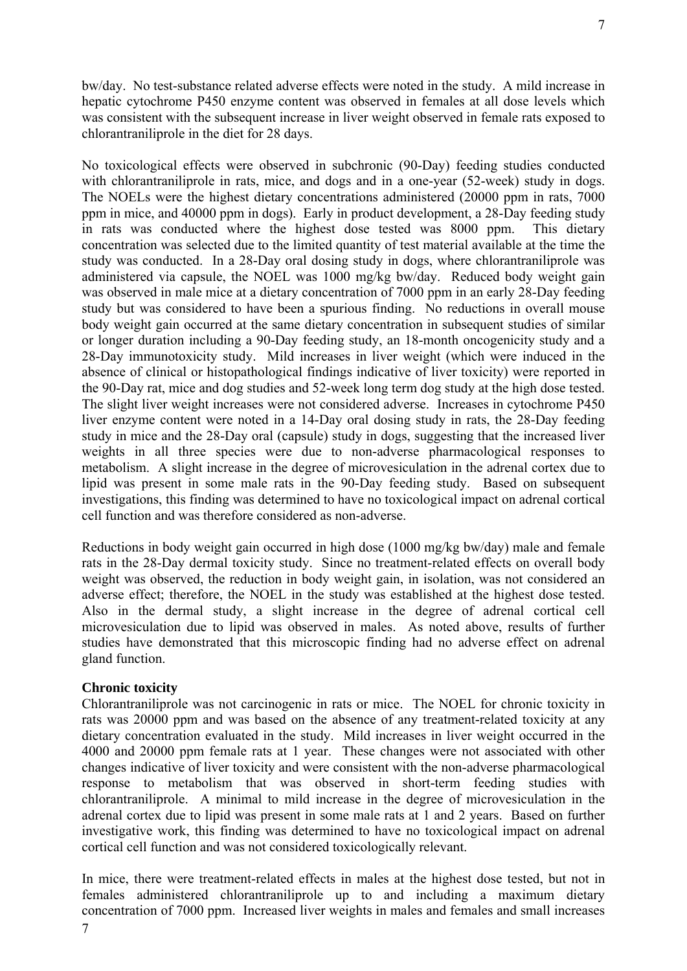bw/day. No test-substance related adverse effects were noted in the study. A mild increase in hepatic cytochrome P450 enzyme content was observed in females at all dose levels which was consistent with the subsequent increase in liver weight observed in female rats exposed to chlorantraniliprole in the diet for 28 days.

No toxicological effects were observed in subchronic (90-Day) feeding studies conducted with chlorantraniliprole in rats, mice, and dogs and in a one-year (52-week) study in dogs. The NOELs were the highest dietary concentrations administered (20000 ppm in rats, 7000 ppm in mice, and 40000 ppm in dogs). Early in product development, a 28-Day feeding study in rats was conducted where the highest dose tested was 8000 ppm. This dietary concentration was selected due to the limited quantity of test material available at the time the study was conducted. In a 28-Day oral dosing study in dogs, where chlorantraniliprole was administered via capsule, the NOEL was 1000 mg/kg bw/day. Reduced body weight gain was observed in male mice at a dietary concentration of 7000 ppm in an early 28-Day feeding study but was considered to have been a spurious finding. No reductions in overall mouse body weight gain occurred at the same dietary concentration in subsequent studies of similar or longer duration including a 90-Day feeding study, an 18-month oncogenicity study and a 28-Day immunotoxicity study. Mild increases in liver weight (which were induced in the absence of clinical or histopathological findings indicative of liver toxicity) were reported in the 90-Day rat, mice and dog studies and 52-week long term dog study at the high dose tested. The slight liver weight increases were not considered adverse. Increases in cytochrome P450 liver enzyme content were noted in a 14-Day oral dosing study in rats, the 28-Day feeding study in mice and the 28-Day oral (capsule) study in dogs, suggesting that the increased liver weights in all three species were due to non-adverse pharmacological responses to metabolism. A slight increase in the degree of microvesiculation in the adrenal cortex due to lipid was present in some male rats in the 90-Day feeding study. Based on subsequent investigations, this finding was determined to have no toxicological impact on adrenal cortical cell function and was therefore considered as non-adverse.

Reductions in body weight gain occurred in high dose (1000 mg/kg bw/day) male and female rats in the 28-Day dermal toxicity study. Since no treatment-related effects on overall body weight was observed, the reduction in body weight gain, in isolation, was not considered an adverse effect; therefore, the NOEL in the study was established at the highest dose tested. Also in the dermal study, a slight increase in the degree of adrenal cortical cell microvesiculation due to lipid was observed in males. As noted above, results of further studies have demonstrated that this microscopic finding had no adverse effect on adrenal gland function.

## **Chronic toxicity**

Chlorantraniliprole was not carcinogenic in rats or mice. The NOEL for chronic toxicity in rats was 20000 ppm and was based on the absence of any treatment-related toxicity at any dietary concentration evaluated in the study. Mild increases in liver weight occurred in the 4000 and 20000 ppm female rats at 1 year. These changes were not associated with other changes indicative of liver toxicity and were consistent with the non-adverse pharmacological response to metabolism that was observed in short-term feeding studies with chlorantraniliprole. A minimal to mild increase in the degree of microvesiculation in the adrenal cortex due to lipid was present in some male rats at 1 and 2 years. Based on further investigative work, this finding was determined to have no toxicological impact on adrenal cortical cell function and was not considered toxicologically relevant.

In mice, there were treatment-related effects in males at the highest dose tested, but not in females administered chlorantraniliprole up to and including a maximum dietary concentration of 7000 ppm. Increased liver weights in males and females and small increases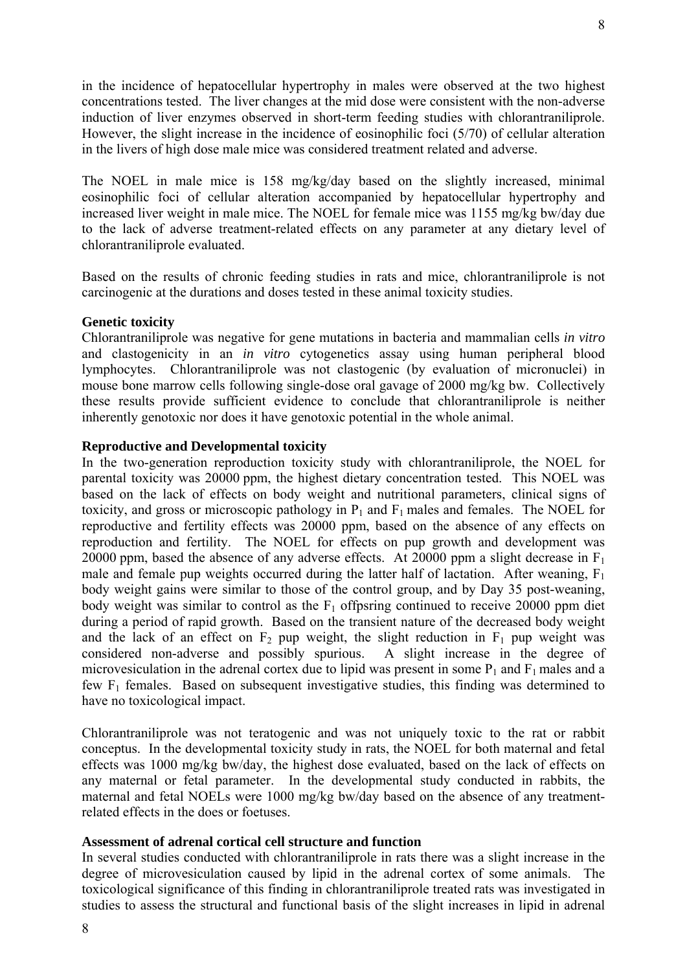in the incidence of hepatocellular hypertrophy in males were observed at the two highest concentrations tested. The liver changes at the mid dose were consistent with the non-adverse induction of liver enzymes observed in short-term feeding studies with chlorantraniliprole. However, the slight increase in the incidence of eosinophilic foci (5/70) of cellular alteration in the livers of high dose male mice was considered treatment related and adverse.

The NOEL in male mice is 158 mg/kg/day based on the slightly increased, minimal eosinophilic foci of cellular alteration accompanied by hepatocellular hypertrophy and increased liver weight in male mice. The NOEL for female mice was 1155 mg/kg bw/day due to the lack of adverse treatment-related effects on any parameter at any dietary level of chlorantraniliprole evaluated.

Based on the results of chronic feeding studies in rats and mice, chlorantraniliprole is not carcinogenic at the durations and doses tested in these animal toxicity studies.

## **Genetic toxicity**

Chlorantraniliprole was negative for gene mutations in bacteria and mammalian cells *in vitro* and clastogenicity in an *in vitro* cytogenetics assay using human peripheral blood lymphocytes. Chlorantraniliprole was not clastogenic (by evaluation of micronuclei) in mouse bone marrow cells following single-dose oral gavage of 2000 mg/kg bw. Collectively these results provide sufficient evidence to conclude that chlorantraniliprole is neither inherently genotoxic nor does it have genotoxic potential in the whole animal.

## **Reproductive and Developmental toxicity**

In the two-generation reproduction toxicity study with chlorantraniliprole, the NOEL for parental toxicity was 20000 ppm, the highest dietary concentration tested. This NOEL was based on the lack of effects on body weight and nutritional parameters, clinical signs of toxicity, and gross or microscopic pathology in  $P_1$  and  $F_1$  males and females. The NOEL for reproductive and fertility effects was 20000 ppm, based on the absence of any effects on reproduction and fertility. The NOEL for effects on pup growth and development was 20000 ppm, based the absence of any adverse effects. At 20000 ppm a slight decrease in  $F_1$ male and female pup weights occurred during the latter half of lactation. After weaning,  $F_1$ body weight gains were similar to those of the control group, and by Day 35 post-weaning, body weight was similar to control as the  $F_1$  offpsring continued to receive 20000 ppm diet during a period of rapid growth. Based on the transient nature of the decreased body weight and the lack of an effect on  $F_2$  pup weight, the slight reduction in  $F_1$  pup weight was considered non-adverse and possibly spurious. A slight increase in the degree of microvesiculation in the adrenal cortex due to lipid was present in some  $P_1$  and  $F_1$  males and a few  $F_1$  females. Based on subsequent investigative studies, this finding was determined to have no toxicological impact.

Chlorantraniliprole was not teratogenic and was not uniquely toxic to the rat or rabbit conceptus. In the developmental toxicity study in rats, the NOEL for both maternal and fetal effects was 1000 mg/kg bw/day, the highest dose evaluated, based on the lack of effects on any maternal or fetal parameter. In the developmental study conducted in rabbits, the maternal and fetal NOELs were 1000 mg/kg bw/day based on the absence of any treatmentrelated effects in the does or foetuses.

# **Assessment of adrenal cortical cell structure and function**

In several studies conducted with chlorantraniliprole in rats there was a slight increase in the degree of microvesiculation caused by lipid in the adrenal cortex of some animals. The toxicological significance of this finding in chlorantraniliprole treated rats was investigated in studies to assess the structural and functional basis of the slight increases in lipid in adrenal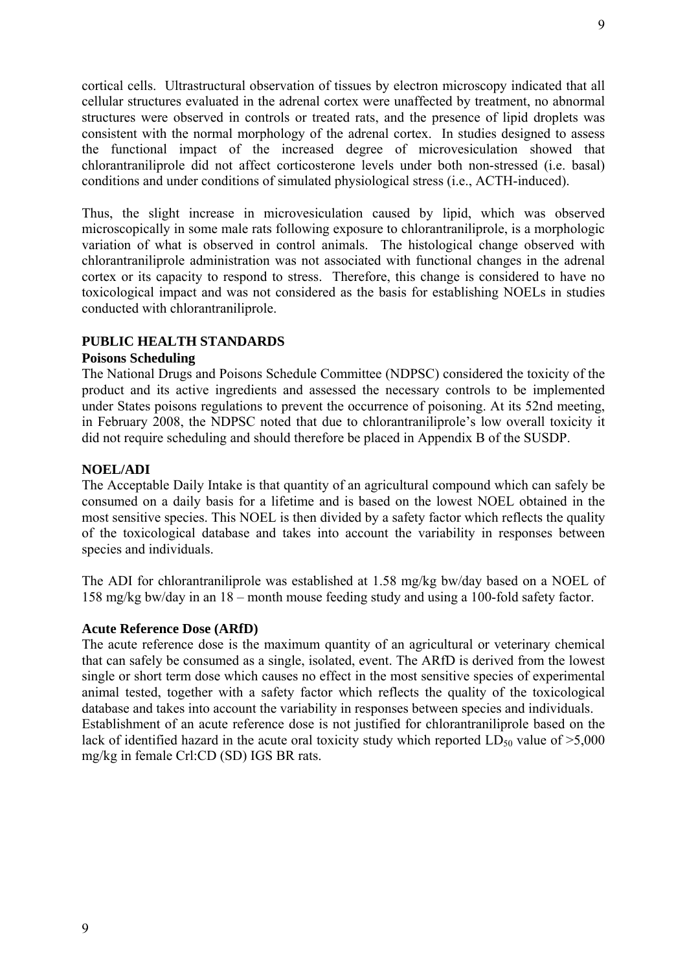cortical cells. Ultrastructural observation of tissues by electron microscopy indicated that all cellular structures evaluated in the adrenal cortex were unaffected by treatment, no abnormal structures were observed in controls or treated rats, and the presence of lipid droplets was consistent with the normal morphology of the adrenal cortex. In studies designed to assess the functional impact of the increased degree of microvesiculation showed that chlorantraniliprole did not affect corticosterone levels under both non-stressed (i.e. basal) conditions and under conditions of simulated physiological stress (i.e., ACTH-induced).

Thus, the slight increase in microvesiculation caused by lipid, which was observed microscopically in some male rats following exposure to chlorantraniliprole, is a morphologic variation of what is observed in control animals. The histological change observed with chlorantraniliprole administration was not associated with functional changes in the adrenal cortex or its capacity to respond to stress. Therefore, this change is considered to have no toxicological impact and was not considered as the basis for establishing NOELs in studies conducted with chlorantraniliprole.

# **PUBLIC HEALTH STANDARDS**

## **Poisons Scheduling**

The National Drugs and Poisons Schedule Committee (NDPSC) considered the toxicity of the product and its active ingredients and assessed the necessary controls to be implemented under States poisons regulations to prevent the occurrence of poisoning. At its 52nd meeting, in February 2008, the NDPSC noted that due to chlorantraniliprole's low overall toxicity it did not require scheduling and should therefore be placed in Appendix B of the SUSDP.

## **NOEL/ADI**

The Acceptable Daily Intake is that quantity of an agricultural compound which can safely be consumed on a daily basis for a lifetime and is based on the lowest NOEL obtained in the most sensitive species. This NOEL is then divided by a safety factor which reflects the quality of the toxicological database and takes into account the variability in responses between species and individuals.

The ADI for chlorantraniliprole was established at 1.58 mg/kg bw/day based on a NOEL of 158 mg/kg bw/day in an 18 – month mouse feeding study and using a 100-fold safety factor.

## **Acute Reference Dose (ARfD)**

The acute reference dose is the maximum quantity of an agricultural or veterinary chemical that can safely be consumed as a single, isolated, event. The ARfD is derived from the lowest single or short term dose which causes no effect in the most sensitive species of experimental animal tested, together with a safety factor which reflects the quality of the toxicological database and takes into account the variability in responses between species and individuals. Establishment of an acute reference dose is not justified for chlorantraniliprole based on the lack of identified hazard in the acute oral toxicity study which reported  $LD_{50}$  value of  $\geq 5,000$ mg/kg in female Crl:CD (SD) IGS BR rats.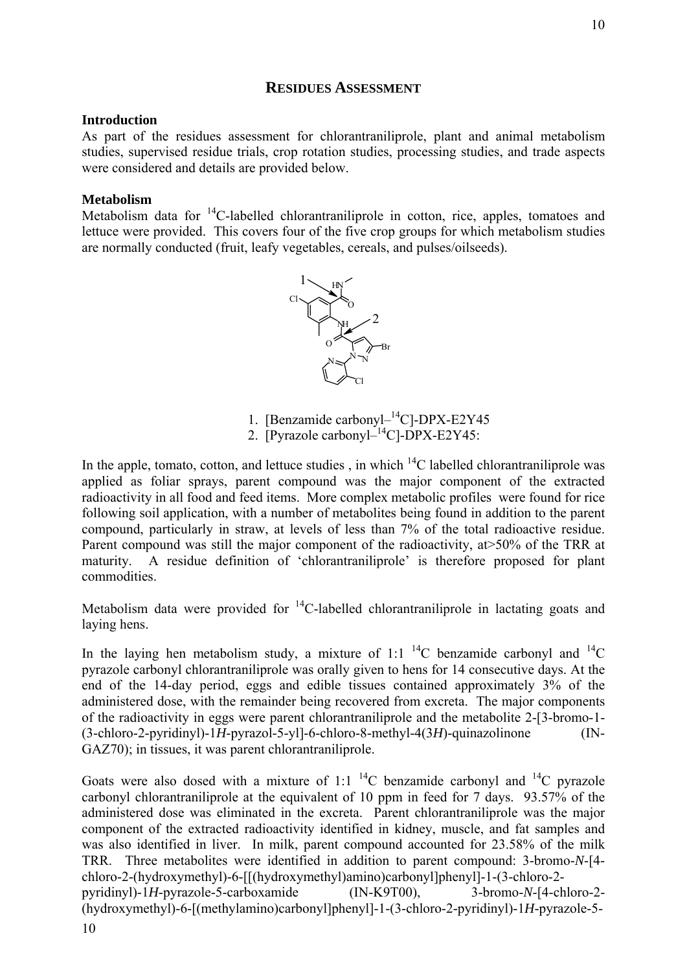# **RESIDUES ASSESSMENT**

# **Introduction**

As part of the residues assessment for chlorantraniliprole, plant and animal metabolism studies, supervised residue trials, crop rotation studies, processing studies, and trade aspects were considered and details are provided below.

# **Metabolism**

Metabolism data for  $^{14}$ C-labelled chlorantraniliprole in cotton, rice, apples, tomatoes and lettuce were provided. This covers four of the five crop groups for which metabolism studies are normally conducted (fruit, leafy vegetables, cereals, and pulses/oilseeds).



- 1. [Benzamide carbonyl-<sup>14</sup>C]-DPX-E2Y45
- 2. [Pyrazole carbony $l^{-14}$ C]-DPX-E2Y45:

In the apple, tomato, cotton, and lettuce studies, in which  $^{14}$ C labelled chlorantraniliprole was applied as foliar sprays, parent compound was the major component of the extracted radioactivity in all food and feed items. More complex metabolic profiles were found for rice following soil application, with a number of metabolites being found in addition to the parent compound, particularly in straw, at levels of less than 7% of the total radioactive residue. Parent compound was still the major component of the radioactivity, at  $>50\%$  of the TRR at maturity. A residue definition of 'chlorantraniliprole' is therefore proposed for plant commodities.

Metabolism data were provided for  ${}^{14}C$ -labelled chlorantraniliprole in lactating goats and laying hens.

In the laying hen metabolism study, a mixture of 1:1<sup>14</sup>C benzamide carbonyl and <sup>14</sup>C pyrazole carbonyl chlorantraniliprole was orally given to hens for 14 consecutive days. At the end of the 14-day period, eggs and edible tissues contained approximately 3% of the administered dose, with the remainder being recovered from excreta. The major components of the radioactivity in eggs were parent chlorantraniliprole and the metabolite 2-[3-bromo-1- (3-chloro-2-pyridinyl)-1*H*-pyrazol-5-yl]-6-chloro-8-methyl-4(3*H*)-quinazolinone (IN-GAZ70); in tissues, it was parent chlorantraniliprole.

Goats were also dosed with a mixture of 1:1<sup>14</sup>C benzamide carbonyl and <sup>14</sup>C pyrazole carbonyl chlorantraniliprole at the equivalent of 10 ppm in feed for 7 days. 93.57% of the administered dose was eliminated in the excreta. Parent chlorantraniliprole was the major component of the extracted radioactivity identified in kidney, muscle, and fat samples and was also identified in liver. In milk, parent compound accounted for 23.58% of the milk TRR. Three metabolites were identified in addition to parent compound: 3-bromo-*N*-[4 chloro-2-(hydroxymethyl)-6-[[(hydroxymethyl)amino)carbonyl]phenyl]-1-(3-chloro-2 pyridinyl)-1*H*-pyrazole-5-carboxamide (IN-K9T00), 3-bromo-*N*-[4-chloro-2- (hydroxymethyl)-6-[(methylamino)carbonyl]phenyl]-1-(3-chloro-2-pyridinyl)-1*H*-pyrazole-5- 10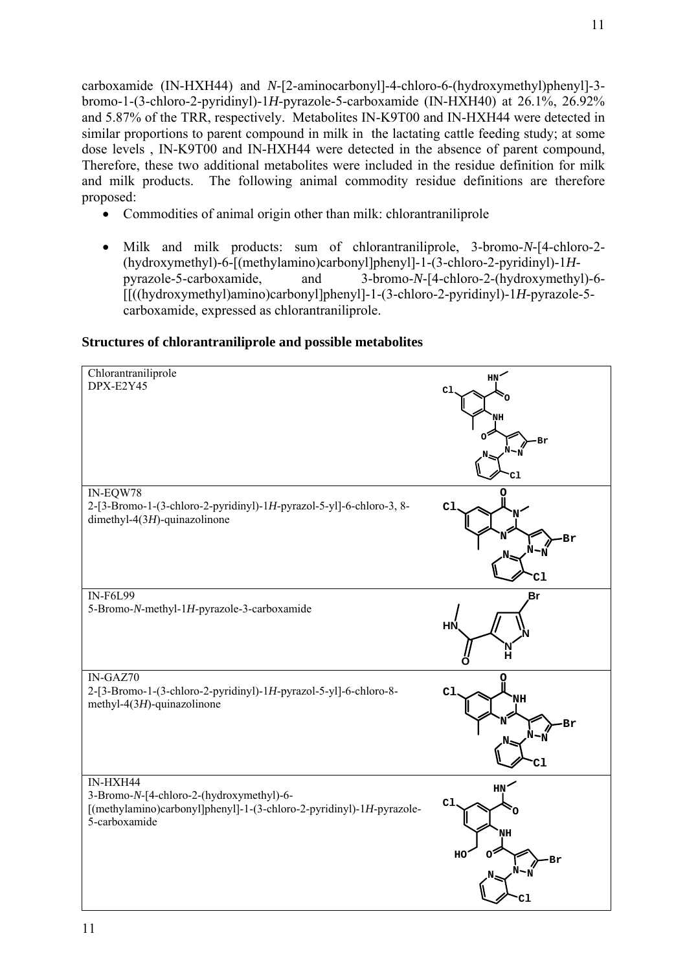carboxamide (IN-HXH44) and *N*-[2-aminocarbonyl]-4-chloro-6-(hydroxymethyl)phenyl]-3 bromo-1-(3-chloro-2-pyridinyl)-1*H*-pyrazole-5-carboxamide (IN-HXH40) at 26.1%, 26.92% and 5.87% of the TRR, respectively. Metabolites IN-K9T00 and IN-HXH44 were detected in similar proportions to parent compound in milk in the lactating cattle feeding study; at some dose levels , IN-K9T00 and IN-HXH44 were detected in the absence of parent compound, Therefore, these two additional metabolites were included in the residue definition for milk and milk products. The following animal commodity residue definitions are therefore proposed:

- Commodities of animal origin other than milk: chlorantraniliprole
- Milk and milk products: sum of chlorantraniliprole, 3-bromo-*N-*[4-chloro-2- (hydroxymethyl)-6-[(methylamino)carbonyl]phenyl]-1-(3-chloro-2-pyridinyl)-1*H*pyrazole-5-carboxamide, and 3-bromo-*N*-[4-chloro-2-(hydroxymethyl)-6- [[((hydroxymethyl)amino)carbonyl]phenyl]-1-(3-chloro-2-pyridinyl)-1*H*-pyrazole-5 carboxamide, expressed as chlorantraniliprole.

# **Structures of chlorantraniliprole and possible metabolites**

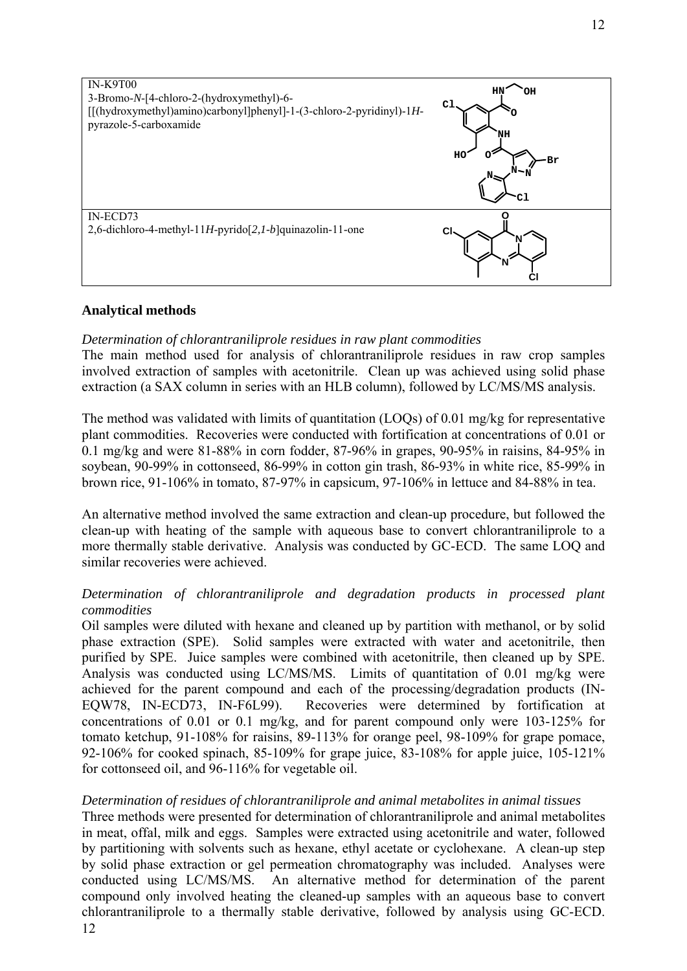

# **Analytical methods**

## *Determination of chlorantraniliprole residues in raw plant commodities*

The main method used for analysis of chlorantraniliprole residues in raw crop samples involved extraction of samples with acetonitrile. Clean up was achieved using solid phase extraction (a SAX column in series with an HLB column), followed by LC/MS/MS analysis.

The method was validated with limits of quantitation (LOQs) of 0.01 mg/kg for representative plant commodities. Recoveries were conducted with fortification at concentrations of 0.01 or 0.1 mg/kg and were 81-88% in corn fodder, 87-96% in grapes, 90-95% in raisins, 84-95% in soybean, 90-99% in cottonseed, 86-99% in cotton gin trash, 86-93% in white rice, 85-99% in brown rice, 91-106% in tomato, 87-97% in capsicum, 97-106% in lettuce and 84-88% in tea.

An alternative method involved the same extraction and clean-up procedure, but followed the clean-up with heating of the sample with aqueous base to convert chlorantraniliprole to a more thermally stable derivative. Analysis was conducted by GC-ECD. The same LOQ and similar recoveries were achieved.

# *Determination of chlorantraniliprole and degradation products in processed plant commodities*

Oil samples were diluted with hexane and cleaned up by partition with methanol, or by solid phase extraction (SPE). Solid samples were extracted with water and acetonitrile, then purified by SPE. Juice samples were combined with acetonitrile, then cleaned up by SPE. Analysis was conducted using LC/MS/MS. Limits of quantitation of 0.01 mg/kg were achieved for the parent compound and each of the processing/degradation products (IN-EQW78, IN-ECD73, IN-F6L99). Recoveries were determined by fortification at concentrations of 0.01 or 0.1 mg/kg, and for parent compound only were 103-125% for tomato ketchup, 91-108% for raisins, 89-113% for orange peel, 98-109% for grape pomace, 92-106% for cooked spinach, 85-109% for grape juice, 83-108% for apple juice, 105-121% for cottonseed oil, and 96-116% for vegetable oil.

## *Determination of residues of chlorantraniliprole and animal metabolites in animal tissues*

12 Three methods were presented for determination of chlorantraniliprole and animal metabolites in meat, offal, milk and eggs. Samples were extracted using acetonitrile and water, followed by partitioning with solvents such as hexane, ethyl acetate or cyclohexane. A clean-up step by solid phase extraction or gel permeation chromatography was included. Analyses were conducted using LC/MS/MS. An alternative method for determination of the parent compound only involved heating the cleaned-up samples with an aqueous base to convert chlorantraniliprole to a thermally stable derivative, followed by analysis using GC-ECD.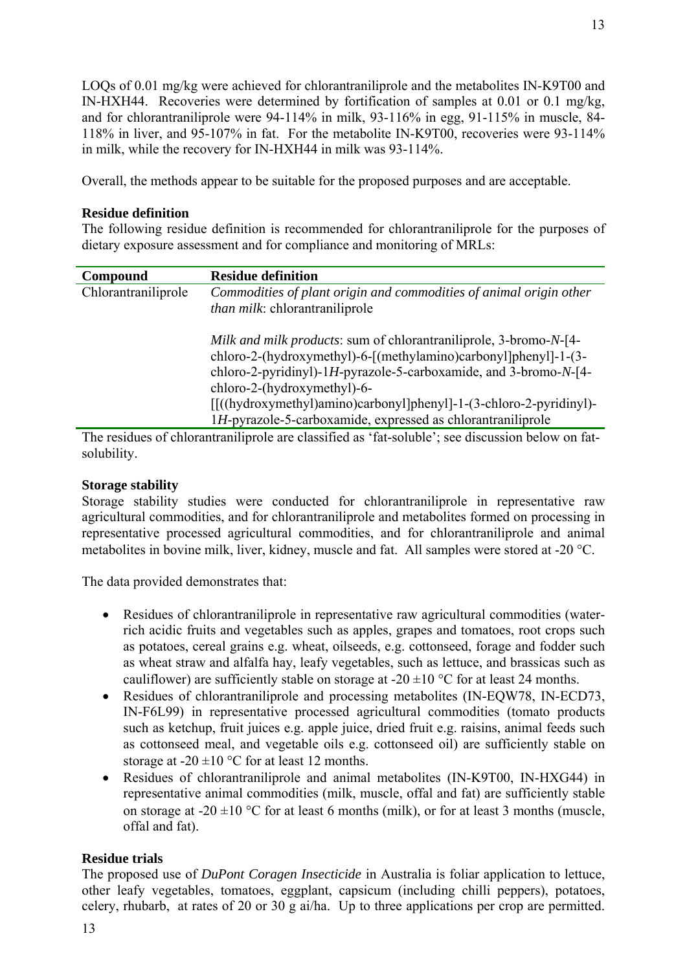LOQs of 0.01 mg/kg were achieved for chlorantraniliprole and the metabolites IN-K9T00 and IN-HXH44. Recoveries were determined by fortification of samples at 0.01 or 0.1 mg/kg, and for chlorantraniliprole were 94-114% in milk, 93-116% in egg, 91-115% in muscle, 84- 118% in liver, and 95-107% in fat. For the metabolite IN-K9T00, recoveries were 93-114% in milk, while the recovery for IN-HXH44 in milk was 93-114%.

Overall, the methods appear to be suitable for the proposed purposes and are acceptable.

# **Residue definition**

The following residue definition is recommended for chlorantraniliprole for the purposes of dietary exposure assessment and for compliance and monitoring of MRLs:

| Compound            | <b>Residue definition</b>                                                                                                                                                                                                                                                                                                                                                        |
|---------------------|----------------------------------------------------------------------------------------------------------------------------------------------------------------------------------------------------------------------------------------------------------------------------------------------------------------------------------------------------------------------------------|
| Chlorantraniliprole | Commodities of plant origin and commodities of animal origin other                                                                                                                                                                                                                                                                                                               |
|                     | <i>than milk:</i> chlorantraniliprole                                                                                                                                                                                                                                                                                                                                            |
|                     | Milk and milk products: sum of chlorantraniliprole, 3-bromo-N-[4-<br>chloro-2-(hydroxymethyl)-6-[(methylamino)carbonyl]phenyl]-1-(3-<br>chloro-2-pyridinyl)-1H-pyrazole-5-carboxamide, and 3-bromo- $N$ -[4-<br>chloro-2-(hydroxymethyl)-6-<br>[[((hydroxymethyl)amino)carbonyl]phenyl]-1-(3-chloro-2-pyridinyl)-<br>1H-pyrazole-5-carboxamide, expressed as chlorantraniliprole |
|                     |                                                                                                                                                                                                                                                                                                                                                                                  |

The residues of chlorantraniliprole are classified as 'fat-soluble'; see discussion below on fatsolubility.

# **Storage stability**

Storage stability studies were conducted for chlorantraniliprole in representative raw agricultural commodities, and for chlorantraniliprole and metabolites formed on processing in representative processed agricultural commodities, and for chlorantraniliprole and animal metabolites in bovine milk, liver, kidney, muscle and fat. All samples were stored at -20 °C.

The data provided demonstrates that:

- Residues of chlorantraniliprole in representative raw agricultural commodities (waterrich acidic fruits and vegetables such as apples, grapes and tomatoes, root crops such as potatoes, cereal grains e.g. wheat, oilseeds, e.g. cottonseed, forage and fodder such as wheat straw and alfalfa hay, leafy vegetables, such as lettuce, and brassicas such as cauliflower) are sufficiently stable on storage at -20  $\pm$ 10 °C for at least 24 months.
- Residues of chlorantraniliprole and processing metabolites (IN-EOW78, IN-ECD73, IN-F6L99) in representative processed agricultural commodities (tomato products such as ketchup, fruit juices e.g. apple juice, dried fruit e.g. raisins, animal feeds such as cottonseed meal, and vegetable oils e.g. cottonseed oil) are sufficiently stable on storage at -20  $\pm$ 10 °C for at least 12 months.
- Residues of chlorantraniliprole and animal metabolites (IN-K9T00, IN-HXG44) in representative animal commodities (milk, muscle, offal and fat) are sufficiently stable on storage at -20  $\pm$ 10 °C for at least 6 months (milk), or for at least 3 months (muscle, offal and fat).

# **Residue trials**

The proposed use of *DuPont Coragen Insecticide* in Australia is foliar application to lettuce, other leafy vegetables, tomatoes, eggplant, capsicum (including chilli peppers), potatoes, celery, rhubarb, at rates of 20 or 30 g ai/ha. Up to three applications per crop are permitted.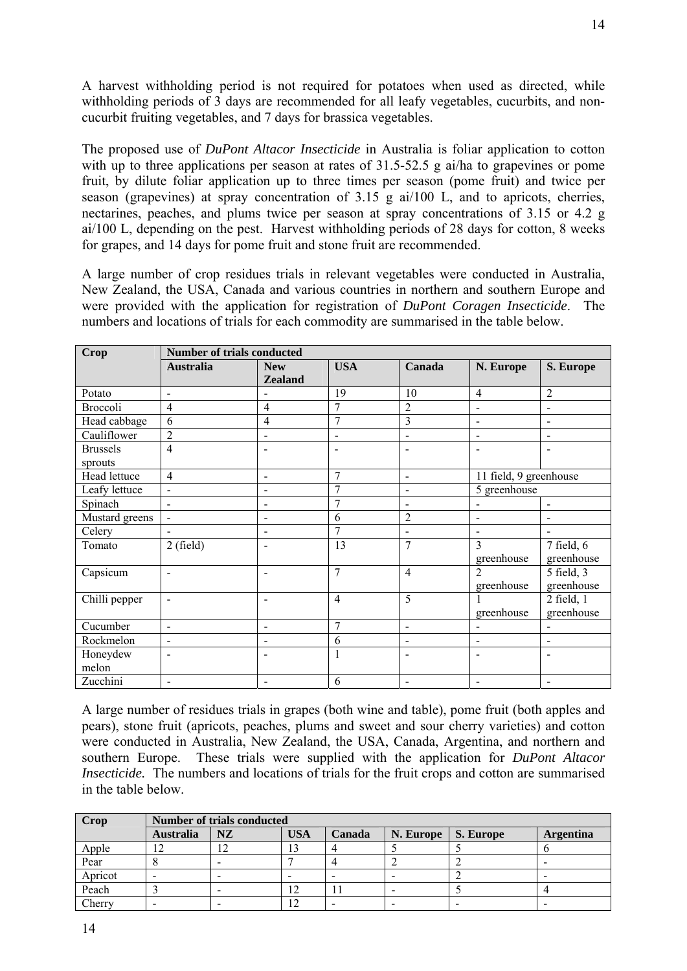A harvest withholding period is not required for potatoes when used as directed, while withholding periods of 3 days are recommended for all leafy vegetables, cucurbits, and noncucurbit fruiting vegetables, and 7 days for brassica vegetables.

The proposed use of *DuPont Altacor Insecticide* in Australia is foliar application to cotton with up to three applications per season at rates of 31.5-52.5 g ai/ha to grapevines or pome fruit, by dilute foliar application up to three times per season (pome fruit) and twice per season (grapevines) at spray concentration of 3.15 g ai/100 L, and to apricots, cherries, nectarines, peaches, and plums twice per season at spray concentrations of 3.15 or 4.2 g ai/100 L, depending on the pest. Harvest withholding periods of 28 days for cotton, 8 weeks for grapes, and 14 days for pome fruit and stone fruit are recommended.

A large number of crop residues trials in relevant vegetables were conducted in Australia, New Zealand, the USA, Canada and various countries in northern and southern Europe and were provided with the application for registration of *DuPont Coragen Insecticide*. The numbers and locations of trials for each commodity are summarised in the table below.

| <b>Crop</b>     | <b>Number of trials conducted</b> |                              |                          |                              |                              |                          |
|-----------------|-----------------------------------|------------------------------|--------------------------|------------------------------|------------------------------|--------------------------|
|                 | <b>Australia</b>                  | <b>New</b>                   | <b>USA</b>               | Canada                       | N. Europe                    | S. Europe                |
|                 |                                   | <b>Zealand</b>               |                          |                              |                              |                          |
| Potato          | $\overline{a}$                    | $\blacksquare$               | 19                       | 10                           | $\overline{4}$               | $\overline{2}$           |
| Broccoli        | $\overline{4}$                    | $\overline{4}$               | $\overline{7}$           | $\overline{2}$               | $\overline{a}$               | $\blacksquare$           |
| Head cabbage    | 6                                 | $\overline{4}$               | $\overline{7}$           | 3                            | $\overline{\phantom{0}}$     | $\overline{\phantom{a}}$ |
| Cauliflower     | $\overline{2}$                    | $\overline{\phantom{a}}$     | $\overline{a}$           | $\overline{a}$               | $\overline{a}$               | $\blacksquare$           |
| <b>Brussels</b> | $\overline{4}$                    | $\overline{\phantom{a}}$     | $\overline{\phantom{0}}$ | $\qquad \qquad \blacksquare$ | ۰                            | $\overline{\phantom{a}}$ |
| sprouts         |                                   |                              |                          |                              |                              |                          |
| Head lettuce    | 4                                 | $\overline{\phantom{a}}$     | $\overline{7}$           | $\blacksquare$               | 11 field, 9 greenhouse       |                          |
| Leafy lettuce   | $\blacksquare$                    | $\overline{\phantom{a}}$     | 7                        | $\blacksquare$               | 5 greenhouse                 |                          |
| Spinach         | $\blacksquare$                    | $\overline{\phantom{a}}$     | 7                        | $\overline{\phantom{a}}$     | $\overline{a}$               | $\blacksquare$           |
| Mustard greens  | $\overline{a}$                    | $\overline{\phantom{a}}$     | 6                        | $\overline{2}$               | $\overline{a}$               | $\blacksquare$           |
| Celery          | $\blacksquare$                    | $\overline{\phantom{a}}$     | 7                        | $\overline{a}$               | $\overline{a}$               | $\sim$                   |
| Tomato          | $2$ (field)                       | $\blacksquare$               | 13                       | 7                            | 3                            | $7$ field, $6$           |
|                 |                                   |                              |                          |                              | greenhouse                   | greenhouse               |
| Capsicum        | $\blacksquare$                    | $\blacksquare$               | $\overline{7}$           | $\overline{4}$               | $\overline{2}$               | 5 field, 3               |
|                 |                                   |                              |                          |                              | greenhouse                   | greenhouse               |
| Chilli pepper   | $\blacksquare$                    | $\blacksquare$               | $\overline{4}$           | $\overline{5}$               |                              | 2 field, 1               |
|                 |                                   |                              |                          |                              | greenhouse                   | greenhouse               |
| Cucumber        | $\blacksquare$                    | $\overline{\phantom{a}}$     | $\overline{7}$           | $\blacksquare$               | $\qquad \qquad \blacksquare$ | $\blacksquare$           |
| Rockmelon       | $\overline{\phantom{a}}$          | $\overline{\phantom{a}}$     | 6                        | $\overline{\phantom{a}}$     | $\overline{a}$               | $\overline{\phantom{a}}$ |
| Honeydew        | $\overline{\phantom{a}}$          | $\qquad \qquad \blacksquare$ | $\mathbf{1}$             | $\blacksquare$               | ۰                            | $\blacksquare$           |
| melon           |                                   |                              |                          |                              |                              |                          |
| Zucchini        | $\blacksquare$                    | $\overline{\phantom{a}}$     | 6                        | $\overline{\phantom{a}}$     | $\overline{\phantom{0}}$     | $\overline{\phantom{a}}$ |

A large number of residues trials in grapes (both wine and table), pome fruit (both apples and pears), stone fruit (apricots, peaches, plums and sweet and sour cherry varieties) and cotton were conducted in Australia, New Zealand, the USA, Canada, Argentina, and northern and southern Europe. These trials were supplied with the application for *DuPont Altacor Insecticide.* The numbers and locations of trials for the fruit crops and cotton are summarised in the table below.

| Crop    |                  | Number of trials conducted |            |        |           |           |                  |
|---------|------------------|----------------------------|------------|--------|-----------|-----------|------------------|
|         | <b>Australia</b> | <b>NZ</b>                  | <b>USA</b> | Canada | N. Europe | S. Europe | <b>Argentina</b> |
| Apple   |                  |                            | 13         |        |           |           |                  |
| Pear    |                  |                            |            |        |           |           |                  |
| Apricot |                  |                            |            |        |           |           |                  |
| Peach   |                  |                            | 12         |        |           |           |                  |
| Cherry  |                  |                            | 12         |        |           |           |                  |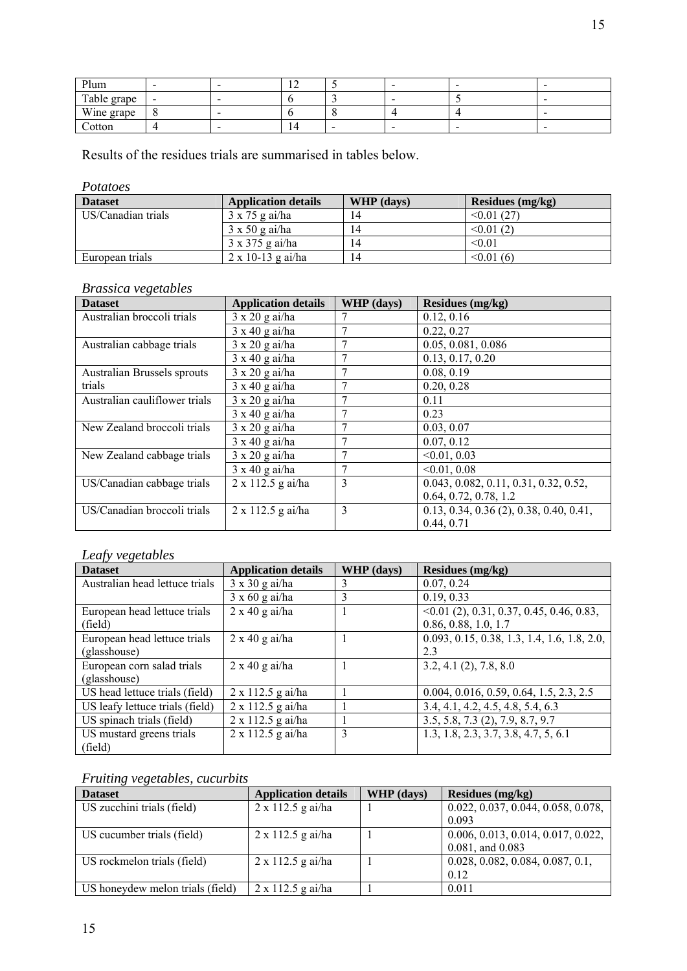| Plum        |                          | $\sim$<br>- | $\overline{\phantom{a}}$ | -      |
|-------------|--------------------------|-------------|--------------------------|--------|
| Table grape | $\overline{\phantom{a}}$ |             | $\overline{\phantom{a}}$ | -      |
| Wine grape  | $\mathbf{\Omega}$        |             |                          | -      |
| Cotton      |                          | 14          | $\overline{\phantom{a}}$ | $\sim$ |

Results of the residues trials are summarised in tables below.

*Potatoes* 

| <b>Dataset</b>     | <b>Application details</b> | WHP (days) | Residues $(mg/kg)$ |
|--------------------|----------------------------|------------|--------------------|
| US/Canadian trials | $3 \times 75$ g ai/ha      | 14         | $\leq 0.01(27)$    |
|                    | $3 \times 50$ g ai/ha      | 14         | $\leq 0.01(2)$     |
|                    | $3 \times 375$ g ai/ha     | 14         | < 0.01             |
| European trials    | $2 \times 10 - 13$ g ai/ha | 14         | $\leq 0.01(6)$     |

# *Brassica vegetables*

| <b>Dataset</b>                | <b>Application details</b> | <b>WHP</b> (days) | <b>Residues (mg/kg)</b>                   |
|-------------------------------|----------------------------|-------------------|-------------------------------------------|
| Australian broccoli trials    | $3 \times 20$ g ai/ha      |                   | 0.12, 0.16                                |
|                               | $3 \times 40$ g ai/ha      |                   | 0.22, 0.27                                |
| Australian cabbage trials     | $3 \times 20$ g ai/ha      |                   | 0.05, 0.081, 0.086                        |
|                               | $3 \times 40$ g ai/ha      |                   | 0.13, 0.17, 0.20                          |
| Australian Brussels sprouts   | $3 \times 20$ g ai/ha      |                   | 0.08, 0.19                                |
| trials                        | $3 \times 40$ g ai/ha      |                   | 0.20, 0.28                                |
| Australian cauliflower trials | $3 \times 20$ g ai/ha      |                   | 0.11                                      |
|                               | $3 \times 40$ g ai/ha      |                   | 0.23                                      |
| New Zealand broccoli trials   | $3 \times 20$ g ai/ha      |                   | 0.03, 0.07                                |
|                               | $3 \times 40$ g ai/ha      |                   | 0.07, 0.12                                |
| New Zealand cabbage trials    | $3 \times 20$ g ai/ha      |                   | < 0.01, 0.03                              |
|                               | $3 \times 40$ g ai/ha      |                   | < 0.01, 0.08                              |
| US/Canadian cabbage trials    | 2 x 112.5 g ai/ha          | 3                 | 0.043, 0.082, 0.11, 0.31, 0.32, 0.52,     |
|                               |                            |                   | 0.64, 0.72, 0.78, 1.2                     |
| US/Canadian broccoli trials   | $2 \times 112.5$ g ai/ha   | 3                 | $0.13, 0.34, 0.36$ (2), 0.38, 0.40, 0.41, |
|                               |                            |                   | 0.44, 0.71                                |

# *Leafy vegetables*

| JJ O                            |                            |            |                                                |
|---------------------------------|----------------------------|------------|------------------------------------------------|
| <b>Dataset</b>                  | <b>Application details</b> | WHP (days) | <b>Residues</b> (mg/kg)                        |
| Australian head lettuce trials  | $3 \times 30$ g ai/ha      |            | 0.07, 0.24                                     |
|                                 | $3 \times 60$ g ai/ha      | 3          | 0.19, 0.33                                     |
| European head lettuce trials    | $2 \times 40$ g ai/ha      |            | $\leq 0.01$ (2), 0.31, 0.37, 0.45, 0.46, 0.83, |
| (field)                         |                            |            | 0.86, 0.88, 1.0, 1.7                           |
| European head lettuce trials    | $2 \times 40$ g ai/ha      |            | 0.093, 0.15, 0.38, 1.3, 1.4, 1.6, 1.8, 2.0,    |
| (glasshouse)                    |                            |            | 2.3                                            |
| European corn salad trials      | $2 \times 40$ g ai/ha      |            | 3.2, 4.1(2), 7.8, 8.0                          |
| (glasshouse)                    |                            |            |                                                |
| US head lettuce trials (field)  | $2 \times 112.5$ g ai/ha   |            | 0.004, 0.016, 0.59, 0.64, 1.5, 2.3, 2.5        |
| US leafy lettuce trials (field) | 2 x 112.5 g ai/ha          |            | 3.4, 4.1, 4.2, 4.5, 4.8, 5.4, 6.3              |
| US spinach trials (field)       | 2 x 112.5 g ai/ha          |            | 3.5, 5.8, 7.3 (2), 7.9, 8.7, 9.7               |
| US mustard greens trials        | 2 x 112.5 g ai/ha          | 3          | 1.3, 1.8, 2.3, 3.7, 3.8, 4.7, 5, 6.1           |
| (field)                         |                            |            |                                                |

# *Fruiting vegetables, cucurbits*

| <b>Dataset</b>                   | <b>Application details</b> | WHP (days) | Residues (mg/kg)                   |
|----------------------------------|----------------------------|------------|------------------------------------|
| US zucchini trials (field)       | $2 \times 112.5$ g ai/ha   |            | 0.022, 0.037, 0.044, 0.058, 0.078, |
|                                  |                            |            | 0.093                              |
| US cucumber trials (field)       | $2 \times 112.5$ g ai/ha   |            | 0.006, 0.013, 0.014, 0.017, 0.022, |
|                                  |                            |            | $0.081$ , and $0.083$              |
| US rockmelon trials (field)      | $2 \times 112.5$ g ai/ha   |            | 0.028, 0.082, 0.084, 0.087, 0.1,   |
|                                  |                            |            | 0.12                               |
| US honeydew melon trials (field) | $2 \times 112.5$ g ai/ha   |            | 0.011                              |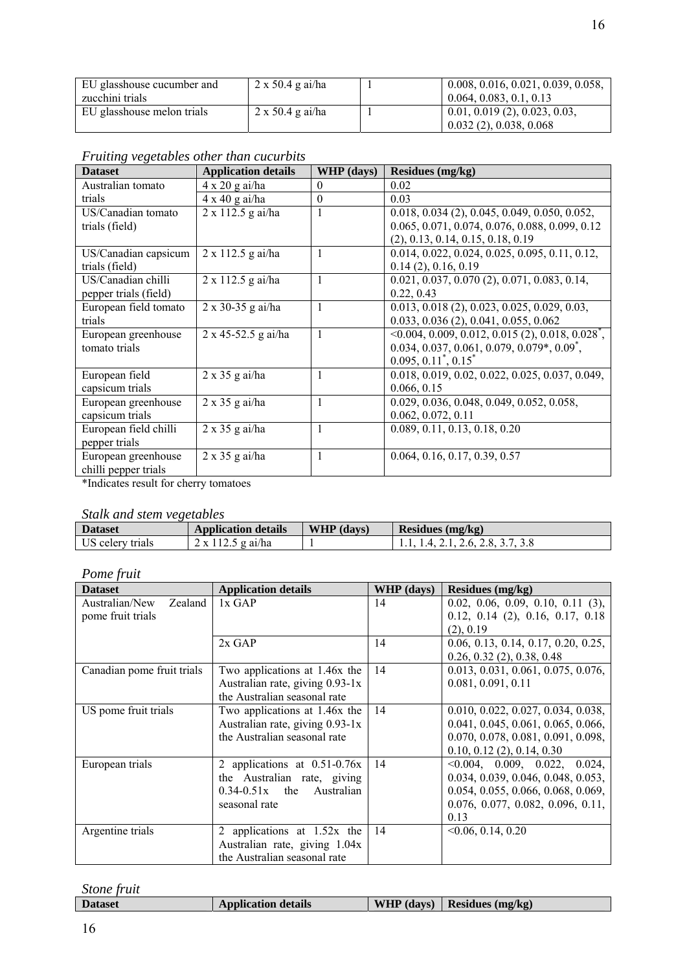| EU glasshouse cucumber and | $2 \times 50.4$ g ai/ha | 0.008, 0.016, 0.021, 0.039, 0.058,    |
|----------------------------|-------------------------|---------------------------------------|
| zucchini trials            |                         | 0.064, 0.083, 0.1, 0.13               |
| EU glasshouse melon trials | $2 \times 50.4$ g ai/ha | $\vert$ 0.01, 0.019 (2), 0.023, 0.03, |
|                            |                         | 0.032(2), 0.038, 0.068                |

| <b>Dataset</b>        | <b>Application details</b> | <b>WHP</b> (days) | Residues (mg/kg)                                                   |
|-----------------------|----------------------------|-------------------|--------------------------------------------------------------------|
| Australian tomato     | $4 \times 20$ g ai/ha      | $\Omega$          | 0.02                                                               |
| trials                | $4 \times 40$ g ai/ha      | $\theta$          | 0.03                                                               |
| US/Canadian tomato    | $2 \times 112.5$ g ai/ha   |                   | 0.018, 0.034 (2), 0.045, 0.049, 0.050, 0.052,                      |
| trials (field)        |                            |                   | 0.065, 0.071, 0.074, 0.076, 0.088, 0.099, 0.12                     |
|                       |                            |                   | (2), 0.13, 0.14, 0.15, 0.18, 0.19                                  |
| US/Canadian capsicum  | $2 \times 112.5$ g ai/ha   | $\mathbf{1}$      | $0.014, 0.022, 0.024, 0.025, 0.095, 0.11, 0.12,$                   |
| trials (field)        |                            |                   | 0.14(2), 0.16, 0.19                                                |
| US/Canadian chilli    | $2 \times 112.5$ g ai/ha   | 1                 | $0.021, 0.037, 0.070$ (2), 0.071, 0.083, 0.14,                     |
| pepper trials (field) |                            |                   | 0.22, 0.43                                                         |
| European field tomato | $2 \times 30 - 35$ g ai/ha |                   | $0.013, 0.018$ (2), 0.023, 0.025, 0.029, 0.03,                     |
| trials                |                            |                   | 0.033, 0.036(2), 0.041, 0.055, 0.062                               |
| European greenhouse   | 2 x 45-52.5 g ai/ha        | $\mathbf{1}$      | $\leq 0.004, 0.009, 0.012, 0.015$ (2), 0.018, 0.028 <sup>*</sup> , |
| tomato trials         |                            |                   | $0.034, 0.037, 0.061, 0.079, 0.079^*, 0.09^*,$                     |
|                       |                            |                   | $0.095, 0.11^*, 0.15^*$                                            |
| European field        | $2 \times 35$ g ai/ha      | 1                 | 0.018, 0.019, 0.02, 0.022, 0.025, 0.037, 0.049,                    |
| capsicum trials       |                            |                   | 0.066, 0.15                                                        |
| European greenhouse   | $2 \times 35$ g ai/ha      | 1                 | 0.029, 0.036, 0.048, 0.049, 0.052, 0.058,                          |
| capsicum trials       |                            |                   | 0.062, 0.072, 0.11                                                 |
| European field chilli | $2 \times 35$ g ai/ha      |                   | 0.089, 0.11, 0.13, 0.18, 0.20                                      |
| pepper trials         |                            |                   |                                                                    |
| European greenhouse   | $2 \times 35$ g ai/ha      | $\mathbf{1}$      | 0.064, 0.16, 0.17, 0.39, 0.57                                      |
| chilli pepper trials  |                            |                   |                                                                    |

# *Fruiting vegetables other than cucurbits*

\*Indicates result for cherry tomatoes

# *Stalk and stem vegetables*

| <b>Dataset</b>   | <b>Application details</b> | WHP (days) | Residues $(mg/kg)$                             |
|------------------|----------------------------|------------|------------------------------------------------|
| US celery trials | $2 \times 112.5$ g ai/ha   |            | $\frac{1}{1.1}$ , 1.4, 2.1, 2.6, 2.8, 3.7, 3.8 |

*Pome fruit* 

| <b>Dataset</b>             | <b>Application details</b>      | WHP (days) | <b>Residues (mg/kg)</b>             |
|----------------------------|---------------------------------|------------|-------------------------------------|
| Australian/New Zealand     | $1x$ GAP                        | 14         | $0.02, 0.06, 0.09, 0.10, 0.11$ (3), |
| pome fruit trials          |                                 |            | $0.12, 0.14$ (2), 0.16, 0.17, 0.18  |
|                            |                                 |            | (2), 0.19                           |
|                            | $2x$ GAP                        | 14         | 0.06, 0.13, 0.14, 0.17, 0.20, 0.25, |
|                            |                                 |            | $0.26, 0.32$ (2), 0.38, 0.48        |
| Canadian pome fruit trials | Two applications at 1.46x the   | 14         | 0.013, 0.031, 0.061, 0.075, 0.076,  |
|                            | Australian rate, giving 0.93-1x |            | 0.081, 0.091, 0.11                  |
|                            | the Australian seasonal rate    |            |                                     |
| US pome fruit trials       | Two applications at 1.46x the   | 14         | 0.010, 0.022, 0.027, 0.034, 0.038,  |
|                            | Australian rate, giving 0.93-1x |            | 0.041, 0.045, 0.061, 0.065, 0.066,  |
|                            | the Australian seasonal rate    |            | 0.070, 0.078, 0.081, 0.091, 0.098,  |
|                            |                                 |            | $0.10, 0.12$ (2), 0.14, 0.30        |
| European trials            | 2 applications at $0.51$ -0.76x | 14         | 0.004, 0.009, 0.022, 0.024,         |
|                            | the Australian rate, giving     |            | 0.034, 0.039, 0.046, 0.048, 0.053,  |
|                            | $0.34 - 0.51x$ the Australian   |            | 0.054, 0.055, 0.066, 0.068, 0.069,  |
|                            | seasonal rate                   |            | 0.076, 0.077, 0.082, 0.096, 0.11,   |
|                            |                                 |            | 0.13                                |
| Argentine trials           | applications at $1.52x$ the     | 14         | < 0.06, 0.14, 0.20                  |
|                            | Australian rate, giving 1.04x   |            |                                     |
|                            | the Australian seasonal rate    |            |                                     |

# *Stone fruit*

| <b>Dataset</b> | <b>Application details</b> | WHP $\langle \text{days} \rangle$ Residues $\langle \text{mg/kg} \rangle$ |
|----------------|----------------------------|---------------------------------------------------------------------------|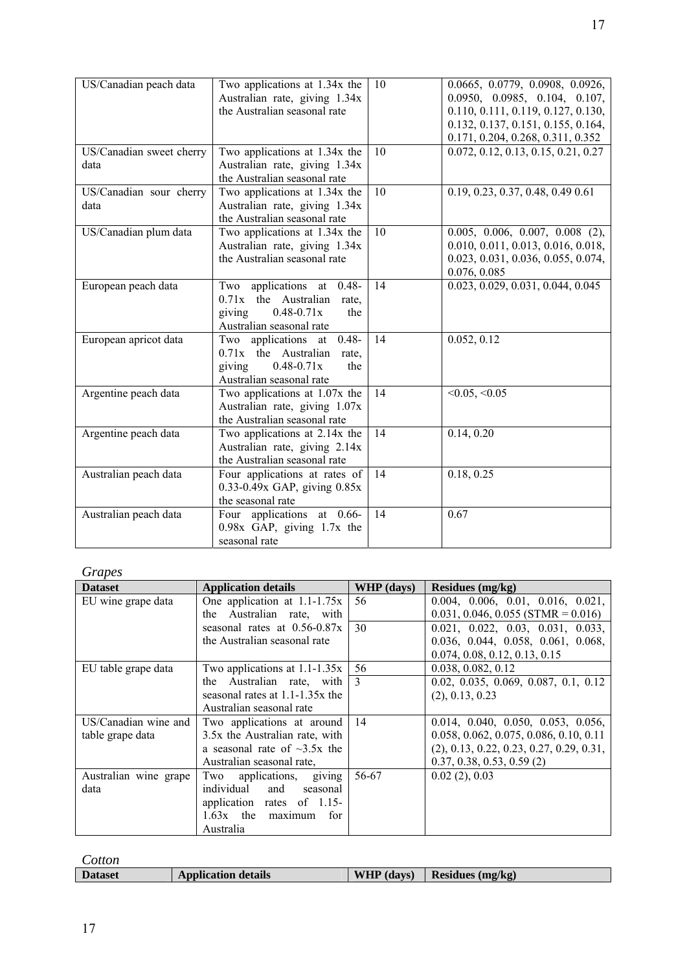| US/Canadian peach data           | Two applications at 1.34x the<br>Australian rate, giving 1.34x<br>the Australian seasonal rate                                            | 10 | 0.0665, 0.0779, 0.0908, 0.0926,<br>0.0950, 0.0985, 0.104, 0.107,<br>0.110, 0.111, 0.119, 0.127, 0.130,<br>0.132, 0.137, 0.151, 0.155, 0.164,<br>0.171, 0.204, 0.268, 0.311, 0.352 |
|----------------------------------|-------------------------------------------------------------------------------------------------------------------------------------------|----|-----------------------------------------------------------------------------------------------------------------------------------------------------------------------------------|
| US/Canadian sweet cherry<br>data | Two applications at 1.34x the<br>Australian rate, giving 1.34x<br>the Australian seasonal rate                                            | 10 | 0.072, 0.12, 0.13, 0.15, 0.21, 0.27                                                                                                                                               |
| US/Canadian sour cherry<br>data  | Two applications at 1.34x the<br>Australian rate, giving 1.34x<br>the Australian seasonal rate                                            | 10 | 0.19, 0.23, 0.37, 0.48, 0.49 0.61                                                                                                                                                 |
| US/Canadian plum data            | Two applications at 1.34x the<br>Australian rate, giving 1.34x<br>the Australian seasonal rate                                            | 10 | $0.005, 0.006, 0.007, 0.008$ (2),<br>0.010, 0.011, 0.013, 0.016, 0.018,<br>0.023, 0.031, 0.036, 0.055, 0.074,<br>0.076, 0.085                                                     |
| European peach data              | Two applications at 0.48-<br>$0.71x$ the Australian rate,<br>giving<br>$0.48 - 0.71x$<br>the<br>Australian seasonal rate                  | 14 | 0.023, 0.029, 0.031, 0.044, 0.045                                                                                                                                                 |
| European apricot data            | Two applications at $\overline{0.48}$ -<br>$0.71x$ the Australian<br>rate,<br>giving<br>$0.48 - 0.71x$<br>the<br>Australian seasonal rate | 14 | 0.052, 0.12                                                                                                                                                                       |
| Argentine peach data             | Two applications at 1.07x the<br>Australian rate, giving 1.07x<br>the Australian seasonal rate                                            | 14 | $< 0.05, \le 0.05$                                                                                                                                                                |
| Argentine peach data             | Two applications at 2.14x the<br>Australian rate, giving 2.14x<br>the Australian seasonal rate                                            | 14 | 0.14, 0.20                                                                                                                                                                        |
| Australian peach data            | Four applications at rates of<br>$0.33 - 0.49x$ GAP, giving $0.85x$<br>the seasonal rate                                                  | 14 | 0.18, 0.25                                                                                                                                                                        |
| Australian peach data            | Four applications at 0.66-<br>0.98x GAP, giving 1.7x the<br>seasonal rate                                                                 | 14 | 0.67                                                                                                                                                                              |

*Grapes* 

| <b>Dataset</b>        | <b>Application details</b>         | WHP (days)    | Residues (mg/kg)                           |
|-----------------------|------------------------------------|---------------|--------------------------------------------|
| EU wine grape data    | One application at $1.1 - 1.75x$   | 56            | 0.004, 0.006, 0.01, 0.016, 0.021,          |
|                       | Australian rate, with<br>the       |               | $0.031, 0.046, 0.055$ (STMR = 0.016)       |
|                       | seasonal rates at $0.56 - 0.87x$   | 30            | 0.021, 0.022, 0.03, 0.031, 0.033,          |
|                       | the Australian seasonal rate       |               | 0.036, 0.044, 0.058, 0.061, 0.068,         |
|                       |                                    |               | 0.074, 0.08, 0.12, 0.13, 0.15              |
| EU table grape data   | Two applications at $1.1 - 1.35x$  | 56            | 0.038, 0.082, 0.12                         |
|                       | the Australian rate, with          | $\mathcal{E}$ | 0.02, 0.035, 0.069, 0.087, 0.1, 0.12       |
|                       | seasonal rates at $1.1$ -1.35x the |               | (2), 0.13, 0.23                            |
|                       | Australian seasonal rate           |               |                                            |
| US/Canadian wine and  | Two applications at around         | 14            | 0.014, 0.040, 0.050, 0.053, 0.056,         |
| table grape data      | 3.5x the Australian rate, with     |               | 0.058, 0.062, 0.075, 0.086, 0.10, 0.11     |
|                       | a seasonal rate of $\sim$ 3.5x the |               | $(2), 0.13, 0.22, 0.23, 0.27, 0.29, 0.31,$ |
|                       | Australian seasonal rate.          |               | 0.37, 0.38, 0.53, 0.59(2)                  |
| Australian wine grape | Two applications,<br>giving        | 56-67         | 0.02(2), 0.03                              |
| data                  | individual and<br>seasonal         |               |                                            |
|                       | application rates of 1.15-         |               |                                            |
|                       | $1.63x$ the maximum<br>for         |               |                                            |
|                       | Australia                          |               |                                            |

*Cotton* 

| <b>Dataset</b> | <b>Application details</b> | <b>WHP</b> (days) | Residues (mg/kg) |
|----------------|----------------------------|-------------------|------------------|
|                |                            |                   |                  |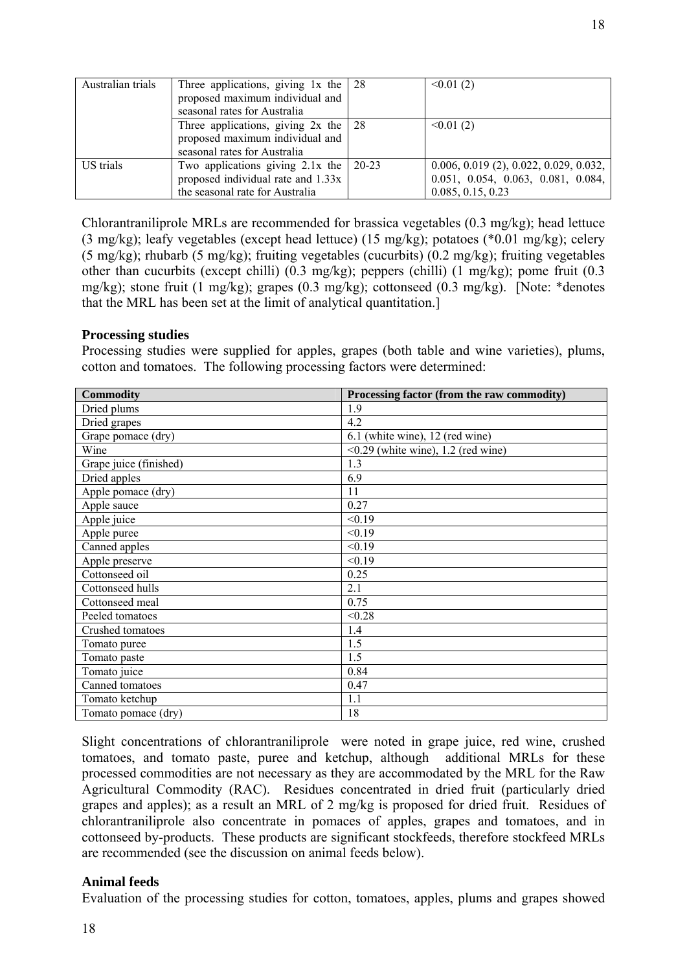| Australian trials | Three applications, giving $1x$ the $\vert$ 28<br>proposed maximum individual and<br>seasonal rates for Australia         |           | $\leq 0.01(2)$                                                                                      |
|-------------------|---------------------------------------------------------------------------------------------------------------------------|-----------|-----------------------------------------------------------------------------------------------------|
|                   | Three applications, giving $2x$ the $\vert 28 \rangle$<br>proposed maximum individual and<br>seasonal rates for Australia |           | $\leq 0.01(2)$                                                                                      |
| US trials         | Two applications giving $2.1x$ the<br>proposed individual rate and 1.33x<br>the seasonal rate for Australia               | $20 - 23$ | $0.006, 0.019$ (2), 0.022, 0.029, 0.032,<br>0.051, 0.054, 0.063, 0.081, 0.084,<br>0.085, 0.15, 0.23 |

Chlorantraniliprole MRLs are recommended for brassica vegetables (0.3 mg/kg); head lettuce (3 mg/kg); leafy vegetables (except head lettuce) (15 mg/kg); potatoes (\*0.01 mg/kg); celery (5 mg/kg); rhubarb (5 mg/kg); fruiting vegetables (cucurbits) (0.2 mg/kg); fruiting vegetables other than cucurbits (except chilli) (0.3 mg/kg); peppers (chilli) (1 mg/kg); pome fruit (0.3 mg/kg); stone fruit (1 mg/kg); grapes (0.3 mg/kg); cottonseed (0.3 mg/kg). [Note: \*denotes that the MRL has been set at the limit of analytical quantitation.]

## **Processing studies**

Processing studies were supplied for apples, grapes (both table and wine varieties), plums, cotton and tomatoes. The following processing factors were determined:

| <b>Commodity</b>       | Processing factor (from the raw commodity) |
|------------------------|--------------------------------------------|
| Dried plums            | 1.9                                        |
| Dried grapes           | 4.2                                        |
| Grape pomace (dry)     | 6.1 (white wine), 12 (red wine)            |
| Wine                   | $\leq 0.29$ (white wine), 1.2 (red wine)   |
| Grape juice (finished) | 1.3                                        |
| Dried apples           | 6.9                                        |
| Apple pomace (dry)     | 11                                         |
| Apple sauce            | 0.27                                       |
| Apple juice            | < 0.19                                     |
| Apple puree            | < 0.19                                     |
| Canned apples          | < 0.19                                     |
| Apple preserve         | < 0.19                                     |
| Cottonseed oil         | 0.25                                       |
| Cottonseed hulls       | 2.1                                        |
| Cottonseed meal        | 0.75                                       |
| Peeled tomatoes        | < 0.28                                     |
| Crushed tomatoes       | 1.4                                        |
| Tomato puree           | 1.5                                        |
| Tomato paste           | 1.5                                        |
| Tomato juice           | 0.84                                       |
| Canned tomatoes        | 0.47                                       |
| Tomato ketchup         | 1.1                                        |
| Tomato pomace (dry)    | 18                                         |

Slight concentrations of chlorantraniliprole were noted in grape juice, red wine, crushed tomatoes, and tomato paste, puree and ketchup, although additional MRLs for these processed commodities are not necessary as they are accommodated by the MRL for the Raw Agricultural Commodity (RAC). Residues concentrated in dried fruit (particularly dried grapes and apples); as a result an MRL of 2 mg/kg is proposed for dried fruit. Residues of chlorantraniliprole also concentrate in pomaces of apples, grapes and tomatoes, and in cottonseed by-products. These products are significant stockfeeds, therefore stockfeed MRLs are recommended (see the discussion on animal feeds below).

## **Animal feeds**

Evaluation of the processing studies for cotton, tomatoes, apples, plums and grapes showed

18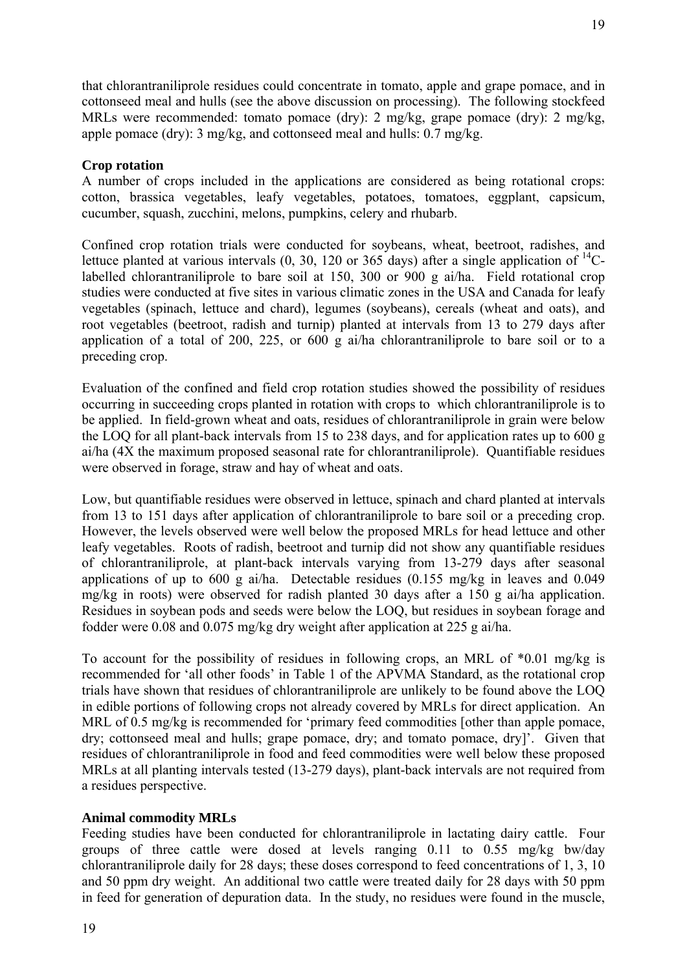that chlorantraniliprole residues could concentrate in tomato, apple and grape pomace, and in cottonseed meal and hulls (see the above discussion on processing). The following stockfeed MRLs were recommended: tomato pomace (dry): 2 mg/kg, grape pomace (dry): 2 mg/kg, apple pomace (dry): 3 mg/kg, and cottonseed meal and hulls: 0.7 mg/kg.

# **Crop rotation**

A number of crops included in the applications are considered as being rotational crops: cotton, brassica vegetables, leafy vegetables, potatoes, tomatoes, eggplant, capsicum, cucumber, squash, zucchini, melons, pumpkins, celery and rhubarb.

Confined crop rotation trials were conducted for soybeans, wheat, beetroot, radishes, and lettuce planted at various intervals  $(0, 30, 120$  or  $365$  days) after a single application of  $^{14}$ Clabelled chlorantraniliprole to bare soil at 150, 300 or 900 g ai/ha. Field rotational crop studies were conducted at five sites in various climatic zones in the USA and Canada for leafy vegetables (spinach, lettuce and chard), legumes (soybeans), cereals (wheat and oats), and root vegetables (beetroot, radish and turnip) planted at intervals from 13 to 279 days after application of a total of 200, 225, or 600 g ai/ha chlorantraniliprole to bare soil or to a preceding crop.

Evaluation of the confined and field crop rotation studies showed the possibility of residues occurring in succeeding crops planted in rotation with crops to which chlorantraniliprole is to be applied. In field-grown wheat and oats, residues of chlorantraniliprole in grain were below the LOQ for all plant-back intervals from 15 to 238 days, and for application rates up to 600 g ai/ha (4X the maximum proposed seasonal rate for chlorantraniliprole). Quantifiable residues were observed in forage, straw and hay of wheat and oats.

Low, but quantifiable residues were observed in lettuce, spinach and chard planted at intervals from 13 to 151 days after application of chlorantraniliprole to bare soil or a preceding crop. However, the levels observed were well below the proposed MRLs for head lettuce and other leafy vegetables. Roots of radish, beetroot and turnip did not show any quantifiable residues of chlorantraniliprole, at plant-back intervals varying from 13-279 days after seasonal applications of up to 600 g ai/ha. Detectable residues (0.155 mg/kg in leaves and 0.049 mg/kg in roots) were observed for radish planted 30 days after a 150 g ai/ha application. Residues in soybean pods and seeds were below the LOQ, but residues in soybean forage and fodder were 0.08 and 0.075 mg/kg dry weight after application at 225 g ai/ha.

To account for the possibility of residues in following crops, an MRL of \*0.01 mg/kg is recommended for 'all other foods' in Table 1 of the APVMA Standard, as the rotational crop trials have shown that residues of chlorantraniliprole are unlikely to be found above the LOQ in edible portions of following crops not already covered by MRLs for direct application. An MRL of 0.5 mg/kg is recommended for 'primary feed commodities [other than apple pomace, dry; cottonseed meal and hulls; grape pomace, dry; and tomato pomace, dry]'. Given that residues of chlorantraniliprole in food and feed commodities were well below these proposed MRLs at all planting intervals tested (13-279 days), plant-back intervals are not required from a residues perspective.

## **Animal commodity MRLs**

Feeding studies have been conducted for chlorantraniliprole in lactating dairy cattle. Four groups of three cattle were dosed at levels ranging 0.11 to 0.55 mg/kg bw/day chlorantraniliprole daily for 28 days; these doses correspond to feed concentrations of 1, 3, 10 and 50 ppm dry weight. An additional two cattle were treated daily for 28 days with 50 ppm in feed for generation of depuration data. In the study, no residues were found in the muscle,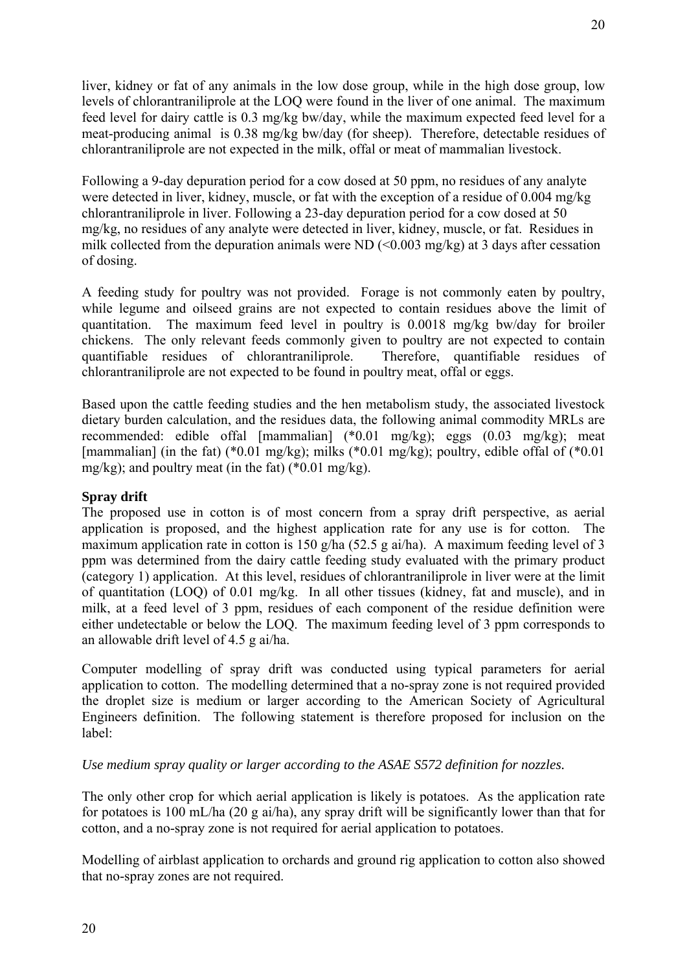liver, kidney or fat of any animals in the low dose group, while in the high dose group, low levels of chlorantraniliprole at the LOQ were found in the liver of one animal. The maximum feed level for dairy cattle is 0.3 mg/kg bw/day, while the maximum expected feed level for a meat-producing animal is 0.38 mg/kg bw/day (for sheep). Therefore, detectable residues of chlorantraniliprole are not expected in the milk, offal or meat of mammalian livestock.

Following a 9-day depuration period for a cow dosed at 50 ppm, no residues of any analyte were detected in liver, kidney, muscle, or fat with the exception of a residue of 0.004 mg/kg chlorantraniliprole in liver. Following a 23-day depuration period for a cow dosed at 50 mg/kg, no residues of any analyte were detected in liver, kidney, muscle, or fat. Residues in milk collected from the depuration animals were ND  $(\leq 0.003 \text{ mg/kg})$  at 3 days after cessation of dosing.

A feeding study for poultry was not provided. Forage is not commonly eaten by poultry, while legume and oilseed grains are not expected to contain residues above the limit of quantitation. The maximum feed level in poultry is 0.0018 mg/kg bw/day for broiler chickens. The only relevant feeds commonly given to poultry are not expected to contain quantifiable residues of chlorantraniliprole. Therefore, quantifiable residues of chlorantraniliprole are not expected to be found in poultry meat, offal or eggs.

Based upon the cattle feeding studies and the hen metabolism study, the associated livestock dietary burden calculation, and the residues data, the following animal commodity MRLs are recommended: edible offal [mammalian] (\*0.01 mg/kg); eggs (0.03 mg/kg); meat [mammalian] (in the fat) (\*0.01 mg/kg); milks (\*0.01 mg/kg); poultry, edible offal of (\*0.01 mg/kg); and poultry meat (in the fat) (\*0.01 mg/kg).

# **Spray drift**

The proposed use in cotton is of most concern from a spray drift perspective, as aerial application is proposed, and the highest application rate for any use is for cotton. The maximum application rate in cotton is 150 g/ha (52.5 g ai/ha). A maximum feeding level of 3 ppm was determined from the dairy cattle feeding study evaluated with the primary product (category 1) application. At this level, residues of chlorantraniliprole in liver were at the limit of quantitation (LOQ) of 0.01 mg/kg. In all other tissues (kidney, fat and muscle), and in milk, at a feed level of 3 ppm, residues of each component of the residue definition were either undetectable or below the LOQ. The maximum feeding level of 3 ppm corresponds to an allowable drift level of 4.5 g ai/ha.

Computer modelling of spray drift was conducted using typical parameters for aerial application to cotton. The modelling determined that a no-spray zone is not required provided the droplet size is medium or larger according to the American Society of Agricultural Engineers definition. The following statement is therefore proposed for inclusion on the label:

# *Use medium spray quality or larger according to the ASAE S572 definition for nozzles.*

The only other crop for which aerial application is likely is potatoes. As the application rate for potatoes is 100 mL/ha (20 g ai/ha), any spray drift will be significantly lower than that for cotton, and a no-spray zone is not required for aerial application to potatoes.

Modelling of airblast application to orchards and ground rig application to cotton also showed that no-spray zones are not required.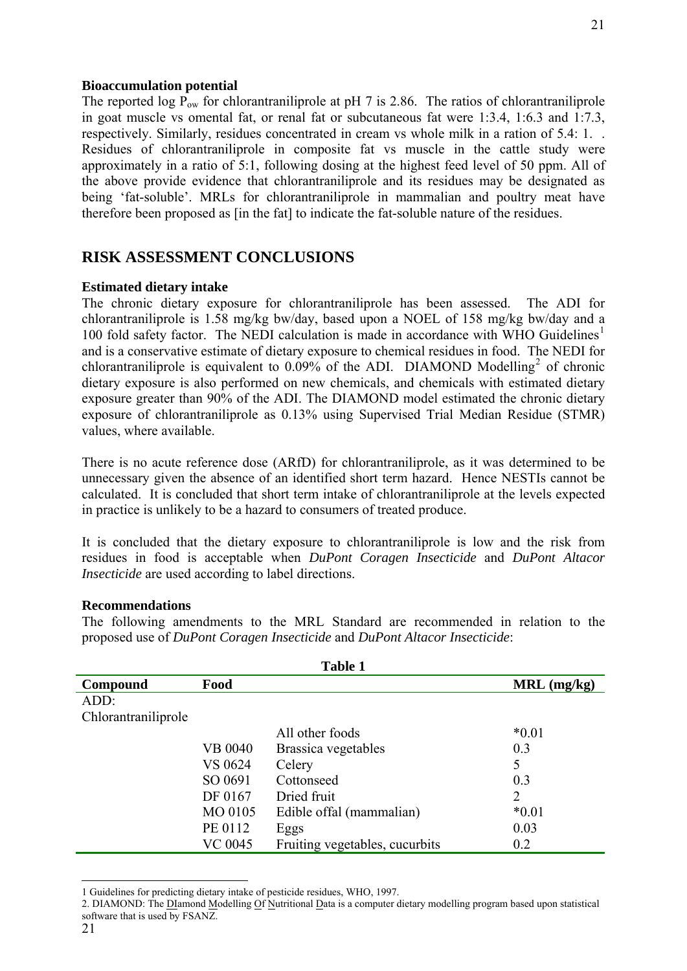#### **Bioaccumulation potential**

The reported log  $P_{ow}$  for chlorantraniliprole at pH 7 is 2.86. The ratios of chlorantraniliprole in goat muscle vs omental fat, or renal fat or subcutaneous fat were 1:3.4, 1:6.3 and 1:7.3, respectively. Similarly, residues concentrated in cream vs whole milk in a ration of 5.4: 1. . Residues of chlorantraniliprole in composite fat vs muscle in the cattle study were approximately in a ratio of 5:1, following dosing at the highest feed level of 50 ppm. All of the above provide evidence that chlorantraniliprole and its residues may be designated as being 'fat-soluble'. MRLs for chlorantraniliprole in mammalian and poultry meat have therefore been proposed as [in the fat] to indicate the fat-soluble nature of the residues.

# **RISK ASSESSMENT CONCLUSIONS**

#### **Estimated dietary intake**

The chronic dietary exposure for chlorantraniliprole has been assessed. The ADI for chlorantraniliprole is 1.58 mg/kg bw/day, based upon a NOEL of 158 mg/kg bw/day and a [1](#page-30-0)00 fold safety factor. The NEDI calculation is made in accordance with WHO Guidelines<sup>1</sup> and is a conservative estimate of dietary exposure to chemical residues in food. The NEDI for chlorantraniliprole is equivalent to  $0.09\%$  of the ADI. DIAMOND Modelling<sup>[2](#page-30-1)</sup> of chronic dietary exposure is also performed on new chemicals, and chemicals with estimated dietary exposure greater than 90% of the ADI. The DIAMOND model estimated the chronic dietary exposure of chlorantraniliprole as 0.13% using Supervised Trial Median Residue (STMR) values, where available.

There is no acute reference dose (ARfD) for chlorantraniliprole, as it was determined to be unnecessary given the absence of an identified short term hazard. Hence NESTIs cannot be calculated. It is concluded that short term intake of chlorantraniliprole at the levels expected in practice is unlikely to be a hazard to consumers of treated produce.

It is concluded that the dietary exposure to chlorantraniliprole is low and the risk from residues in food is acceptable when *DuPont Coragen Insecticide* and *DuPont Altacor Insecticide* are used according to label directions.

#### **Recommendations**

The following amendments to the MRL Standard are recommended in relation to the proposed use of *DuPont Coragen Insecticide* and *DuPont Altacor Insecticide*:

| <b>Table 1</b>      |                |                                |                |
|---------------------|----------------|--------------------------------|----------------|
| Compound            | Food           |                                | $MRL$ (mg/kg)  |
| ADD:                |                |                                |                |
| Chlorantraniliprole |                |                                |                |
|                     |                | All other foods                | $*0.01$        |
|                     | <b>VB 0040</b> | Brassica vegetables            | 0.3            |
|                     | VS 0624        | Celery                         | 5              |
|                     | SO 0691        | Cottonseed                     | 0.3            |
|                     | DF 0167        | Dried fruit                    | $\overline{2}$ |
|                     | MO 0105        | Edible offal (mammalian)       | $*0.01$        |
|                     | PE 0112        | Eggs                           | 0.03           |
|                     | VC 0045        | Fruiting vegetables, cucurbits | 0.2            |

<span id="page-30-0"></span><sup>1</sup> Guidelines for predicting dietary intake of pesticide residues, WHO, 1997.

-

<span id="page-30-1"></span><sup>2.</sup> DIAMOND: The DIamond Modelling Of Nutritional Data is a computer dietary modelling program based upon statistical software that is used by FSANZ.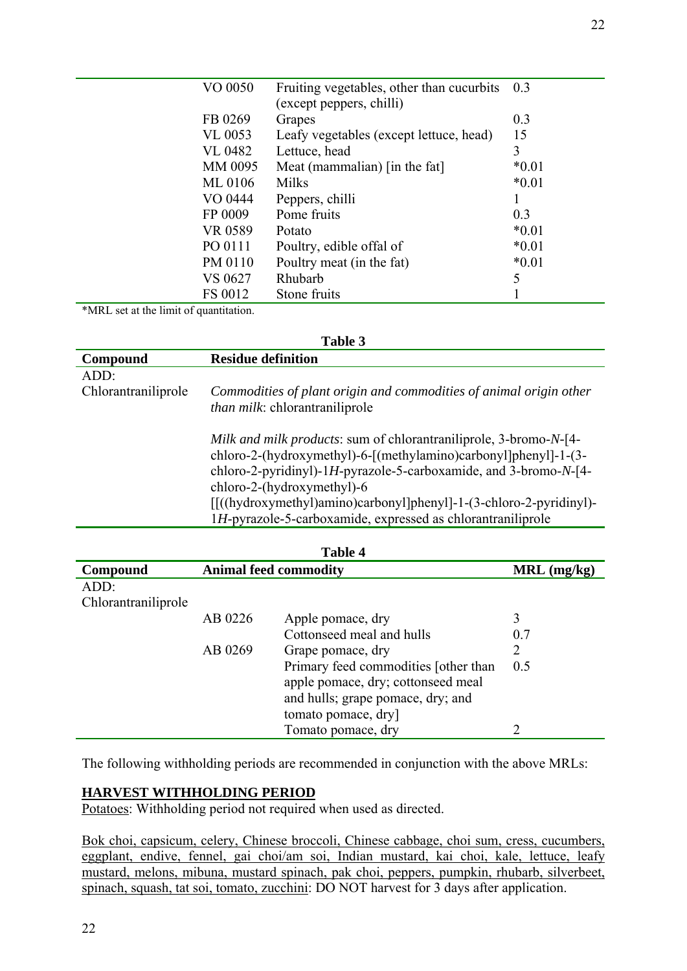| VO 0050        | Fruiting vegetables, other than cucurbits | 0.3     |
|----------------|-------------------------------------------|---------|
|                | (except peppers, chilli)                  |         |
| FB 0269        | Grapes                                    | 0.3     |
| VL 0053        | Leafy vegetables (except lettuce, head)   | 15      |
| <b>VL 0482</b> | Lettuce, head                             | 3       |
| MM 0095        | Meat (mammalian) [in the fat]             | $*0.01$ |
| ML 0106        | <b>Milks</b>                              | $*0.01$ |
| VO 0444        | Peppers, chilli                           |         |
| FP 0009        | Pome fruits                               | 0.3     |
| VR 0589        | Potato                                    | $*0.01$ |
| PO 0111        | Poultry, edible offal of                  | $*0.01$ |
| PM 0110        | Poultry meat (in the fat)                 | $*0.01$ |
| VS 0627        | Rhubarb                                   | 5       |
| FS 0012        | Stone fruits                              |         |

\*MRL set at the limit of quantitation.

| Table 3             |                                                                                                                                                                                                                                                                                                                                                                                        |  |  |
|---------------------|----------------------------------------------------------------------------------------------------------------------------------------------------------------------------------------------------------------------------------------------------------------------------------------------------------------------------------------------------------------------------------------|--|--|
| Compound            | <b>Residue definition</b>                                                                                                                                                                                                                                                                                                                                                              |  |  |
| ADD:                |                                                                                                                                                                                                                                                                                                                                                                                        |  |  |
| Chlorantraniliprole | Commodities of plant origin and commodities of animal origin other                                                                                                                                                                                                                                                                                                                     |  |  |
|                     | <i>than milk</i> : chlorantraniliprole                                                                                                                                                                                                                                                                                                                                                 |  |  |
|                     | <i>Milk and milk products:</i> sum of chlorantraniliprole, 3-bromo-N-[4-<br>chloro-2-(hydroxymethyl)-6-[(methylamino)carbonyl]phenyl]-1-(3-<br>chloro-2-pyridinyl)-1H-pyrazole-5-carboxamide, and 3-bromo- $N$ -[4-<br>chloro-2-(hydroxymethyl)-6<br>[[((hydroxymethyl)amino)carbonyl]phenyl]-1-(3-chloro-2-pyridinyl)-<br>1H-pyrazole-5-carboxamide, expressed as chlorantraniliprole |  |  |

| <b>Table 4</b>      |                              |                                      |               |  |
|---------------------|------------------------------|--------------------------------------|---------------|--|
| Compound            | <b>Animal feed commodity</b> |                                      | $MRL$ (mg/kg) |  |
| ADD:                |                              |                                      |               |  |
| Chlorantraniliprole |                              |                                      |               |  |
|                     | AB 0226                      | Apple pomace, dry                    | 3             |  |
|                     |                              | Cottonseed meal and hulls            | 0.7           |  |
|                     | AB 0269                      | Grape pomace, dry                    | 2             |  |
|                     |                              | Primary feed commodities [other than | 0.5           |  |
|                     |                              | apple pomace, dry; cottonseed meal   |               |  |
|                     |                              | and hulls; grape pomace, dry; and    |               |  |
|                     |                              | tomato pomace, dry]                  |               |  |
|                     |                              | Tomato pomace, dry                   |               |  |

The following withholding periods are recommended in conjunction with the above MRLs:

## **HARVEST WITHHOLDING PERIOD**

Potatoes: Withholding period not required when used as directed.

Bok choi, capsicum, celery, Chinese broccoli, Chinese cabbage, choi sum, cress, cucumbers, eggplant, endive, fennel, gai choi/am soi, Indian mustard, kai choi, kale, lettuce, leafy mustard, melons, mibuna, mustard spinach, pak choi, peppers, pumpkin, rhubarb, silverbeet, spinach, squash, tat soi, tomato, zucchini: DO NOT harvest for 3 days after application.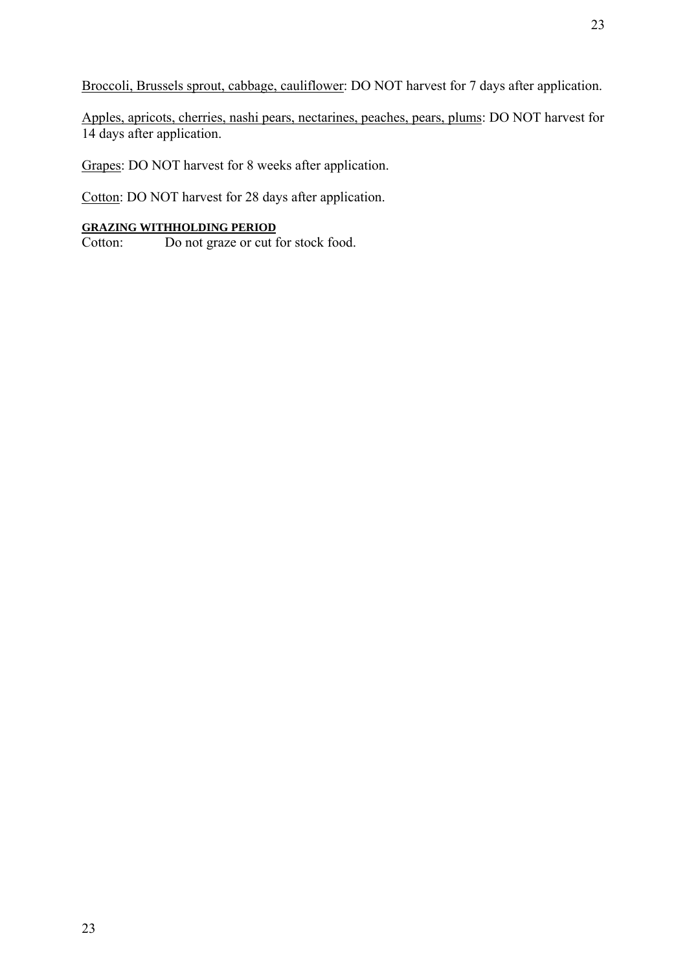Broccoli, Brussels sprout, cabbage, cauliflower: DO NOT harvest for 7 days after application.

Apples, apricots, cherries, nashi pears, nectarines, peaches, pears, plums: DO NOT harvest for 14 days after application.

Grapes: DO NOT harvest for 8 weeks after application.

Cotton: DO NOT harvest for 28 days after application.

# **GRAZING WITHHOLDING PERIOD**

Cotton: Do not graze or cut for stock food.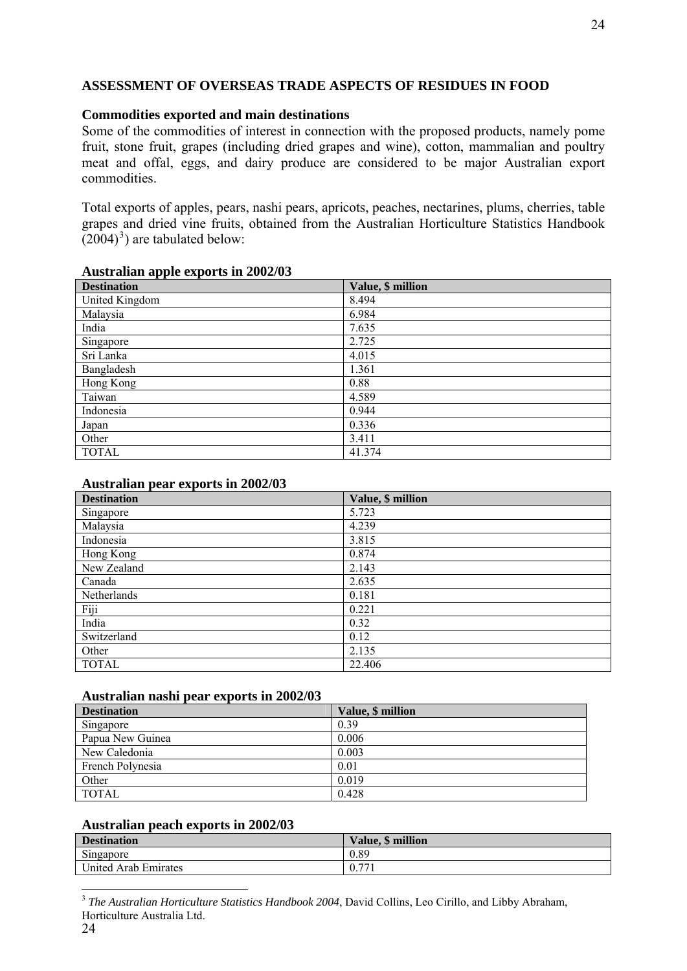# **ASSESSMENT OF OVERSEAS TRADE ASPECTS OF RESIDUES IN FOOD**

# **Commodities exported and main destinations**

Some of the commodities of interest in connection with the proposed products, namely pome fruit, stone fruit, grapes (including dried grapes and wine), cotton, mammalian and poultry meat and offal, eggs, and dairy produce are considered to be major Australian export commodities.

Total exports of apples, pears, nashi pears, apricots, peaches, nectarines, plums, cherries, table grapes and dried vine fruits, obtained from the Australian Horticulture Statistics Handbook  $(2004)^3$  $(2004)^3$ ) are tabulated below:

#### **Australian apple exports in 2002/03**

| <b>Destination</b> | Value, \$ million |
|--------------------|-------------------|
| United Kingdom     | 8.494             |
| Malaysia           | 6.984             |
| India              | 7.635             |
| Singapore          | 2.725             |
| Sri Lanka          | 4.015             |
| Bangladesh         | 1.361             |
| Hong Kong          | 0.88              |
| Taiwan             | 4.589             |
| Indonesia          | 0.944             |
| Japan              | 0.336             |
| Other              | 3.411             |
| <b>TOTAL</b>       | 41.374            |

#### **Australian pear exports in 2002/03**

| <b>Destination</b> | Value, \$ million |
|--------------------|-------------------|
| Singapore          | 5.723             |
| Malaysia           | 4.239             |
| Indonesia          | 3.815             |
| Hong Kong          | 0.874             |
| New Zealand        | 2.143             |
| Canada             | 2.635             |
| Netherlands        | 0.181             |
| Fiji               | 0.221             |
| India              | 0.32              |
| Switzerland        | 0.12              |
| Other              | 2.135             |
| <b>TOTAL</b>       | 22.406            |

## **Australian nashi pear exports in 2002/03**

| <b>Destination</b> | Value, \$ million |
|--------------------|-------------------|
| Singapore          | 0.39              |
| Papua New Guinea   | 0.006             |
| New Caledonia      | 0.003             |
| French Polynesia   | 0.01              |
| Other              | 0.019             |
| TOTAL              | 0.428             |

## **Australian peach exports in 2002/03**

| <b>Destination</b>   | Value, \$ million                  |
|----------------------|------------------------------------|
| Singapore            | 0.89                               |
| United Arab Emirates | $\overline{ }$<br>$\overline{0}$ . |

<span id="page-33-0"></span><sup>-</sup><sup>3</sup> *The Australian Horticulture Statistics Handbook 2004*, David Collins, Leo Cirillo, and Libby Abraham, Horticulture Australia Ltd.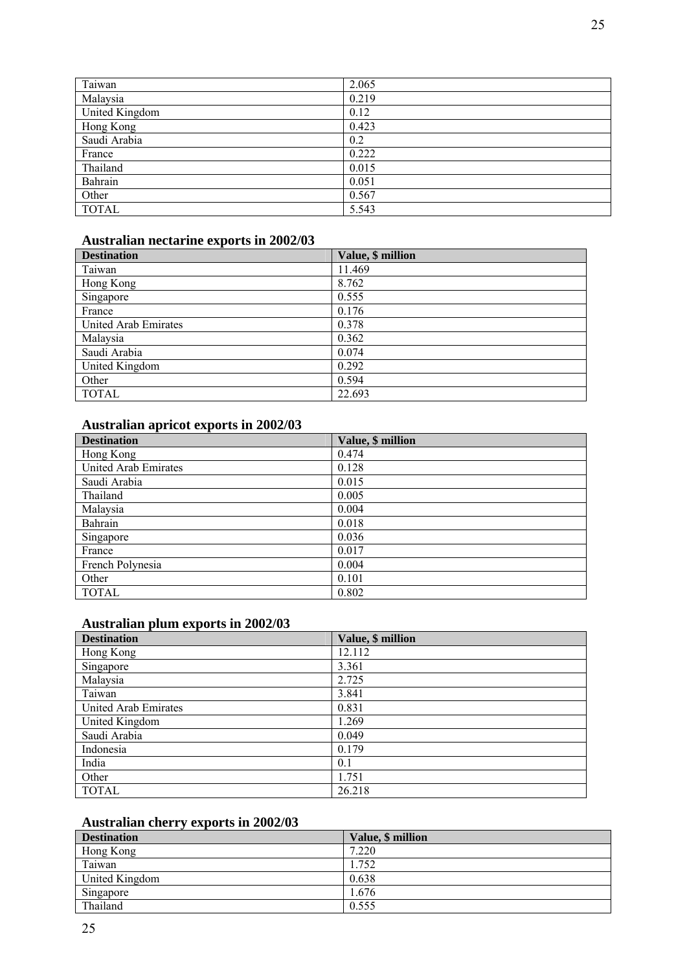| Taiwan         | 2.065 |
|----------------|-------|
| Malaysia       | 0.219 |
| United Kingdom | 0.12  |
| Hong Kong      | 0.423 |
| Saudi Arabia   | 0.2   |
| France         | 0.222 |
| Thailand       | 0.015 |
| Bahrain        | 0.051 |
| Other          | 0.567 |
| <b>TOTAL</b>   | 5.543 |

# **Australian nectarine exports in 2002/03**

| <b>Destination</b>   | Value, \$ million |
|----------------------|-------------------|
| Taiwan               | 11.469            |
| Hong Kong            | 8.762             |
| Singapore            | 0.555             |
| France               | 0.176             |
| United Arab Emirates | 0.378             |
| Malaysia             | 0.362             |
| Saudi Arabia         | 0.074             |
| United Kingdom       | 0.292             |
| Other                | 0.594             |
| <b>TOTAL</b>         | 22.693            |

#### **Australian apricot exports in 2002/03**

| <b>Destination</b>   | Value, \$ million |
|----------------------|-------------------|
| Hong Kong            | 0.474             |
| United Arab Emirates | 0.128             |
| Saudi Arabia         | 0.015             |
| Thailand             | 0.005             |
| Malaysia             | 0.004             |
| Bahrain              | 0.018             |
| Singapore            | 0.036             |
| France               | 0.017             |
| French Polynesia     | 0.004             |
| Other                | 0.101             |
| <b>TOTAL</b>         | 0.802             |

#### **Australian plum exports in 2002/03**

| <b>Destination</b>   | Value, \$ million |
|----------------------|-------------------|
| Hong Kong            | 12.112            |
| Singapore            | 3.361             |
| Malaysia             | 2.725             |
| Taiwan               | 3.841             |
| United Arab Emirates | 0.831             |
| United Kingdom       | 1.269             |
| Saudi Arabia         | 0.049             |
| Indonesia            | 0.179             |
| India                | 0.1               |
| Other                | 1.751             |
| <b>TOTAL</b>         | 26.218            |

#### **Australian cherry exports in 2002/03**

| <b>Destination</b> | Value, \$ million |
|--------------------|-------------------|
| Hong Kong          | 7.220             |
| Taiwan             | .752              |
| United Kingdom     | 0.638             |
| Singapore          | .676              |
| Thailand           | 0.555             |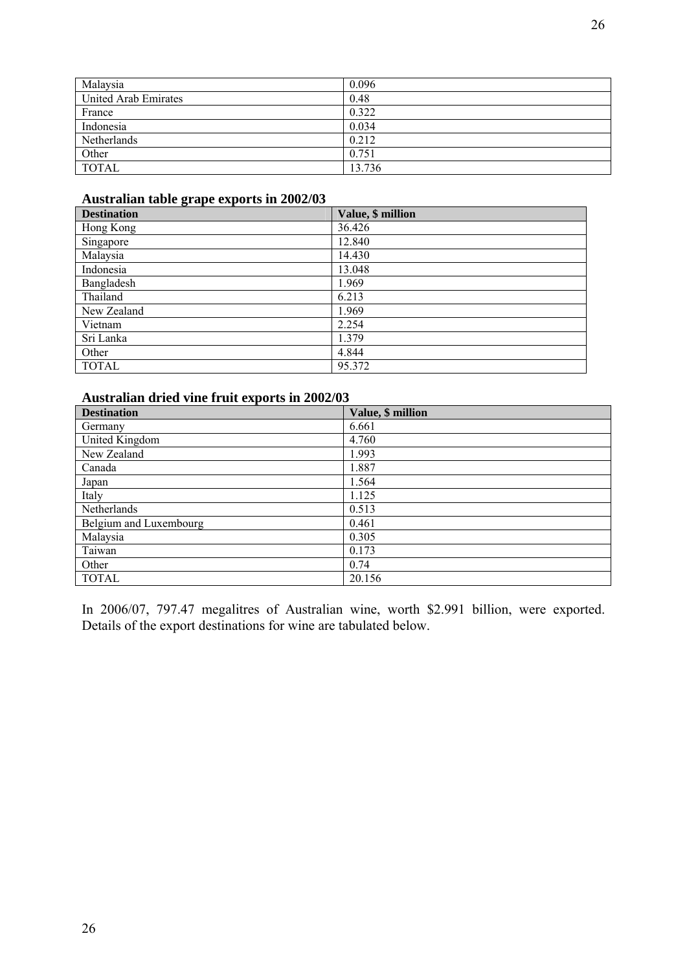| Malaysia             | 0.096  |
|----------------------|--------|
| United Arab Emirates | 0.48   |
| France               | 0.322  |
| Indonesia            | 0.034  |
| Netherlands          | 0.212  |
| Other                | 0.751  |
| <b>TOTAL</b>         | 13.736 |

## **Australian table grape exports in 2002/03**

| <b>Destination</b> | Value, \$ million |
|--------------------|-------------------|
| Hong Kong          | 36.426            |
| Singapore          | 12.840            |
| Malaysia           | 14.430            |
| Indonesia          | 13.048            |
| Bangladesh         | 1.969             |
| Thailand           | 6.213             |
| New Zealand        | 1.969             |
| Vietnam            | 2.254             |
| Sri Lanka          | 1.379             |
| Other              | 4.844             |
| <b>TOTAL</b>       | 95.372            |

# **Australian dried vine fruit exports in 2002/03**

| <b>Destination</b>     | Value, \$ million |
|------------------------|-------------------|
| Germany                | 6.661             |
| United Kingdom         | 4.760             |
| New Zealand            | 1.993             |
| Canada                 | 1.887             |
| Japan                  | 1.564             |
| Italy                  | 1.125             |
| Netherlands            | 0.513             |
| Belgium and Luxembourg | 0.461             |
| Malaysia               | 0.305             |
| Taiwan                 | 0.173             |
| Other                  | 0.74              |
| <b>TOTAL</b>           | 20.156            |

In 2006/07, 797.47 megalitres of Australian wine, worth \$2.991 billion, were exported. Details of the export destinations for wine are tabulated below.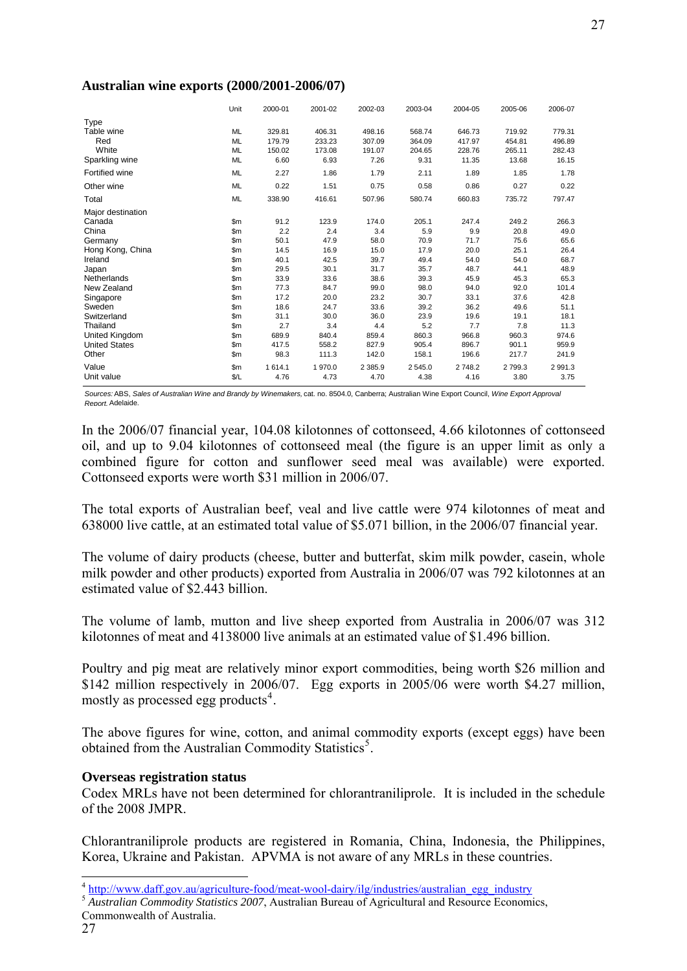|                      | Unit          | 2000-01 | 2001-02 | 2002-03   | 2003-04    | 2004-05 | 2005-06 | 2006-07   |
|----------------------|---------------|---------|---------|-----------|------------|---------|---------|-----------|
| Type                 |               |         |         |           |            |         |         |           |
| Table wine           | ML            | 329.81  | 406.31  | 498.16    | 568.74     | 646.73  | 719.92  | 779.31    |
| Red                  | <b>ML</b>     | 179.79  | 233.23  | 307.09    | 364.09     | 417.97  | 454.81  | 496.89    |
| White                | ML            | 150.02  | 173.08  | 191.07    | 204.65     | 228.76  | 265.11  | 282.43    |
| Sparkling wine       | ML            | 6.60    | 6.93    | 7.26      | 9.31       | 11.35   | 13.68   | 16.15     |
| Fortified wine       | ML            | 2.27    | 1.86    | 1.79      | 2.11       | 1.89    | 1.85    | 1.78      |
| Other wine           | ML            | 0.22    | 1.51    | 0.75      | 0.58       | 0.86    | 0.27    | 0.22      |
| Total                | ML            | 338.90  | 416.61  | 507.96    | 580.74     | 660.83  | 735.72  | 797.47    |
| Major destination    |               |         |         |           |            |         |         |           |
| Canada               | \$m\$         | 91.2    | 123.9   | 174.0     | 205.1      | 247.4   | 249.2   | 266.3     |
| China                | \$m\$         | 2.2     | 2.4     | 3.4       | 5.9        | 9.9     | 20.8    | 49.0      |
| Germany              | \$m\$         | 50.1    | 47.9    | 58.0      | 70.9       | 71.7    | 75.6    | 65.6      |
| Hong Kong, China     | $\mathsf{Sm}$ | 14.5    | 16.9    | 15.0      | 17.9       | 20.0    | 25.1    | 26.4      |
| Ireland              | \$m\$         | 40.1    | 42.5    | 39.7      | 49.4       | 54.0    | 54.0    | 68.7      |
| Japan                | \$m\$         | 29.5    | 30.1    | 31.7      | 35.7       | 48.7    | 44.1    | 48.9      |
| Netherlands          | \$m\$         | 33.9    | 33.6    | 38.6      | 39.3       | 45.9    | 45.3    | 65.3      |
| New Zealand          | \$m\$         | 77.3    | 84.7    | 99.0      | 98.0       | 94.0    | 92.0    | 101.4     |
| Singapore            | \$m\$         | 17.2    | 20.0    | 23.2      | 30.7       | 33.1    | 37.6    | 42.8      |
| Sweden               | \$m\$         | 18.6    | 24.7    | 33.6      | 39.2       | 36.2    | 49.6    | 51.1      |
| Switzerland          | $\mathsf{Sm}$ | 31.1    | 30.0    | 36.0      | 23.9       | 19.6    | 19.1    | 18.1      |
| Thailand             | $\mathsf{Sm}$ | 2.7     | 3.4     | 4.4       | 5.2        | 7.7     | 7.8     | 11.3      |
| United Kingdom       | $\mathsf{Sm}$ | 689.9   | 840.4   | 859.4     | 860.3      | 966.8   | 960.3   | 974.6     |
| <b>United States</b> | \$m           | 417.5   | 558.2   | 827.9     | 905.4      | 896.7   | 901.1   | 959.9     |
| Other                | \$m           | 98.3    | 111.3   | 142.0     | 158.1      | 196.6   | 217.7   | 241.9     |
| Value                | \$m\$         | 1614.1  | 1970.0  | 2 3 8 5.9 | 2 5 4 5 .0 | 2748.2  | 2799.3  | 2 9 9 1.3 |
| Unit value           | \$/L          | 4.76    | 4.73    | 4.70      | 4.38       | 4.16    | 3.80    | 3.75      |

#### **Australian wine exports (2000/2001-2006/07)**

*Sources:*ABS, *Sales of Australian Wine and Brandy by Winemakers,* cat. no. 8504.0, Canberra; Australian Wine Export Council, *Wine Export Approval Report,*Adelaide.

In the 2006/07 financial year, 104.08 kilotonnes of cottonseed, 4.66 kilotonnes of cottonseed oil, and up to 9.04 kilotonnes of cottonseed meal (the figure is an upper limit as only a combined figure for cotton and sunflower seed meal was available) were exported. Cottonseed exports were worth \$31 million in 2006/07.

The total exports of Australian beef, veal and live cattle were 974 kilotonnes of meat and 638000 live cattle, at an estimated total value of \$5.071 billion, in the 2006/07 financial year.

The volume of dairy products (cheese, butter and butterfat, skim milk powder, casein, whole milk powder and other products) exported from Australia in 2006/07 was 792 kilotonnes at an estimated value of \$2.443 billion.

The volume of lamb, mutton and live sheep exported from Australia in 2006/07 was 312 kilotonnes of meat and 4138000 live animals at an estimated value of \$1.496 billion.

Poultry and pig meat are relatively minor export commodities, being worth \$26 million and \$142 million respectively in 2006/07. Egg exports in 2005/06 were worth \$4.27 million, mostly as processed egg products<sup>[4](#page-36-0)</sup>.

The above figures for wine, cotton, and animal commodity exports (except eggs) have been obtained from the Australian Commodity Statistics<sup>[5](#page-36-1)</sup>.

#### **Overseas registration status**

Codex MRLs have not been determined for chlorantraniliprole. It is included in the schedule of the 2008 JMPR.

Chlorantraniliprole products are registered in Romania, China, Indonesia, the Philippines, Korea, Ukraine and Pakistan. APVMA is not aware of any MRLs in these countries.

<span id="page-36-0"></span><sup>4</sup> [http://www.daff.gov.au/agriculture-food/meat-wool-dairy/ilg/industries/australian\\_egg\\_industry](http://www.daff.gov.au/agriculture-food/meat-wool-dairy/ilg/industries/australian_egg_industry)

<span id="page-36-1"></span><sup>&</sup>lt;sup>5</sup> *Australian Commodity Statistics 2007*, Australian Bureau of Agricultural and Resource Economics,

Commonwealth of Australia.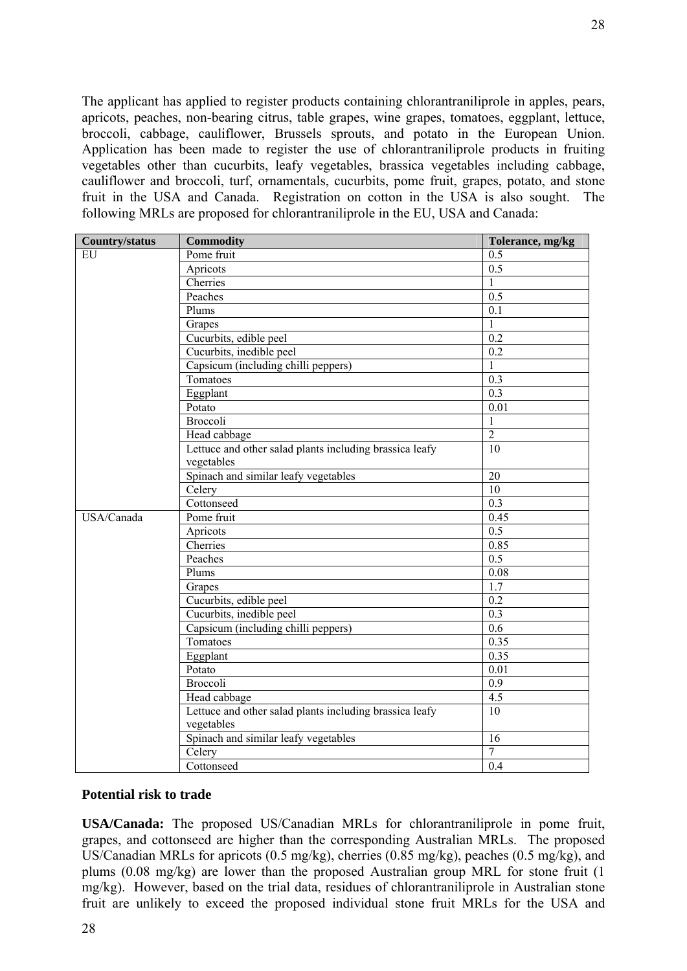The applicant has applied to register products containing chlorantraniliprole in apples, pears, apricots, peaches, non-bearing citrus, table grapes, wine grapes, tomatoes, eggplant, lettuce, broccoli, cabbage, cauliflower, Brussels sprouts, and potato in the European Union. Application has been made to register the use of chlorantraniliprole products in fruiting vegetables other than cucurbits, leafy vegetables, brassica vegetables including cabbage, cauliflower and broccoli, turf, ornamentals, cucurbits, pome fruit, grapes, potato, and stone fruit in the USA and Canada. Registration on cotton in the USA is also sought. The following MRLs are proposed for chlorantraniliprole in the EU, USA and Canada:

| <b>Country/status</b> | <b>Commodity</b>                                        | Tolerance, mg/kg |
|-----------------------|---------------------------------------------------------|------------------|
| <b>EU</b>             | Pome fruit                                              | 0.5              |
|                       | Apricots                                                | 0.5              |
|                       | Cherries                                                | $\mathbf{1}$     |
|                       | Peaches                                                 | 0.5              |
|                       | Plums                                                   | 0.1              |
|                       | Grapes                                                  | 1                |
|                       | Cucurbits, edible peel                                  | 0.2              |
|                       | Cucurbits, inedible peel                                | 0.2              |
|                       | Capsicum (including chilli peppers)                     | 1                |
|                       | Tomatoes                                                | 0.3              |
|                       | Eggplant                                                | 0.3              |
|                       | Potato                                                  | 0.01             |
|                       | <b>Broccoli</b>                                         | $\mathbf{1}$     |
|                       | Head cabbage                                            | $\overline{2}$   |
|                       | Lettuce and other salad plants including brassica leafy | 10               |
|                       | vegetables                                              |                  |
|                       | Spinach and similar leafy vegetables                    | 20               |
|                       | Celery                                                  | $\overline{10}$  |
|                       | Cottonseed                                              | $\overline{0.3}$ |
| USA/Canada            | Pome fruit                                              | 0.45             |
|                       | Apricots                                                | 0.5              |
|                       | Cherries                                                | 0.85             |
|                       | Peaches                                                 | 0.5              |
|                       | Plums                                                   | 0.08             |
|                       | Grapes                                                  | 1.7              |
|                       | Cucurbits, edible peel                                  | 0.2              |
|                       | Cucurbits, inedible peel                                | $\overline{0.3}$ |
|                       | Capsicum (including chilli peppers)                     | $\overline{0.6}$ |
|                       | Tomatoes                                                | 0.35             |
|                       | Eggplant                                                | 0.35             |
|                       | Potato                                                  | 0.01             |
|                       | Broccoli                                                | 0.9              |
|                       | Head cabbage                                            | 4.5              |
|                       | Lettuce and other salad plants including brassica leafy | 10               |
|                       | vegetables                                              |                  |
|                       | Spinach and similar leafy vegetables                    | 16               |
|                       | Celery                                                  | $\overline{7}$   |
|                       | Cottonseed                                              | 0.4              |

#### **Potential risk to trade**

**USA/Canada:** The proposed US/Canadian MRLs for chlorantraniliprole in pome fruit, grapes, and cottonseed are higher than the corresponding Australian MRLs. The proposed US/Canadian MRLs for apricots (0.5 mg/kg), cherries (0.85 mg/kg), peaches (0.5 mg/kg), and plums (0.08 mg/kg) are lower than the proposed Australian group MRL for stone fruit (1 mg/kg). However, based on the trial data, residues of chlorantraniliprole in Australian stone fruit are unlikely to exceed the proposed individual stone fruit MRLs for the USA and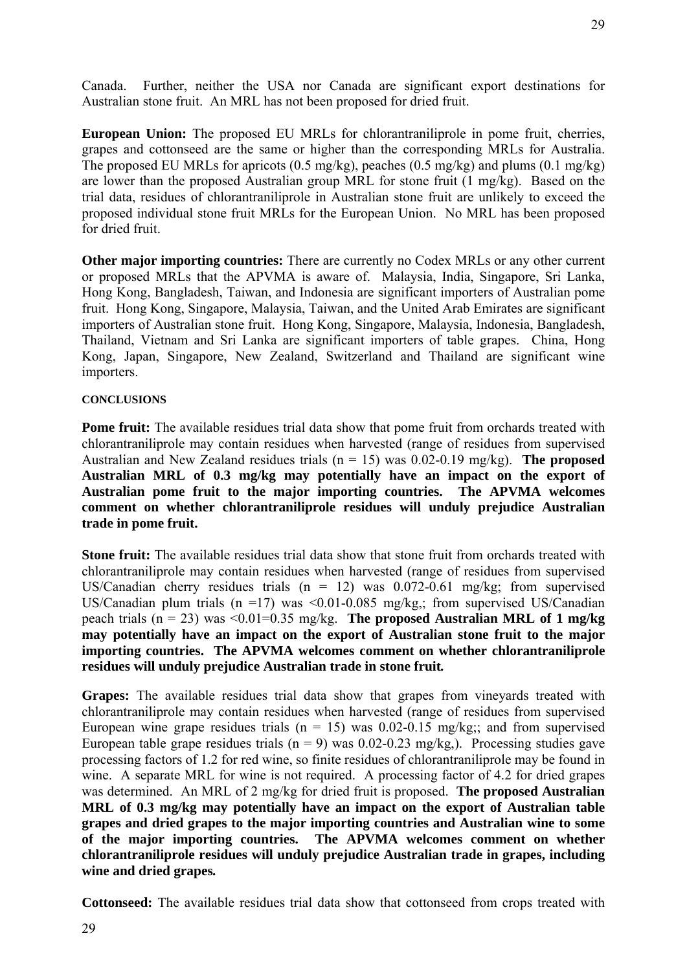**European Union:** The proposed EU MRLs for chlorantraniliprole in pome fruit, cherries, grapes and cottonseed are the same or higher than the corresponding MRLs for Australia. The proposed EU MRLs for apricots (0.5 mg/kg), peaches (0.5 mg/kg) and plums (0.1 mg/kg) are lower than the proposed Australian group MRL for stone fruit (1 mg/kg). Based on the trial data, residues of chlorantraniliprole in Australian stone fruit are unlikely to exceed the proposed individual stone fruit MRLs for the European Union. No MRL has been proposed for dried fruit.

**Other major importing countries:** There are currently no Codex MRLs or any other current or proposed MRLs that the APVMA is aware of. Malaysia, India, Singapore, Sri Lanka, Hong Kong, Bangladesh, Taiwan, and Indonesia are significant importers of Australian pome fruit. Hong Kong, Singapore, Malaysia, Taiwan, and the United Arab Emirates are significant importers of Australian stone fruit. Hong Kong, Singapore, Malaysia, Indonesia, Bangladesh, Thailand, Vietnam and Sri Lanka are significant importers of table grapes. China, Hong Kong, Japan, Singapore, New Zealand, Switzerland and Thailand are significant wine importers.

# **CONCLUSIONS**

**Pome fruit:** The available residues trial data show that pome fruit from orchards treated with chlorantraniliprole may contain residues when harvested (range of residues from supervised Australian and New Zealand residues trials (n = 15) was 0.02-0.19 mg/kg). **The proposed Australian MRL of 0.3 mg/kg may potentially have an impact on the export of Australian pome fruit to the major importing countries. The APVMA welcomes comment on whether chlorantraniliprole residues will unduly prejudice Australian trade in pome fruit.**

**Stone fruit:** The available residues trial data show that stone fruit from orchards treated with chlorantraniliprole may contain residues when harvested (range of residues from supervised US/Canadian cherry residues trials  $(n = 12)$  was 0.072-0.61 mg/kg; from supervised US/Canadian plum trials (n =17) was <0.01-0.085 mg/kg,; from supervised US/Canadian peach trials (n = 23) was <0.01=0.35 mg/kg. **The proposed Australian MRL of 1 mg/kg may potentially have an impact on the export of Australian stone fruit to the major importing countries. The APVMA welcomes comment on whether chlorantraniliprole residues will unduly prejudice Australian trade in stone fruit***.*

**Grapes:** The available residues trial data show that grapes from vineyards treated with chlorantraniliprole may contain residues when harvested (range of residues from supervised European wine grape residues trials ( $n = 15$ ) was 0.02-0.15 mg/kg;; and from supervised European table grape residues trials ( $n = 9$ ) was 0.02-0.23 mg/kg,). Processing studies gave processing factors of 1.2 for red wine, so finite residues of chlorantraniliprole may be found in wine. A separate MRL for wine is not required. A processing factor of 4.2 for dried grapes was determined. An MRL of 2 mg/kg for dried fruit is proposed. **The proposed Australian MRL of 0.3 mg/kg may potentially have an impact on the export of Australian table grapes and dried grapes to the major importing countries and Australian wine to some of the major importing countries. The APVMA welcomes comment on whether chlorantraniliprole residues will unduly prejudice Australian trade in grapes, including wine and dried grapes***.*

**Cottonseed:** The available residues trial data show that cottonseed from crops treated with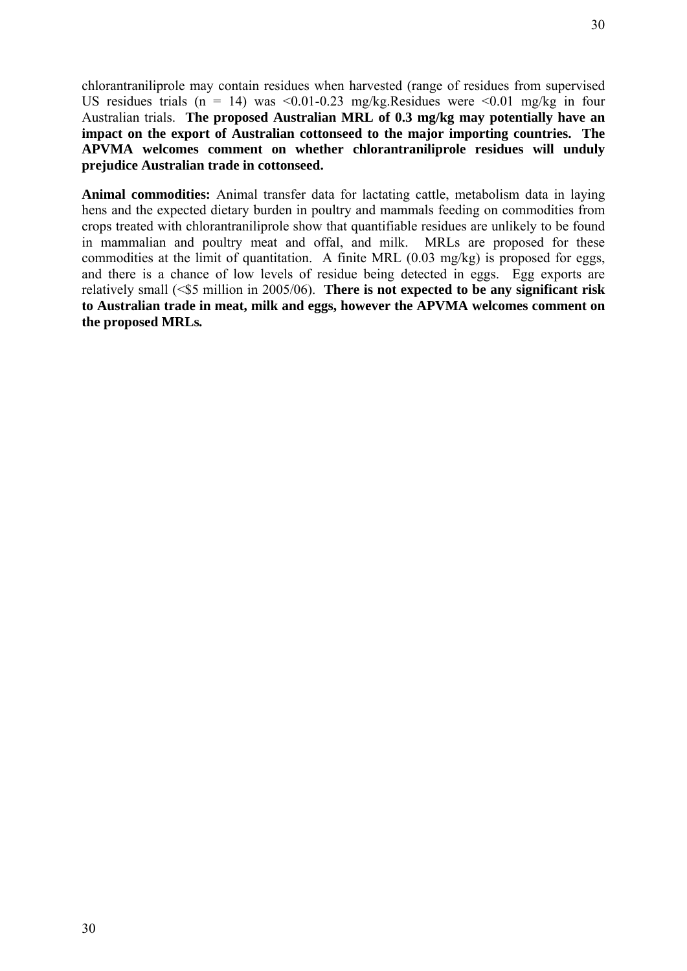chlorantraniliprole may contain residues when harvested (range of residues from supervised US residues trials (n = 14) was <0.01-0.23 mg/kg.Residues were <0.01 mg/kg in four Australian trials. **The proposed Australian MRL of 0.3 mg/kg may potentially have an impact on the export of Australian cottonseed to the major importing countries. The APVMA welcomes comment on whether chlorantraniliprole residues will unduly prejudice Australian trade in cottonseed.**

**Animal commodities:** Animal transfer data for lactating cattle, metabolism data in laying hens and the expected dietary burden in poultry and mammals feeding on commodities from crops treated with chlorantraniliprole show that quantifiable residues are unlikely to be found in mammalian and poultry meat and offal, and milk. MRLs are proposed for these commodities at the limit of quantitation. A finite MRL (0.03 mg/kg) is proposed for eggs, and there is a chance of low levels of residue being detected in eggs. Egg exports are relatively small (<\$5 million in 2005/06). **There is not expected to be any significant risk to Australian trade in meat, milk and eggs, however the APVMA welcomes comment on the proposed MRLs***.*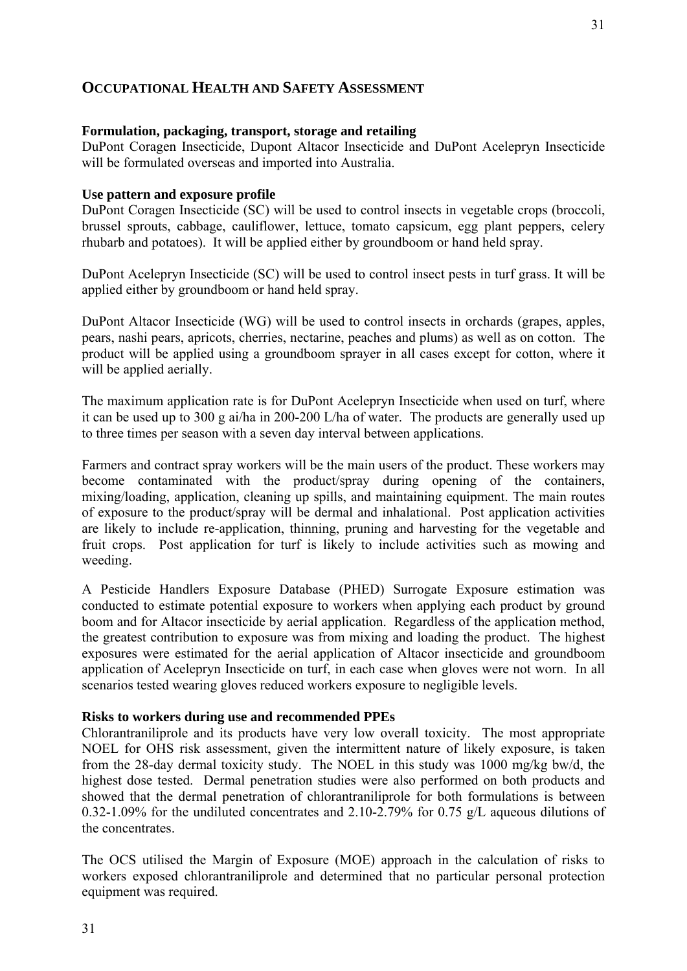# **OCCUPATIONAL HEALTH AND SAFETY ASSESSMENT**

#### **Formulation, packaging, transport, storage and retailing**

DuPont Coragen Insecticide, Dupont Altacor Insecticide and DuPont Acelepryn Insecticide will be formulated overseas and imported into Australia.

#### **Use pattern and exposure profile**

DuPont Coragen Insecticide (SC) will be used to control insects in vegetable crops (broccoli, brussel sprouts, cabbage, cauliflower, lettuce, tomato capsicum, egg plant peppers, celery rhubarb and potatoes). It will be applied either by groundboom or hand held spray.

DuPont Acelepryn Insecticide (SC) will be used to control insect pests in turf grass. It will be applied either by groundboom or hand held spray.

DuPont Altacor Insecticide (WG) will be used to control insects in orchards (grapes, apples, pears, nashi pears, apricots, cherries, nectarine, peaches and plums) as well as on cotton. The product will be applied using a groundboom sprayer in all cases except for cotton, where it will be applied aerially.

The maximum application rate is for DuPont Acelepryn Insecticide when used on turf, where it can be used up to 300 g ai/ha in 200-200 L/ha of water. The products are generally used up to three times per season with a seven day interval between applications.

Farmers and contract spray workers will be the main users of the product. These workers may become contaminated with the product/spray during opening of the containers, mixing/loading, application, cleaning up spills, and maintaining equipment. The main routes of exposure to the product/spray will be dermal and inhalational. Post application activities are likely to include re-application, thinning, pruning and harvesting for the vegetable and fruit crops. Post application for turf is likely to include activities such as mowing and weeding.

A Pesticide Handlers Exposure Database (PHED) Surrogate Exposure estimation was conducted to estimate potential exposure to workers when applying each product by ground boom and for Altacor insecticide by aerial application. Regardless of the application method, the greatest contribution to exposure was from mixing and loading the product. The highest exposures were estimated for the aerial application of Altacor insecticide and groundboom application of Acelepryn Insecticide on turf, in each case when gloves were not worn. In all scenarios tested wearing gloves reduced workers exposure to negligible levels.

#### **Risks to workers during use and recommended PPEs**

Chlorantraniliprole and its products have very low overall toxicity. The most appropriate NOEL for OHS risk assessment, given the intermittent nature of likely exposure, is taken from the 28-day dermal toxicity study. The NOEL in this study was 1000 mg/kg bw/d, the highest dose tested. Dermal penetration studies were also performed on both products and showed that the dermal penetration of chlorantraniliprole for both formulations is between 0.32-1.09% for the undiluted concentrates and 2.10-2.79% for 0.75 g/L aqueous dilutions of the concentrates.

The OCS utilised the Margin of Exposure (MOE) approach in the calculation of risks to workers exposed chlorantraniliprole and determined that no particular personal protection equipment was required.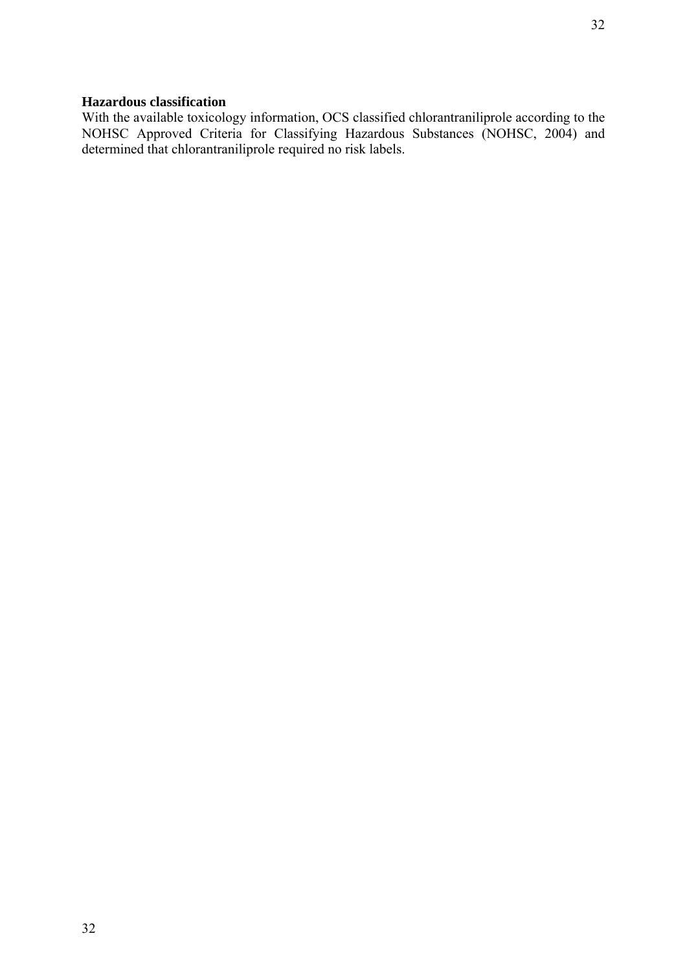# **Hazardous classification**

With the available toxicology information, OCS classified chlorantraniliprole according to the NOHSC Approved Criteria for Classifying Hazardous Substances (NOHSC, 2004) and determined that chlorantraniliprole required no risk labels.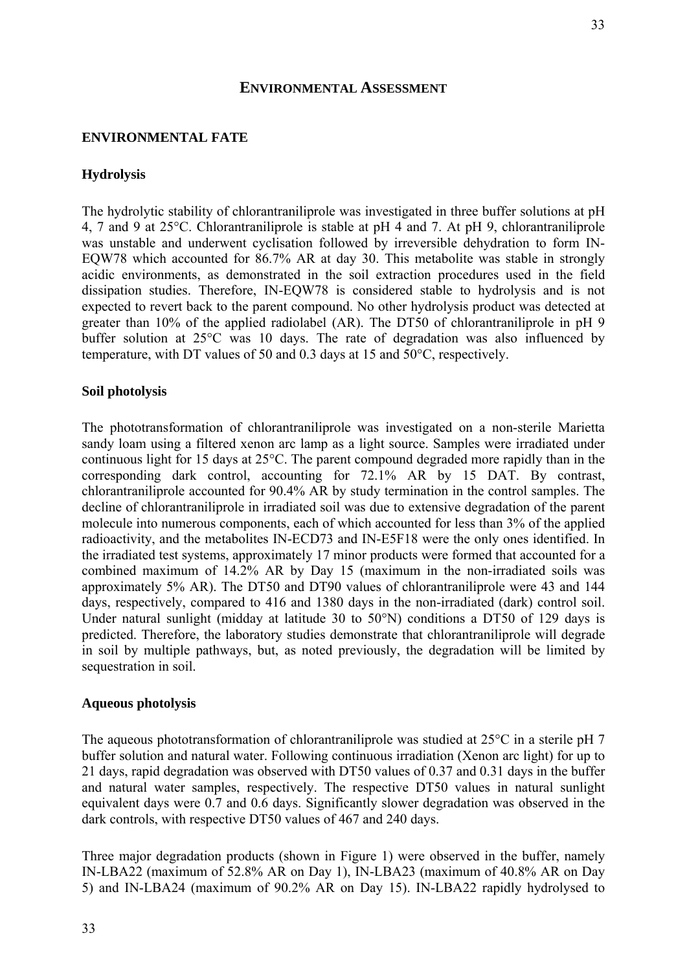#### **ENVIRONMENTAL ASSESSMENT**

# **ENVIRONMENTAL FATE**

### **Hydrolysis**

The hydrolytic stability of chlorantraniliprole was investigated in three buffer solutions at pH 4, 7 and 9 at 25°C. Chlorantraniliprole is stable at pH 4 and 7. At pH 9, chlorantraniliprole was unstable and underwent cyclisation followed by irreversible dehydration to form IN-EQW78 which accounted for 86.7% AR at day 30. This metabolite was stable in strongly acidic environments, as demonstrated in the soil extraction procedures used in the field dissipation studies. Therefore, IN-EQW78 is considered stable to hydrolysis and is not expected to revert back to the parent compound. No other hydrolysis product was detected at greater than 10% of the applied radiolabel (AR). The DT50 of chlorantraniliprole in pH 9 buffer solution at 25°C was 10 days. The rate of degradation was also influenced by temperature, with DT values of 50 and 0.3 days at 15 and 50°C, respectively.

#### **Soil photolysis**

The phototransformation of chlorantraniliprole was investigated on a non-sterile Marietta sandy loam using a filtered xenon arc lamp as a light source. Samples were irradiated under continuous light for 15 days at 25°C. The parent compound degraded more rapidly than in the corresponding dark control, accounting for 72.1% AR by 15 DAT. By contrast, chlorantraniliprole accounted for 90.4% AR by study termination in the control samples. The decline of chlorantraniliprole in irradiated soil was due to extensive degradation of the parent molecule into numerous components, each of which accounted for less than 3% of the applied radioactivity, and the metabolites IN-ECD73 and IN-E5F18 were the only ones identified. In the irradiated test systems, approximately 17 minor products were formed that accounted for a combined maximum of 14.2% AR by Day 15 (maximum in the non-irradiated soils was approximately 5% AR). The DT50 and DT90 values of chlorantraniliprole were 43 and 144 days, respectively, compared to 416 and 1380 days in the non-irradiated (dark) control soil. Under natural sunlight (midday at latitude 30 to 50°N) conditions a DT50 of 129 days is predicted. Therefore, the laboratory studies demonstrate that chlorantraniliprole will degrade in soil by multiple pathways, but, as noted previously, the degradation will be limited by sequestration in soil.

#### **Aqueous photolysis**

The aqueous phototransformation of chlorantraniliprole was studied at 25°C in a sterile pH 7 buffer solution and natural water. Following continuous irradiation (Xenon arc light) for up to 21 days, rapid degradation was observed with DT50 values of 0.37 and 0.31 days in the buffer and natural water samples, respectively. The respective DT50 values in natural sunlight equivalent days were 0.7 and 0.6 days. Significantly slower degradation was observed in the dark controls, with respective DT50 values of 467 and 240 days.

Three major degradation products (shown in Figure 1) were observed in the buffer, namely IN-LBA22 (maximum of 52.8% AR on Day 1), IN-LBA23 (maximum of 40.8% AR on Day 5) and IN-LBA24 (maximum of 90.2% AR on Day 15). IN-LBA22 rapidly hydrolysed to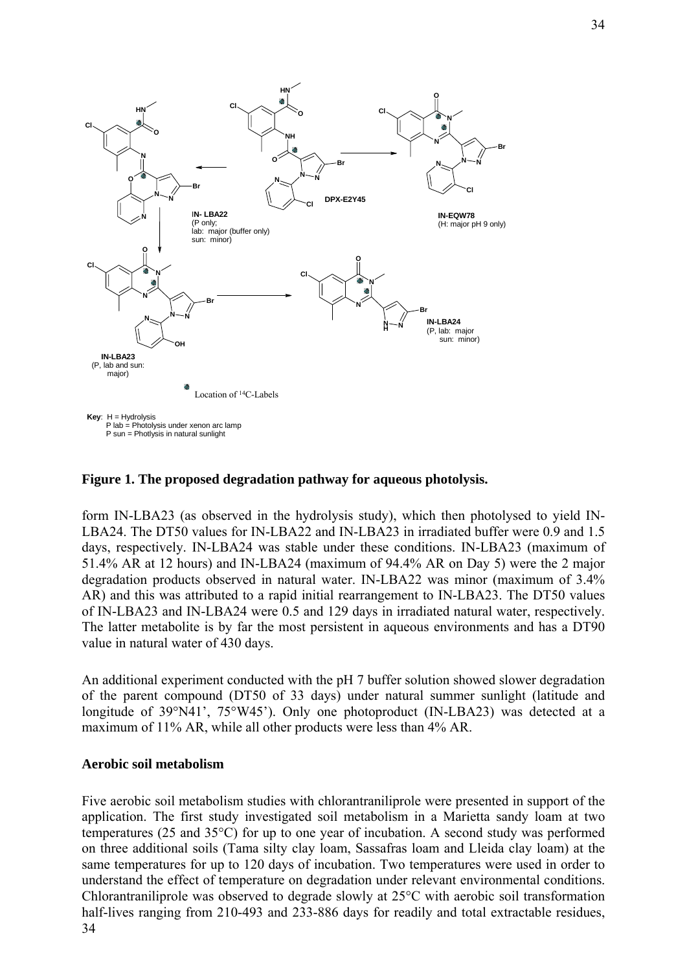

#### **Figure 1. The proposed degradation pathway for aqueous photolysis.**

form IN-LBA23 (as observed in the hydrolysis study), which then photolysed to yield IN-LBA24. The DT50 values for IN-LBA22 and IN-LBA23 in irradiated buffer were 0.9 and 1.5 days, respectively. IN-LBA24 was stable under these conditions. IN-LBA23 (maximum of 51.4% AR at 12 hours) and IN-LBA24 (maximum of 94.4% AR on Day 5) were the 2 major degradation products observed in natural water. IN-LBA22 was minor (maximum of 3.4% AR) and this was attributed to a rapid initial rearrangement to IN-LBA23. The DT50 values of IN-LBA23 and IN-LBA24 were 0.5 and 129 days in irradiated natural water, respectively. The latter metabolite is by far the most persistent in aqueous environments and has a DT90 value in natural water of 430 days.

An additional experiment conducted with the pH 7 buffer solution showed slower degradation of the parent compound (DT50 of 33 days) under natural summer sunlight (latitude and longitude of 39°N41', 75°W45'). Only one photoproduct (IN-LBA23) was detected at a maximum of 11% AR, while all other products were less than 4% AR.

#### **Aerobic soil metabolism**

34 Five aerobic soil metabolism studies with chlorantraniliprole were presented in support of the application. The first study investigated soil metabolism in a Marietta sandy loam at two temperatures (25 and 35°C) for up to one year of incubation. A second study was performed on three additional soils (Tama silty clay loam, Sassafras loam and Lleida clay loam) at the same temperatures for up to 120 days of incubation. Two temperatures were used in order to understand the effect of temperature on degradation under relevant environmental conditions. Chlorantraniliprole was observed to degrade slowly at 25°C with aerobic soil transformation half-lives ranging from 210-493 and 233-886 days for readily and total extractable residues,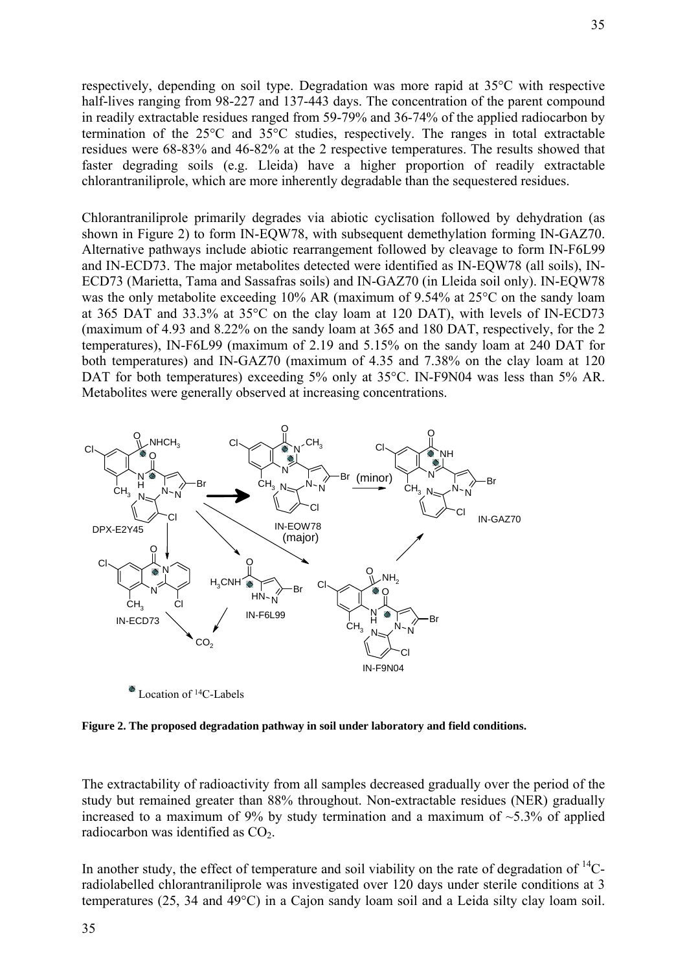respectively, depending on soil type. Degradation was more rapid at 35°C with respective half-lives ranging from 98-227 and 137-443 days. The concentration of the parent compound in readily extractable residues ranged from 59-79% and 36-74% of the applied radiocarbon by termination of the 25°C and 35°C studies, respectively. The ranges in total extractable residues were 68-83% and 46-82% at the 2 respective temperatures. The results showed that faster degrading soils (e.g. Lleida) have a higher proportion of readily extractable chlorantraniliprole, which are more inherently degradable than the sequestered residues.

Chlorantraniliprole primarily degrades via abiotic cyclisation followed by dehydration (as shown in Figure 2) to form IN-EQW78, with subsequent demethylation forming IN-GAZ70. Alternative pathways include abiotic rearrangement followed by cleavage to form IN-F6L99 and IN-ECD73. The major metabolites detected were identified as IN-EQW78 (all soils), IN-ECD73 (Marietta, Tama and Sassafras soils) and IN-GAZ70 (in Lleida soil only). IN-EQW78 was the only metabolite exceeding 10% AR (maximum of 9.54% at 25°C on the sandy loam at 365 DAT and 33.3% at 35°C on the clay loam at 120 DAT), with levels of IN-ECD73 (maximum of 4.93 and 8.22% on the sandy loam at 365 and 180 DAT, respectively, for the 2 temperatures), IN-F6L99 (maximum of 2.19 and 5.15% on the sandy loam at 240 DAT for both temperatures) and IN-GAZ70 (maximum of 4.35 and 7.38% on the clay loam at 120 DAT for both temperatures) exceeding 5% only at 35°C. IN-F9N04 was less than 5% AR. Metabolites were generally observed at increasing concentrations.



Location of <sup>14</sup>C-Labels

**Figure 2. The proposed degradation pathway in soil under laboratory and field conditions.** 

The extractability of radioactivity from all samples decreased gradually over the period of the study but remained greater than 88% throughout. Non-extractable residues (NER) gradually increased to a maximum of 9% by study termination and a maximum of  $\sim$ 5.3% of applied radiocarbon was identified as  $CO<sub>2</sub>$ .

In another study, the effect of temperature and soil viability on the rate of degradation of  $^{14}C$ radiolabelled chlorantraniliprole was investigated over 120 days under sterile conditions at 3 temperatures (25, 34 and 49°C) in a Cajon sandy loam soil and a Leida silty clay loam soil.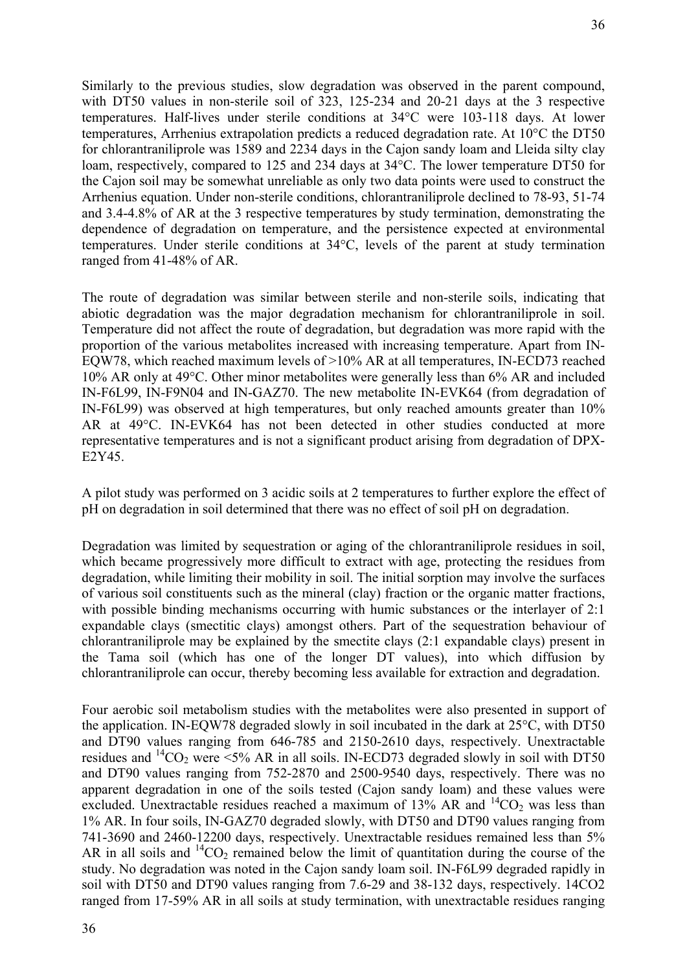Similarly to the previous studies, slow degradation was observed in the parent compound, with DT50 values in non-sterile soil of 323, 125-234 and 20-21 days at the 3 respective temperatures. Half-lives under sterile conditions at 34°C were 103-118 days. At lower temperatures, Arrhenius extrapolation predicts a reduced degradation rate. At 10°C the DT50 for chlorantraniliprole was 1589 and 2234 days in the Cajon sandy loam and Lleida silty clay loam, respectively, compared to 125 and 234 days at 34°C. The lower temperature DT50 for the Cajon soil may be somewhat unreliable as only two data points were used to construct the Arrhenius equation. Under non-sterile conditions, chlorantraniliprole declined to 78-93, 51-74 and 3.4-4.8% of AR at the 3 respective temperatures by study termination, demonstrating the dependence of degradation on temperature, and the persistence expected at environmental temperatures. Under sterile conditions at 34°C, levels of the parent at study termination ranged from 41-48% of AR.

The route of degradation was similar between sterile and non-sterile soils, indicating that abiotic degradation was the major degradation mechanism for chlorantraniliprole in soil. Temperature did not affect the route of degradation, but degradation was more rapid with the proportion of the various metabolites increased with increasing temperature. Apart from IN-EQW78, which reached maximum levels of >10% AR at all temperatures, IN-ECD73 reached 10% AR only at 49°C. Other minor metabolites were generally less than 6% AR and included IN-F6L99, IN-F9N04 and IN-GAZ70. The new metabolite IN-EVK64 (from degradation of IN-F6L99) was observed at high temperatures, but only reached amounts greater than 10% AR at 49°C. IN-EVK64 has not been detected in other studies conducted at more representative temperatures and is not a significant product arising from degradation of DPX-E2Y45.

A pilot study was performed on 3 acidic soils at 2 temperatures to further explore the effect of pH on degradation in soil determined that there was no effect of soil pH on degradation.

Degradation was limited by sequestration or aging of the chlorantraniliprole residues in soil, which became progressively more difficult to extract with age, protecting the residues from degradation, while limiting their mobility in soil. The initial sorption may involve the surfaces of various soil constituents such as the mineral (clay) fraction or the organic matter fractions, with possible binding mechanisms occurring with humic substances or the interlayer of 2:1 expandable clays (smectitic clays) amongst others. Part of the sequestration behaviour of chlorantraniliprole may be explained by the smectite clays (2:1 expandable clays) present in the Tama soil (which has one of the longer DT values), into which diffusion by chlorantraniliprole can occur, thereby becoming less available for extraction and degradation.

Four aerobic soil metabolism studies with the metabolites were also presented in support of the application. IN-EQW78 degraded slowly in soil incubated in the dark at 25°C, with DT50 and DT90 values ranging from 646-785 and 2150-2610 days, respectively. Unextractable residues and  ${}^{14}CO_2$  were <5% AR in all soils. IN-ECD73 degraded slowly in soil with DT50 and DT90 values ranging from 752-2870 and 2500-9540 days, respectively. There was no apparent degradation in one of the soils tested (Cajon sandy loam) and these values were excluded. Unextractable residues reached a maximum of  $13\%$  AR and  $14CO_2$  was less than 1% AR. In four soils, IN-GAZ70 degraded slowly, with DT50 and DT90 values ranging from 741-3690 and 2460-12200 days, respectively. Unextractable residues remained less than 5% AR in all soils and  ${}^{14}CO_2$  remained below the limit of quantitation during the course of the study. No degradation was noted in the Cajon sandy loam soil. IN-F6L99 degraded rapidly in soil with DT50 and DT90 values ranging from 7.6-29 and 38-132 days, respectively. 14CO2 ranged from 17-59% AR in all soils at study termination, with unextractable residues ranging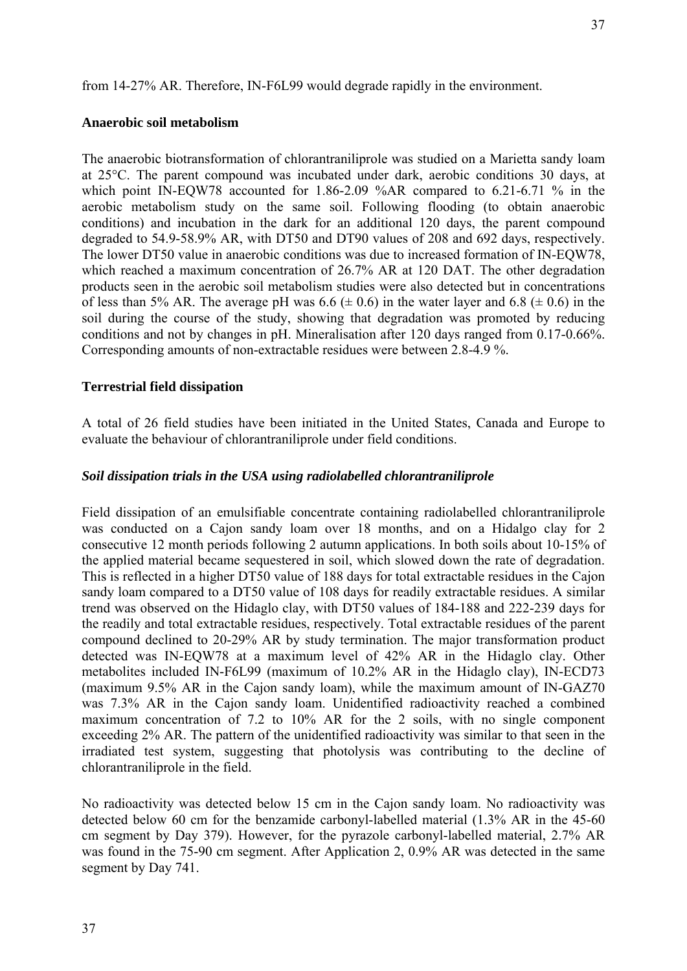from 14-27% AR. Therefore, IN-F6L99 would degrade rapidly in the environment.

## **Anaerobic soil metabolism**

The anaerobic biotransformation of chlorantraniliprole was studied on a Marietta sandy loam at 25°C. The parent compound was incubated under dark, aerobic conditions 30 days, at which point IN-EQW78 accounted for 1.86-2.09 %AR compared to 6.21-6.71 % in the aerobic metabolism study on the same soil. Following flooding (to obtain anaerobic conditions) and incubation in the dark for an additional 120 days, the parent compound degraded to 54.9-58.9% AR, with DT50 and DT90 values of 208 and 692 days, respectively. The lower DT50 value in anaerobic conditions was due to increased formation of IN-EQW78, which reached a maximum concentration of 26.7% AR at 120 DAT. The other degradation products seen in the aerobic soil metabolism studies were also detected but in concentrations of less than 5% AR. The average pH was  $6.6 \ (\pm 0.6)$  in the water layer and  $6.8 \ (\pm 0.6)$  in the soil during the course of the study, showing that degradation was promoted by reducing conditions and not by changes in pH. Mineralisation after 120 days ranged from 0.17-0.66%. Corresponding amounts of non-extractable residues were between 2.8-4.9 %.

# **Terrestrial field dissipation**

A total of 26 field studies have been initiated in the United States, Canada and Europe to evaluate the behaviour of chlorantraniliprole under field conditions.

#### *Soil dissipation trials in the USA using radiolabelled chlorantraniliprole*

Field dissipation of an emulsifiable concentrate containing radiolabelled chlorantraniliprole was conducted on a Cajon sandy loam over 18 months, and on a Hidalgo clay for 2 consecutive 12 month periods following 2 autumn applications. In both soils about 10-15% of the applied material became sequestered in soil, which slowed down the rate of degradation. This is reflected in a higher DT50 value of 188 days for total extractable residues in the Cajon sandy loam compared to a DT50 value of 108 days for readily extractable residues. A similar trend was observed on the Hidaglo clay, with DT50 values of 184-188 and 222-239 days for the readily and total extractable residues, respectively. Total extractable residues of the parent compound declined to 20-29% AR by study termination. The major transformation product detected was IN-EQW78 at a maximum level of 42% AR in the Hidaglo clay. Other metabolites included IN-F6L99 (maximum of 10.2% AR in the Hidaglo clay), IN-ECD73 (maximum 9.5% AR in the Cajon sandy loam), while the maximum amount of IN-GAZ70 was 7.3% AR in the Cajon sandy loam. Unidentified radioactivity reached a combined maximum concentration of 7.2 to 10% AR for the 2 soils, with no single component exceeding 2% AR. The pattern of the unidentified radioactivity was similar to that seen in the irradiated test system, suggesting that photolysis was contributing to the decline of chlorantraniliprole in the field.

No radioactivity was detected below 15 cm in the Cajon sandy loam. No radioactivity was detected below 60 cm for the benzamide carbonyl-labelled material (1.3% AR in the 45-60 cm segment by Day 379). However, for the pyrazole carbonyl-labelled material, 2.7% AR was found in the 75-90 cm segment. After Application 2, 0.9% AR was detected in the same segment by Day 741.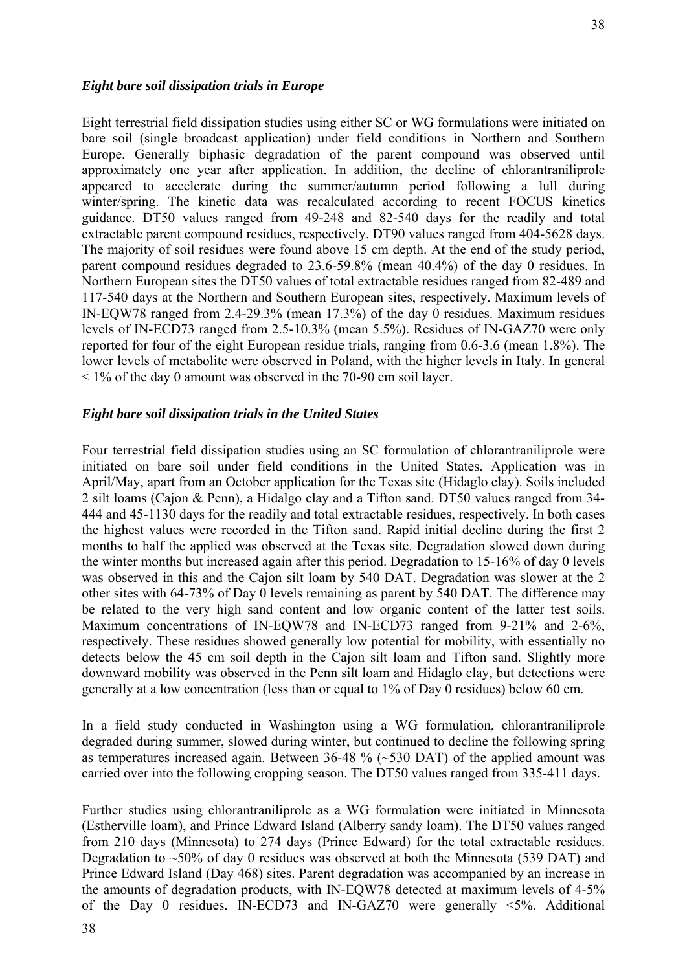# *Eight bare soil dissipation trials in Europe*

Eight terrestrial field dissipation studies using either SC or WG formulations were initiated on bare soil (single broadcast application) under field conditions in Northern and Southern Europe. Generally biphasic degradation of the parent compound was observed until approximately one year after application. In addition, the decline of chlorantraniliprole appeared to accelerate during the summer/autumn period following a lull during winter/spring. The kinetic data was recalculated according to recent FOCUS kinetics guidance. DT50 values ranged from 49-248 and 82-540 days for the readily and total extractable parent compound residues, respectively. DT90 values ranged from 404-5628 days. The majority of soil residues were found above 15 cm depth. At the end of the study period, parent compound residues degraded to 23.6-59.8% (mean 40.4%) of the day 0 residues. In Northern European sites the DT50 values of total extractable residues ranged from 82-489 and 117-540 days at the Northern and Southern European sites, respectively. Maximum levels of IN-EQW78 ranged from 2.4-29.3% (mean 17.3%) of the day 0 residues. Maximum residues levels of IN-ECD73 ranged from 2.5-10.3% (mean 5.5%). Residues of IN-GAZ70 were only reported for four of the eight European residue trials, ranging from 0.6-3.6 (mean 1.8%). The lower levels of metabolite were observed in Poland, with the higher levels in Italy. In general  $\leq$  1% of the day 0 amount was observed in the 70-90 cm soil layer.

#### *Eight bare soil dissipation trials in the United States*

Four terrestrial field dissipation studies using an SC formulation of chlorantraniliprole were initiated on bare soil under field conditions in the United States. Application was in April/May, apart from an October application for the Texas site (Hidaglo clay). Soils included 2 silt loams (Cajon & Penn), a Hidalgo clay and a Tifton sand. DT50 values ranged from 34- 444 and 45-1130 days for the readily and total extractable residues, respectively. In both cases the highest values were recorded in the Tifton sand. Rapid initial decline during the first 2 months to half the applied was observed at the Texas site. Degradation slowed down during the winter months but increased again after this period. Degradation to 15-16% of day 0 levels was observed in this and the Cajon silt loam by 540 DAT. Degradation was slower at the 2 other sites with 64-73% of Day 0 levels remaining as parent by 540 DAT. The difference may be related to the very high sand content and low organic content of the latter test soils. Maximum concentrations of IN-EQW78 and IN-ECD73 ranged from 9-21% and 2-6%, respectively. These residues showed generally low potential for mobility, with essentially no detects below the 45 cm soil depth in the Cajon silt loam and Tifton sand. Slightly more downward mobility was observed in the Penn silt loam and Hidaglo clay, but detections were generally at a low concentration (less than or equal to 1% of Day 0 residues) below 60 cm.

In a field study conducted in Washington using a WG formulation, chlorantraniliprole degraded during summer, slowed during winter, but continued to decline the following spring as temperatures increased again. Between 36-48 % (~530 DAT) of the applied amount was carried over into the following cropping season. The DT50 values ranged from 335-411 days.

Further studies using chlorantraniliprole as a WG formulation were initiated in Minnesota (Estherville loam), and Prince Edward Island (Alberry sandy loam). The DT50 values ranged from 210 days (Minnesota) to 274 days (Prince Edward) for the total extractable residues. Degradation to  $\sim$ 50% of day 0 residues was observed at both the Minnesota (539 DAT) and Prince Edward Island (Day 468) sites. Parent degradation was accompanied by an increase in the amounts of degradation products, with IN-EQW78 detected at maximum levels of 4-5% of the Day 0 residues. IN-ECD73 and IN-GAZ70 were generally  $\leq 5\%$ . Additional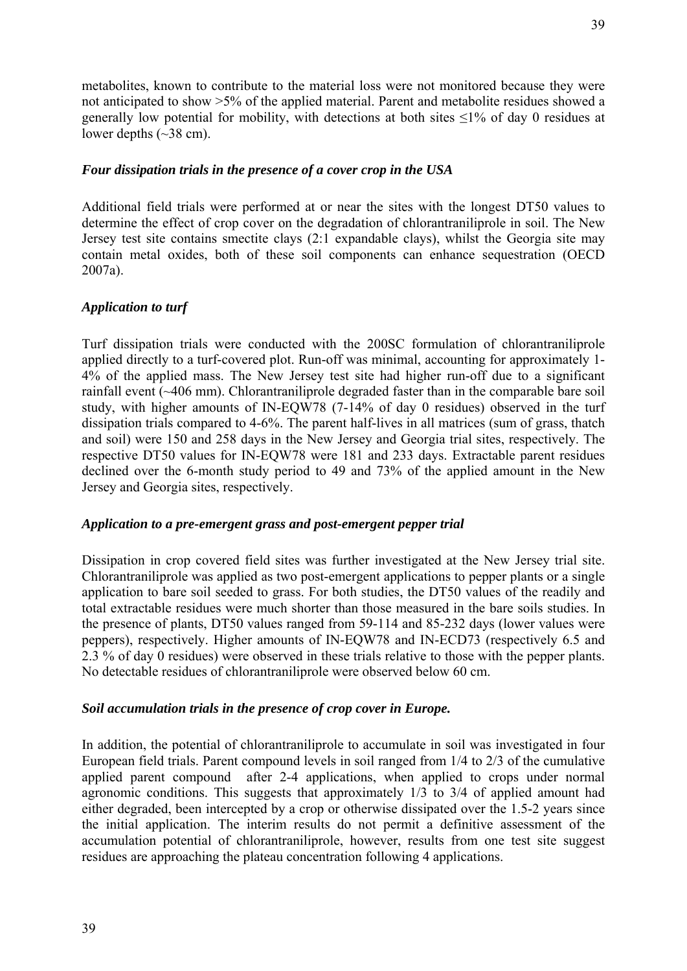metabolites, known to contribute to the material loss were not monitored because they were not anticipated to show >5% of the applied material. Parent and metabolite residues showed a generally low potential for mobility, with detections at both sites  $\leq$ 1% of day 0 residues at lower depths (~38 cm).

# *Four dissipation trials in the presence of a cover crop in the USA*

Additional field trials were performed at or near the sites with the longest DT50 values to determine the effect of crop cover on the degradation of chlorantraniliprole in soil. The New Jersey test site contains smectite clays (2:1 expandable clays), whilst the Georgia site may contain metal oxides, both of these soil components can enhance sequestration (OECD 2007a).

# *Application to turf*

Turf dissipation trials were conducted with the 200SC formulation of chlorantraniliprole applied directly to a turf-covered plot. Run-off was minimal, accounting for approximately 1- 4% of the applied mass. The New Jersey test site had higher run-off due to a significant rainfall event (~406 mm). Chlorantraniliprole degraded faster than in the comparable bare soil study, with higher amounts of IN-EQW78 (7-14% of day 0 residues) observed in the turf dissipation trials compared to 4-6%. The parent half-lives in all matrices (sum of grass, thatch and soil) were 150 and 258 days in the New Jersey and Georgia trial sites, respectively. The respective DT50 values for IN-EQW78 were 181 and 233 days. Extractable parent residues declined over the 6-month study period to 49 and 73% of the applied amount in the New Jersey and Georgia sites, respectively.

# *Application to a pre-emergent grass and post-emergent pepper trial*

Dissipation in crop covered field sites was further investigated at the New Jersey trial site. Chlorantraniliprole was applied as two post-emergent applications to pepper plants or a single application to bare soil seeded to grass. For both studies, the DT50 values of the readily and total extractable residues were much shorter than those measured in the bare soils studies. In the presence of plants, DT50 values ranged from 59-114 and 85-232 days (lower values were peppers), respectively. Higher amounts of IN-EQW78 and IN-ECD73 (respectively 6.5 and 2.3 % of day 0 residues) were observed in these trials relative to those with the pepper plants. No detectable residues of chlorantraniliprole were observed below 60 cm.

# *Soil accumulation trials in the presence of crop cover in Europe.*

In addition, the potential of chlorantraniliprole to accumulate in soil was investigated in four European field trials. Parent compound levels in soil ranged from 1/4 to 2/3 of the cumulative applied parent compound after 2-4 applications, when applied to crops under normal agronomic conditions. This suggests that approximately 1/3 to 3/4 of applied amount had either degraded, been intercepted by a crop or otherwise dissipated over the 1.5-2 years since the initial application. The interim results do not permit a definitive assessment of the accumulation potential of chlorantraniliprole, however, results from one test site suggest residues are approaching the plateau concentration following 4 applications.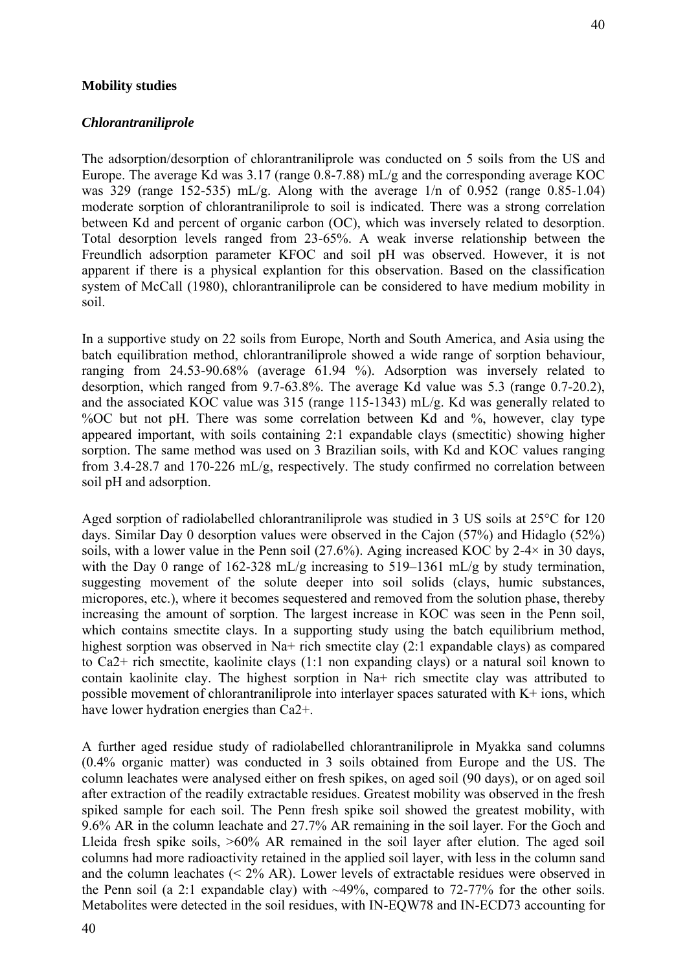### **Mobility studies**

#### *Chlorantraniliprole*

40

The adsorption/desorption of chlorantraniliprole was conducted on 5 soils from the US and Europe. The average Kd was 3.17 (range 0.8-7.88) mL/g and the corresponding average KOC was 329 (range 152-535) mL/g. Along with the average 1/n of 0.952 (range 0.85-1.04) moderate sorption of chlorantraniliprole to soil is indicated. There was a strong correlation between Kd and percent of organic carbon (OC), which was inversely related to desorption. Total desorption levels ranged from 23-65%. A weak inverse relationship between the Freundlich adsorption parameter KFOC and soil pH was observed. However, it is not apparent if there is a physical explantion for this observation. Based on the classification system of McCall (1980), chlorantraniliprole can be considered to have medium mobility in soil.

In a supportive study on 22 soils from Europe, North and South America, and Asia using the batch equilibration method, chlorantraniliprole showed a wide range of sorption behaviour, ranging from 24.53-90.68% (average 61.94 %). Adsorption was inversely related to desorption, which ranged from 9.7-63.8%. The average Kd value was 5.3 (range 0.7-20.2), and the associated KOC value was 315 (range 115-1343) mL/g. Kd was generally related to %OC but not pH. There was some correlation between Kd and %, however, clay type appeared important, with soils containing 2:1 expandable clays (smectitic) showing higher sorption. The same method was used on 3 Brazilian soils, with Kd and KOC values ranging from 3.4-28.7 and 170-226 mL/g, respectively. The study confirmed no correlation between soil pH and adsorption.

Aged sorption of radiolabelled chlorantraniliprole was studied in 3 US soils at 25°C for 120 days. Similar Day 0 desorption values were observed in the Cajon (57%) and Hidaglo (52%) soils, with a lower value in the Penn soil (27.6%). Aging increased KOC by 2-4 $\times$  in 30 days, with the Day 0 range of 162-328 mL/g increasing to 519–1361 mL/g by study termination, suggesting movement of the solute deeper into soil solids (clays, humic substances, micropores, etc.), where it becomes sequestered and removed from the solution phase, thereby increasing the amount of sorption. The largest increase in KOC was seen in the Penn soil, which contains smectite clays. In a supporting study using the batch equilibrium method, highest sorption was observed in Na+ rich smectite clay (2:1 expandable clays) as compared to Ca2+ rich smectite, kaolinite clays (1:1 non expanding clays) or a natural soil known to contain kaolinite clay. The highest sorption in Na+ rich smectite clay was attributed to possible movement of chlorantraniliprole into interlayer spaces saturated with K+ ions, which have lower hydration energies than Ca2+.

A further aged residue study of radiolabelled chlorantraniliprole in Myakka sand columns (0.4% organic matter) was conducted in 3 soils obtained from Europe and the US. The column leachates were analysed either on fresh spikes, on aged soil (90 days), or on aged soil after extraction of the readily extractable residues. Greatest mobility was observed in the fresh spiked sample for each soil. The Penn fresh spike soil showed the greatest mobility, with 9.6% AR in the column leachate and 27.7% AR remaining in the soil layer. For the Goch and Lleida fresh spike soils, >60% AR remained in the soil layer after elution. The aged soil columns had more radioactivity retained in the applied soil layer, with less in the column sand and the column leachates  $(< 2\%$  AR). Lower levels of extractable residues were observed in the Penn soil (a 2:1 expandable clay) with  $\sim$ 49%, compared to 72-77% for the other soils. Metabolites were detected in the soil residues, with IN-EQW78 and IN-ECD73 accounting for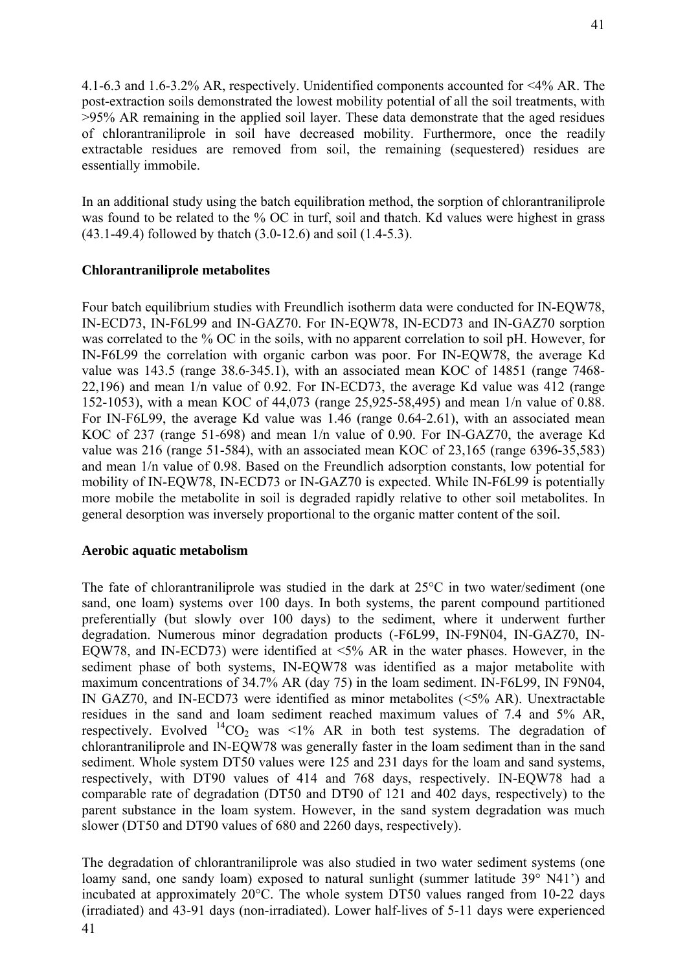4.1-6.3 and 1.6-3.2% AR, respectively. Unidentified components accounted for <4% AR. The post-extraction soils demonstrated the lowest mobility potential of all the soil treatments, with >95% AR remaining in the applied soil layer. These data demonstrate that the aged residues of chlorantraniliprole in soil have decreased mobility. Furthermore, once the readily extractable residues are removed from soil, the remaining (sequestered) residues are essentially immobile.

In an additional study using the batch equilibration method, the sorption of chlorantraniliprole was found to be related to the % OC in turf, soil and thatch. Kd values were highest in grass (43.1-49.4) followed by thatch (3.0-12.6) and soil (1.4-5.3).

# **Chlorantraniliprole metabolites**

Four batch equilibrium studies with Freundlich isotherm data were conducted for IN-EQW78, IN-ECD73, IN-F6L99 and IN-GAZ70. For IN-EQW78, IN-ECD73 and IN-GAZ70 sorption was correlated to the % OC in the soils, with no apparent correlation to soil pH. However, for IN-F6L99 the correlation with organic carbon was poor. For IN-EQW78, the average Kd value was 143.5 (range 38.6-345.1), with an associated mean KOC of 14851 (range 7468- 22,196) and mean 1/n value of 0.92. For IN-ECD73, the average Kd value was 412 (range 152-1053), with a mean KOC of 44,073 (range 25,925-58,495) and mean 1/n value of 0.88. For IN-F6L99, the average Kd value was 1.46 (range 0.64-2.61), with an associated mean KOC of 237 (range 51-698) and mean 1/n value of 0.90. For IN-GAZ70, the average Kd value was 216 (range 51-584), with an associated mean KOC of 23,165 (range 6396-35,583) and mean 1/n value of 0.98. Based on the Freundlich adsorption constants, low potential for mobility of IN-EQW78, IN-ECD73 or IN-GAZ70 is expected. While IN-F6L99 is potentially more mobile the metabolite in soil is degraded rapidly relative to other soil metabolites. In general desorption was inversely proportional to the organic matter content of the soil.

# **Aerobic aquatic metabolism**

The fate of chlorantraniliprole was studied in the dark at 25°C in two water/sediment (one sand, one loam) systems over 100 days. In both systems, the parent compound partitioned preferentially (but slowly over 100 days) to the sediment, where it underwent further degradation. Numerous minor degradation products (-F6L99, IN-F9N04, IN-GAZ70, IN-EQW78, and IN-ECD73) were identified at  $\leq 5\%$  AR in the water phases. However, in the sediment phase of both systems, IN-EQW78 was identified as a major metabolite with maximum concentrations of 34.7% AR (day 75) in the loam sediment. IN-F6L99, IN F9N04, IN GAZ70, and IN-ECD73 were identified as minor metabolites (<5% AR). Unextractable residues in the sand and loam sediment reached maximum values of 7.4 and 5% AR, respectively. Evolved  ${}^{14}CO_2$  was <1% AR in both test systems. The degradation of chlorantraniliprole and IN-EQW78 was generally faster in the loam sediment than in the sand sediment. Whole system DT50 values were 125 and 231 days for the loam and sand systems, respectively, with DT90 values of 414 and 768 days, respectively. IN-EQW78 had a comparable rate of degradation (DT50 and DT90 of 121 and 402 days, respectively) to the parent substance in the loam system. However, in the sand system degradation was much slower (DT50 and DT90 values of 680 and 2260 days, respectively).

The degradation of chlorantraniliprole was also studied in two water sediment systems (one loamy sand, one sandy loam) exposed to natural sunlight (summer latitude 39° N41') and incubated at approximately 20°C. The whole system DT50 values ranged from 10-22 days (irradiated) and 43-91 days (non-irradiated). Lower half-lives of 5-11 days were experienced 41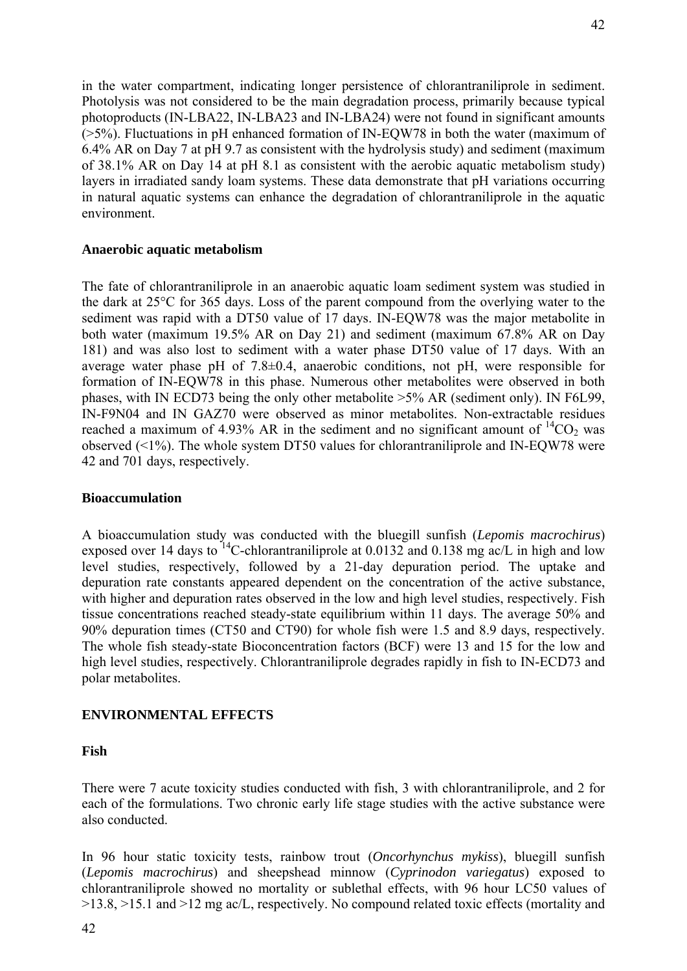in the water compartment, indicating longer persistence of chlorantraniliprole in sediment. Photolysis was not considered to be the main degradation process, primarily because typical photoproducts (IN-LBA22, IN-LBA23 and IN-LBA24) were not found in significant amounts (>5%). Fluctuations in pH enhanced formation of IN-EQW78 in both the water (maximum of 6.4% AR on Day 7 at pH 9.7 as consistent with the hydrolysis study) and sediment (maximum of 38.1% AR on Day 14 at pH 8.1 as consistent with the aerobic aquatic metabolism study) layers in irradiated sandy loam systems. These data demonstrate that pH variations occurring in natural aquatic systems can enhance the degradation of chlorantraniliprole in the aquatic environment.

# **Anaerobic aquatic metabolism**

The fate of chlorantraniliprole in an anaerobic aquatic loam sediment system was studied in the dark at 25°C for 365 days. Loss of the parent compound from the overlying water to the sediment was rapid with a DT50 value of 17 days. IN-EQW78 was the major metabolite in both water (maximum 19.5% AR on Day 21) and sediment (maximum 67.8% AR on Day 181) and was also lost to sediment with a water phase DT50 value of 17 days. With an average water phase pH of 7.8±0.4, anaerobic conditions, not pH, were responsible for formation of IN-EQW78 in this phase. Numerous other metabolites were observed in both phases, with IN ECD73 being the only other metabolite >5% AR (sediment only). IN F6L99, IN-F9N04 and IN GAZ70 were observed as minor metabolites. Non-extractable residues reached a maximum of 4.93% AR in the sediment and no significant amount of  ${}^{14}CO_2$  was observed (<1%). The whole system DT50 values for chlorantraniliprole and IN-EQW78 were 42 and 701 days, respectively.

#### **Bioaccumulation**

A bioaccumulation study was conducted with the bluegill sunfish (*Lepomis macrochirus*) exposed over 14 days to  $^{14}$ C-chlorantraniliprole at 0.0132 and 0.138 mg ac/L in high and low level studies, respectively, followed by a 21-day depuration period. The uptake and depuration rate constants appeared dependent on the concentration of the active substance, with higher and depuration rates observed in the low and high level studies, respectively. Fish tissue concentrations reached steady-state equilibrium within 11 days. The average 50% and 90% depuration times (CT50 and CT90) for whole fish were 1.5 and 8.9 days, respectively. The whole fish steady-state Bioconcentration factors (BCF) were 13 and 15 for the low and high level studies, respectively. Chlorantraniliprole degrades rapidly in fish to IN-ECD73 and polar metabolites.

# **ENVIRONMENTAL EFFECTS**

# **Fish**

There were 7 acute toxicity studies conducted with fish, 3 with chlorantraniliprole, and 2 for each of the formulations. Two chronic early life stage studies with the active substance were also conducted.

In 96 hour static toxicity tests, rainbow trout (*Oncorhynchus mykiss*), bluegill sunfish (*Lepomis macrochirus*) and sheepshead minnow (*Cyprinodon variegatus*) exposed to chlorantraniliprole showed no mortality or sublethal effects, with 96 hour LC50 values of >13.8, >15.1 and >12 mg ac/L, respectively. No compound related toxic effects (mortality and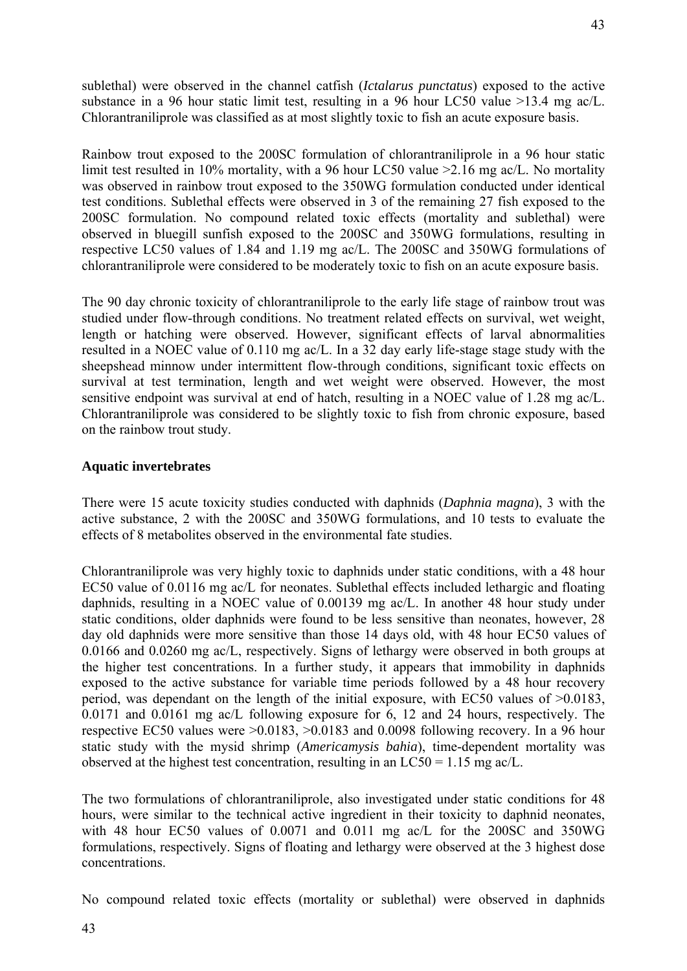sublethal) were observed in the channel catfish (*Ictalarus punctatus*) exposed to the active substance in a 96 hour static limit test, resulting in a 96 hour LC50 value >13.4 mg ac/L. Chlorantraniliprole was classified as at most slightly toxic to fish an acute exposure basis.

Rainbow trout exposed to the 200SC formulation of chlorantraniliprole in a 96 hour static limit test resulted in 10% mortality, with a 96 hour LC50 value >2.16 mg ac/L. No mortality was observed in rainbow trout exposed to the 350WG formulation conducted under identical test conditions. Sublethal effects were observed in 3 of the remaining 27 fish exposed to the 200SC formulation. No compound related toxic effects (mortality and sublethal) were observed in bluegill sunfish exposed to the 200SC and 350WG formulations, resulting in respective LC50 values of 1.84 and 1.19 mg ac/L. The 200SC and 350WG formulations of chlorantraniliprole were considered to be moderately toxic to fish on an acute exposure basis.

The 90 day chronic toxicity of chlorantraniliprole to the early life stage of rainbow trout was studied under flow-through conditions. No treatment related effects on survival, wet weight, length or hatching were observed. However, significant effects of larval abnormalities resulted in a NOEC value of 0.110 mg ac/L. In a 32 day early life-stage stage study with the sheepshead minnow under intermittent flow-through conditions, significant toxic effects on survival at test termination, length and wet weight were observed. However, the most sensitive endpoint was survival at end of hatch, resulting in a NOEC value of 1.28 mg ac/L. Chlorantraniliprole was considered to be slightly toxic to fish from chronic exposure, based on the rainbow trout study.

# **Aquatic invertebrates**

There were 15 acute toxicity studies conducted with daphnids (*Daphnia magna*), 3 with the active substance, 2 with the 200SC and 350WG formulations, and 10 tests to evaluate the effects of 8 metabolites observed in the environmental fate studies.

Chlorantraniliprole was very highly toxic to daphnids under static conditions, with a 48 hour EC50 value of 0.0116 mg ac/L for neonates. Sublethal effects included lethargic and floating daphnids, resulting in a NOEC value of 0.00139 mg ac/L. In another 48 hour study under static conditions, older daphnids were found to be less sensitive than neonates, however, 28 day old daphnids were more sensitive than those 14 days old, with 48 hour EC50 values of 0.0166 and 0.0260 mg ac/L, respectively. Signs of lethargy were observed in both groups at the higher test concentrations. In a further study, it appears that immobility in daphnids exposed to the active substance for variable time periods followed by a 48 hour recovery period, was dependant on the length of the initial exposure, with EC50 values of >0.0183, 0.0171 and 0.0161 mg ac/L following exposure for 6, 12 and 24 hours, respectively. The respective EC50 values were >0.0183, >0.0183 and 0.0098 following recovery. In a 96 hour static study with the mysid shrimp (*Americamysis bahia*), time-dependent mortality was observed at the highest test concentration, resulting in an LC50 = 1.15 mg ac/L.

The two formulations of chlorantraniliprole, also investigated under static conditions for 48 hours, were similar to the technical active ingredient in their toxicity to daphnid neonates, with 48 hour EC50 values of 0.0071 and 0.011 mg ac/L for the 200SC and 350WG formulations, respectively. Signs of floating and lethargy were observed at the 3 highest dose concentrations.

No compound related toxic effects (mortality or sublethal) were observed in daphnids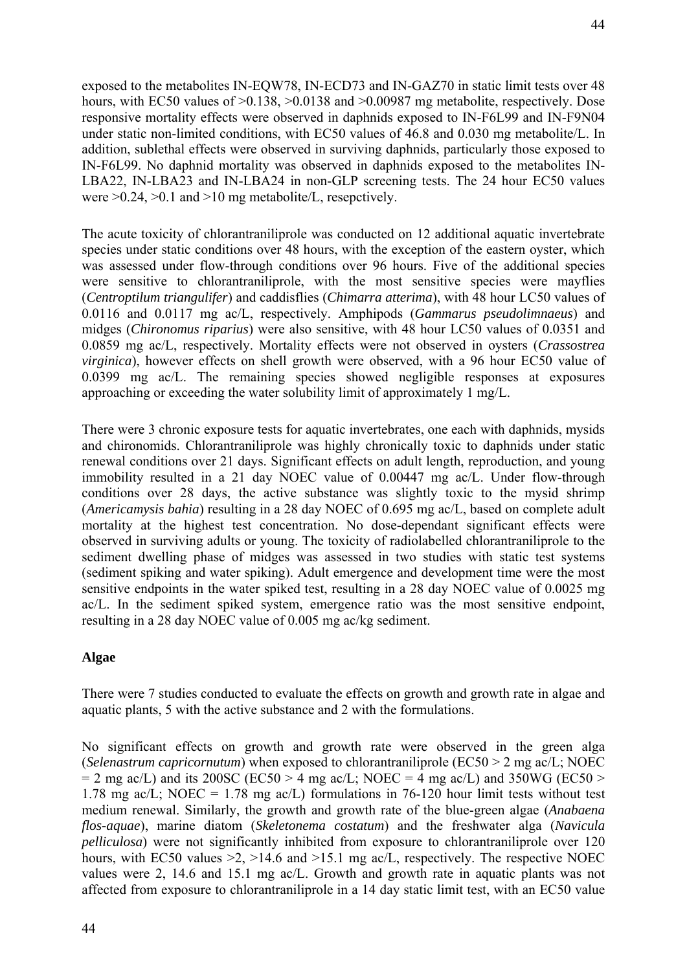exposed to the metabolites IN-EQW78, IN-ECD73 and IN-GAZ70 in static limit tests over 48 hours, with EC50 values of  $>0.138$ ,  $>0.0138$  and  $>0.00987$  mg metabolite, respectively. Dose responsive mortality effects were observed in daphnids exposed to IN-F6L99 and IN-F9N04 under static non-limited conditions, with EC50 values of 46.8 and 0.030 mg metabolite/L. In addition, sublethal effects were observed in surviving daphnids, particularly those exposed to IN-F6L99. No daphnid mortality was observed in daphnids exposed to the metabolites IN-LBA22, IN-LBA23 and IN-LBA24 in non-GLP screening tests. The 24 hour EC50 values were  $>0.24$ ,  $>0.1$  and  $>10$  mg metabolite/L, resepctively.

The acute toxicity of chlorantraniliprole was conducted on 12 additional aquatic invertebrate species under static conditions over 48 hours, with the exception of the eastern oyster, which was assessed under flow-through conditions over 96 hours. Five of the additional species were sensitive to chlorantraniliprole, with the most sensitive species were mayflies (*Centroptilum triangulifer*) and caddisflies (*Chimarra atterima*), with 48 hour LC50 values of 0.0116 and 0.0117 mg ac/L, respectively. Amphipods (*Gammarus pseudolimnaeus*) and midges (*Chironomus riparius*) were also sensitive, with 48 hour LC50 values of 0.0351 and 0.0859 mg ac/L, respectively. Mortality effects were not observed in oysters (*Crassostrea virginica*), however effects on shell growth were observed, with a 96 hour EC50 value of 0.0399 mg ac/L. The remaining species showed negligible responses at exposures approaching or exceeding the water solubility limit of approximately 1 mg/L.

There were 3 chronic exposure tests for aquatic invertebrates, one each with daphnids, mysids and chironomids. Chlorantraniliprole was highly chronically toxic to daphnids under static renewal conditions over 21 days. Significant effects on adult length, reproduction, and young immobility resulted in a 21 day NOEC value of 0.00447 mg ac/L. Under flow-through conditions over 28 days, the active substance was slightly toxic to the mysid shrimp (*Americamysis bahia*) resulting in a 28 day NOEC of 0.695 mg ac/L, based on complete adult mortality at the highest test concentration. No dose-dependant significant effects were observed in surviving adults or young. The toxicity of radiolabelled chlorantraniliprole to the sediment dwelling phase of midges was assessed in two studies with static test systems (sediment spiking and water spiking). Adult emergence and development time were the most sensitive endpoints in the water spiked test, resulting in a 28 day NOEC value of 0.0025 mg ac/L. In the sediment spiked system, emergence ratio was the most sensitive endpoint, resulting in a 28 day NOEC value of 0.005 mg ac/kg sediment.

# **Algae**

There were 7 studies conducted to evaluate the effects on growth and growth rate in algae and aquatic plants, 5 with the active substance and 2 with the formulations.

No significant effects on growth and growth rate were observed in the green alga (*Selenastrum capricornutum*) when exposed to chlorantraniliprole (EC50 > 2 mg ac/L; NOEC  $= 2$  mg ac/L) and its 200SC (EC50 > 4 mg ac/L; NOEC = 4 mg ac/L) and 350WG (EC50 > 1.78 mg ac/L; NOEC = 1.78 mg ac/L) formulations in 76-120 hour limit tests without test medium renewal. Similarly, the growth and growth rate of the blue-green algae (*Anabaena flos-aquae*), marine diatom (*Skeletonema costatum*) and the freshwater alga (*Navicula pelliculosa*) were not significantly inhibited from exposure to chlorantraniliprole over 120 hours, with EC50 values  $>2$ ,  $>14.6$  and  $>15.1$  mg ac/L, respectively. The respective NOEC values were 2, 14.6 and 15.1 mg ac/L. Growth and growth rate in aquatic plants was not affected from exposure to chlorantraniliprole in a 14 day static limit test, with an EC50 value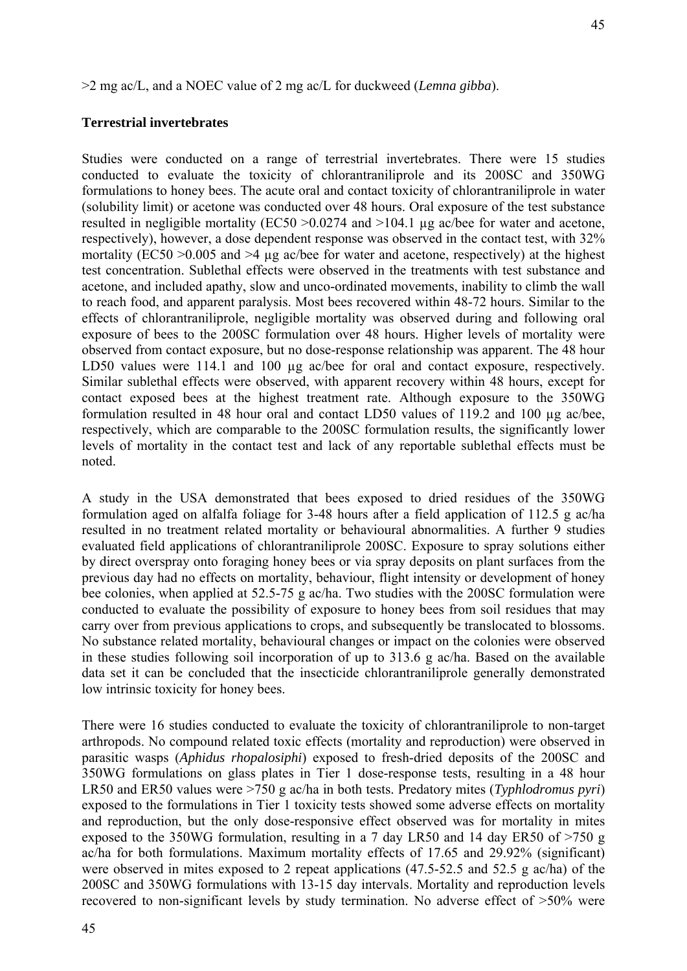>2 mg ac/L, and a NOEC value of 2 mg ac/L for duckweed (*Lemna gibba*).

# **Terrestrial invertebrates**

Studies were conducted on a range of terrestrial invertebrates. There were 15 studies conducted to evaluate the toxicity of chlorantraniliprole and its 200SC and 350WG formulations to honey bees. The acute oral and contact toxicity of chlorantraniliprole in water (solubility limit) or acetone was conducted over 48 hours. Oral exposure of the test substance resulted in negligible mortality (EC50 >0.0274 and >104.1 µg ac/bee for water and acetone, respectively), however, a dose dependent response was observed in the contact test, with 32% mortality (EC50  $>0.005$  and  $>4$  µg ac/bee for water and acetone, respectively) at the highest test concentration. Sublethal effects were observed in the treatments with test substance and acetone, and included apathy, slow and unco-ordinated movements, inability to climb the wall to reach food, and apparent paralysis. Most bees recovered within 48-72 hours. Similar to the effects of chlorantraniliprole, negligible mortality was observed during and following oral exposure of bees to the 200SC formulation over 48 hours. Higher levels of mortality were observed from contact exposure, but no dose-response relationship was apparent. The 48 hour LD50 values were 114.1 and 100 µg ac/bee for oral and contact exposure, respectively. Similar sublethal effects were observed, with apparent recovery within 48 hours, except for contact exposed bees at the highest treatment rate. Although exposure to the 350WG formulation resulted in 48 hour oral and contact LD50 values of 119.2 and 100 µg ac/bee, respectively, which are comparable to the 200SC formulation results, the significantly lower levels of mortality in the contact test and lack of any reportable sublethal effects must be noted.

A study in the USA demonstrated that bees exposed to dried residues of the 350WG formulation aged on alfalfa foliage for 3-48 hours after a field application of 112.5 g ac/ha resulted in no treatment related mortality or behavioural abnormalities. A further 9 studies evaluated field applications of chlorantraniliprole 200SC. Exposure to spray solutions either by direct overspray onto foraging honey bees or via spray deposits on plant surfaces from the previous day had no effects on mortality, behaviour, flight intensity or development of honey bee colonies, when applied at 52.5-75 g ac/ha. Two studies with the 200SC formulation were conducted to evaluate the possibility of exposure to honey bees from soil residues that may carry over from previous applications to crops, and subsequently be translocated to blossoms. No substance related mortality, behavioural changes or impact on the colonies were observed in these studies following soil incorporation of up to 313.6 g ac/ha. Based on the available data set it can be concluded that the insecticide chlorantraniliprole generally demonstrated low intrinsic toxicity for honey bees.

There were 16 studies conducted to evaluate the toxicity of chlorantraniliprole to non-target arthropods. No compound related toxic effects (mortality and reproduction) were observed in parasitic wasps (*Aphidus rhopalosiphi*) exposed to fresh-dried deposits of the 200SC and 350WG formulations on glass plates in Tier 1 dose-response tests, resulting in a 48 hour LR50 and ER50 values were >750 g ac/ha in both tests. Predatory mites (*Typhlodromus pyri*) exposed to the formulations in Tier 1 toxicity tests showed some adverse effects on mortality and reproduction, but the only dose-responsive effect observed was for mortality in mites exposed to the 350WG formulation, resulting in a 7 day LR50 and 14 day ER50 of >750 g ac/ha for both formulations. Maximum mortality effects of 17.65 and 29.92% (significant) were observed in mites exposed to 2 repeat applications (47.5-52.5 and 52.5 g ac/ha) of the 200SC and 350WG formulations with 13-15 day intervals. Mortality and reproduction levels recovered to non-significant levels by study termination. No adverse effect of >50% were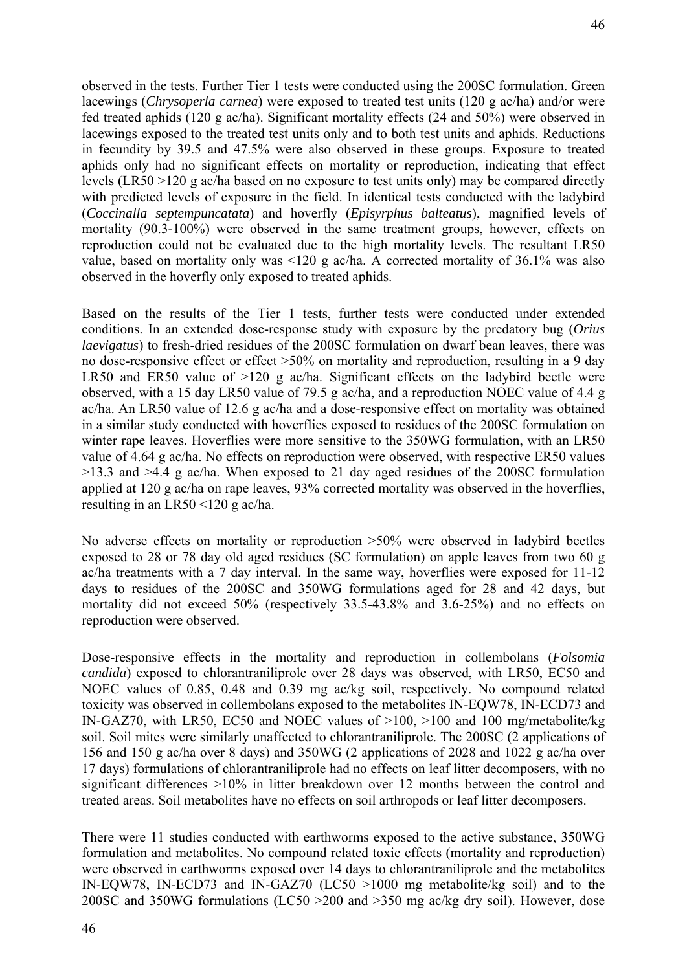observed in the tests. Further Tier 1 tests were conducted using the 200SC formulation. Green lacewings (*Chrysoperla carnea*) were exposed to treated test units (120 g ac/ha) and/or were fed treated aphids (120 g ac/ha). Significant mortality effects (24 and 50%) were observed in lacewings exposed to the treated test units only and to both test units and aphids. Reductions in fecundity by 39.5 and 47.5% were also observed in these groups. Exposure to treated aphids only had no significant effects on mortality or reproduction, indicating that effect levels (LR50 >120 g ac/ha based on no exposure to test units only) may be compared directly with predicted levels of exposure in the field. In identical tests conducted with the ladybird (*Coccinalla septempuncatata*) and hoverfly (*Episyrphus balteatus*), magnified levels of mortality (90.3-100%) were observed in the same treatment groups, however, effects on reproduction could not be evaluated due to the high mortality levels. The resultant LR50 value, based on mortality only was <120 g ac/ha. A corrected mortality of 36.1% was also observed in the hoverfly only exposed to treated aphids.

Based on the results of the Tier 1 tests, further tests were conducted under extended conditions. In an extended dose-response study with exposure by the predatory bug (*Orius laevigatus*) to fresh-dried residues of the 200SC formulation on dwarf bean leaves, there was no dose-responsive effect or effect >50% on mortality and reproduction, resulting in a 9 day LR50 and ER50 value of  $>120$  g ac/ha. Significant effects on the ladybird beetle were observed, with a 15 day LR50 value of 79.5 g ac/ha, and a reproduction NOEC value of 4.4 g ac/ha. An LR50 value of 12.6 g ac/ha and a dose-responsive effect on mortality was obtained in a similar study conducted with hoverflies exposed to residues of the 200SC formulation on winter rape leaves. Hoverflies were more sensitive to the 350WG formulation, with an LR50 value of 4.64 g ac/ha. No effects on reproduction were observed, with respective ER50 values >13.3 and >4.4 g ac/ha. When exposed to 21 day aged residues of the 200SC formulation applied at 120 g ac/ha on rape leaves, 93% corrected mortality was observed in the hoverflies, resulting in an LR50 <120 g ac/ha.

No adverse effects on mortality or reproduction >50% were observed in ladybird beetles exposed to 28 or 78 day old aged residues (SC formulation) on apple leaves from two 60 g ac/ha treatments with a 7 day interval. In the same way, hoverflies were exposed for 11-12 days to residues of the 200SC and 350WG formulations aged for 28 and 42 days, but mortality did not exceed 50% (respectively 33.5-43.8% and 3.6-25%) and no effects on reproduction were observed.

Dose-responsive effects in the mortality and reproduction in collembolans (*Folsomia candida*) exposed to chlorantraniliprole over 28 days was observed, with LR50, EC50 and NOEC values of 0.85, 0.48 and 0.39 mg ac/kg soil, respectively. No compound related toxicity was observed in collembolans exposed to the metabolites IN-EQW78, IN-ECD73 and IN-GAZ70, with LR50, EC50 and NOEC values of >100, >100 and 100 mg/metabolite/kg soil. Soil mites were similarly unaffected to chlorantraniliprole. The 200SC (2 applications of 156 and 150 g ac/ha over 8 days) and 350WG (2 applications of 2028 and 1022 g ac/ha over 17 days) formulations of chlorantraniliprole had no effects on leaf litter decomposers, with no significant differences >10% in litter breakdown over 12 months between the control and treated areas. Soil metabolites have no effects on soil arthropods or leaf litter decomposers.

There were 11 studies conducted with earthworms exposed to the active substance, 350WG formulation and metabolites. No compound related toxic effects (mortality and reproduction) were observed in earthworms exposed over 14 days to chlorantraniliprole and the metabolites IN-EQW78, IN-ECD73 and IN-GAZ70 (LC50 >1000 mg metabolite/kg soil) and to the 200SC and 350WG formulations (LC50 >200 and >350 mg ac/kg dry soil). However, dose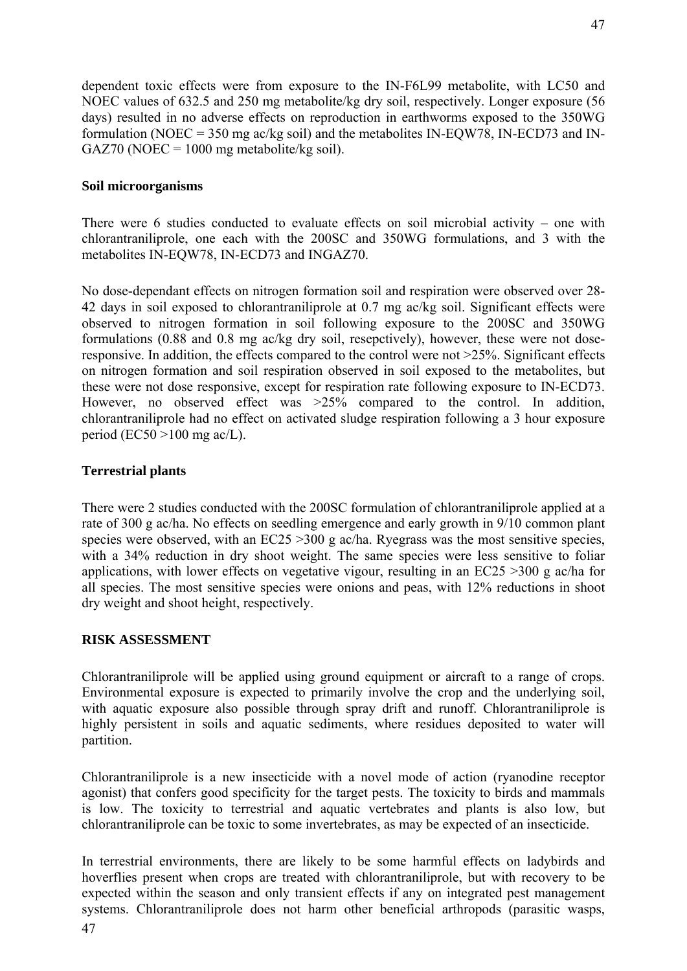dependent toxic effects were from exposure to the IN-F6L99 metabolite, with LC50 and NOEC values of 632.5 and 250 mg metabolite/kg dry soil, respectively. Longer exposure (56 days) resulted in no adverse effects on reproduction in earthworms exposed to the 350WG formulation (NOEC = 350 mg ac/kg soil) and the metabolites IN-EQW78, IN-ECD73 and IN- $GAZ70 (NOEC = 1000 mg metabolic/kg soil).$ 

# **Soil microorganisms**

There were 6 studies conducted to evaluate effects on soil microbial activity – one with chlorantraniliprole, one each with the 200SC and 350WG formulations, and 3 with the metabolites IN-EQW78, IN-ECD73 and INGAZ70.

No dose-dependant effects on nitrogen formation soil and respiration were observed over 28- 42 days in soil exposed to chlorantraniliprole at 0.7 mg ac/kg soil. Significant effects were observed to nitrogen formation in soil following exposure to the 200SC and 350WG formulations (0.88 and 0.8 mg ac/kg dry soil, resepctively), however, these were not doseresponsive. In addition, the effects compared to the control were not >25%. Significant effects on nitrogen formation and soil respiration observed in soil exposed to the metabolites, but these were not dose responsive, except for respiration rate following exposure to IN-ECD73. However, no observed effect was  $>25\%$  compared to the control. In addition, chlorantraniliprole had no effect on activated sludge respiration following a 3 hour exposure period (EC50  $>100$  mg ac/L).

# **Terrestrial plants**

There were 2 studies conducted with the 200SC formulation of chlorantraniliprole applied at a rate of 300 g ac/ha. No effects on seedling emergence and early growth in 9/10 common plant species were observed, with an  $EC25 > 300$  g ac/ha. Ryegrass was the most sensitive species, with a 34% reduction in dry shoot weight. The same species were less sensitive to foliar applications, with lower effects on vegetative vigour, resulting in an EC25 >300 g ac/ha for all species. The most sensitive species were onions and peas, with 12% reductions in shoot dry weight and shoot height, respectively.

# **RISK ASSESSMENT**

Chlorantraniliprole will be applied using ground equipment or aircraft to a range of crops. Environmental exposure is expected to primarily involve the crop and the underlying soil, with aquatic exposure also possible through spray drift and runoff. Chlorantraniliprole is highly persistent in soils and aquatic sediments, where residues deposited to water will partition.

Chlorantraniliprole is a new insecticide with a novel mode of action (ryanodine receptor agonist) that confers good specificity for the target pests. The toxicity to birds and mammals is low. The toxicity to terrestrial and aquatic vertebrates and plants is also low, but chlorantraniliprole can be toxic to some invertebrates, as may be expected of an insecticide.

In terrestrial environments, there are likely to be some harmful effects on ladybirds and hoverflies present when crops are treated with chlorantraniliprole, but with recovery to be expected within the season and only transient effects if any on integrated pest management systems. Chlorantraniliprole does not harm other beneficial arthropods (parasitic wasps, 47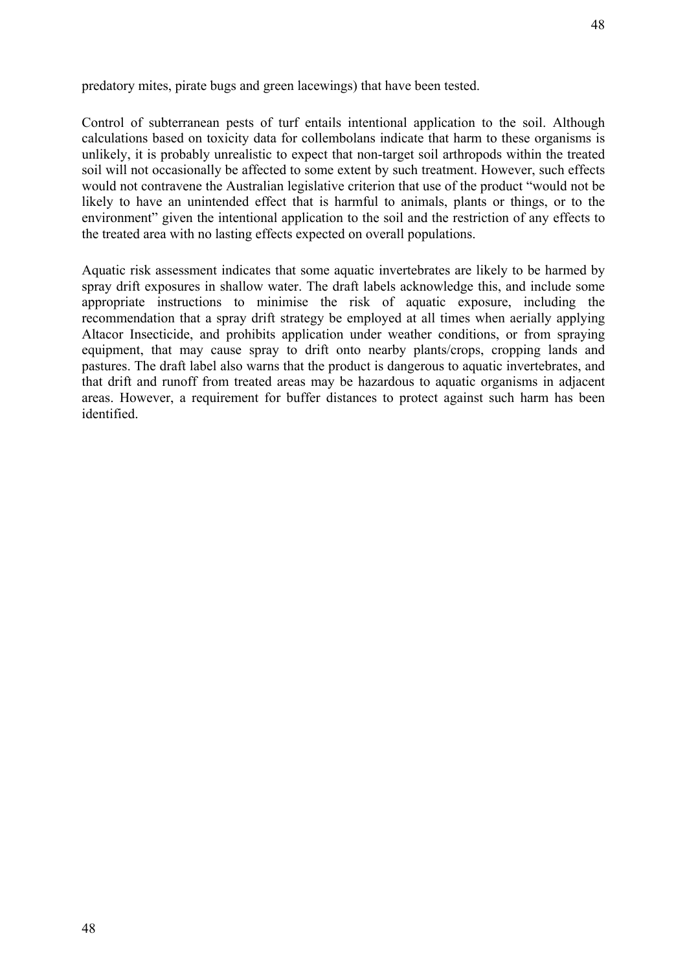Control of subterranean pests of turf entails intentional application to the soil. Although calculations based on toxicity data for collembolans indicate that harm to these organisms is unlikely, it is probably unrealistic to expect that non-target soil arthropods within the treated soil will not occasionally be affected to some extent by such treatment. However, such effects would not contravene the Australian legislative criterion that use of the product "would not be likely to have an unintended effect that is harmful to animals, plants or things, or to the environment" given the intentional application to the soil and the restriction of any effects to the treated area with no lasting effects expected on overall populations.

Aquatic risk assessment indicates that some aquatic invertebrates are likely to be harmed by spray drift exposures in shallow water. The draft labels acknowledge this, and include some appropriate instructions to minimise the risk of aquatic exposure, including the recommendation that a spray drift strategy be employed at all times when aerially applying Altacor Insecticide, and prohibits application under weather conditions, or from spraying equipment, that may cause spray to drift onto nearby plants/crops, cropping lands and pastures. The draft label also warns that the product is dangerous to aquatic invertebrates, and that drift and runoff from treated areas may be hazardous to aquatic organisms in adjacent areas. However, a requirement for buffer distances to protect against such harm has been identified.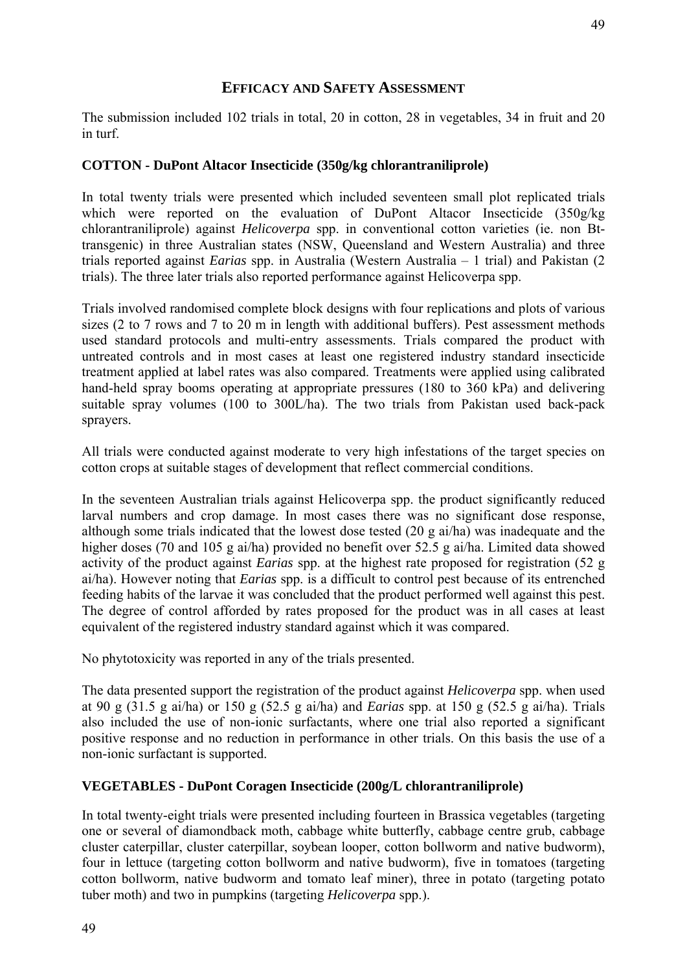The submission included 102 trials in total, 20 in cotton, 28 in vegetables, 34 in fruit and 20 in turf.

# **COTTON - DuPont Altacor Insecticide (350g/kg chlorantraniliprole)**

In total twenty trials were presented which included seventeen small plot replicated trials which were reported on the evaluation of DuPont Altacor Insecticide (350g/kg chlorantraniliprole) against *Helicoverpa* spp. in conventional cotton varieties (ie. non Bttransgenic) in three Australian states (NSW, Queensland and Western Australia) and three trials reported against *Earias* spp. in Australia (Western Australia – 1 trial) and Pakistan (2 trials). The three later trials also reported performance against Helicoverpa spp.

Trials involved randomised complete block designs with four replications and plots of various sizes (2 to 7 rows and 7 to 20 m in length with additional buffers). Pest assessment methods used standard protocols and multi-entry assessments. Trials compared the product with untreated controls and in most cases at least one registered industry standard insecticide treatment applied at label rates was also compared. Treatments were applied using calibrated hand-held spray booms operating at appropriate pressures (180 to 360 kPa) and delivering suitable spray volumes (100 to 300L/ha). The two trials from Pakistan used back-pack sprayers.

All trials were conducted against moderate to very high infestations of the target species on cotton crops at suitable stages of development that reflect commercial conditions.

In the seventeen Australian trials against Helicoverpa spp. the product significantly reduced larval numbers and crop damage. In most cases there was no significant dose response, although some trials indicated that the lowest dose tested (20 g ai/ha) was inadequate and the higher doses (70 and 105 g ai/ha) provided no benefit over 52.5 g ai/ha. Limited data showed activity of the product against *Earias* spp. at the highest rate proposed for registration (52 g ai/ha). However noting that *Earias* spp. is a difficult to control pest because of its entrenched feeding habits of the larvae it was concluded that the product performed well against this pest. The degree of control afforded by rates proposed for the product was in all cases at least equivalent of the registered industry standard against which it was compared.

No phytotoxicity was reported in any of the trials presented.

The data presented support the registration of the product against *Helicoverpa* spp. when used at 90 g (31.5 g ai/ha) or 150 g (52.5 g ai/ha) and *Earias* spp. at 150 g (52.5 g ai/ha). Trials also included the use of non-ionic surfactants, where one trial also reported a significant positive response and no reduction in performance in other trials. On this basis the use of a non-ionic surfactant is supported.

# **VEGETABLES - DuPont Coragen Insecticide (200g/L chlorantraniliprole)**

In total twenty-eight trials were presented including fourteen in Brassica vegetables (targeting one or several of diamondback moth, cabbage white butterfly, cabbage centre grub, cabbage cluster caterpillar, cluster caterpillar, soybean looper, cotton bollworm and native budworm), four in lettuce (targeting cotton bollworm and native budworm), five in tomatoes (targeting cotton bollworm, native budworm and tomato leaf miner), three in potato (targeting potato tuber moth) and two in pumpkins (targeting *Helicoverpa* spp.).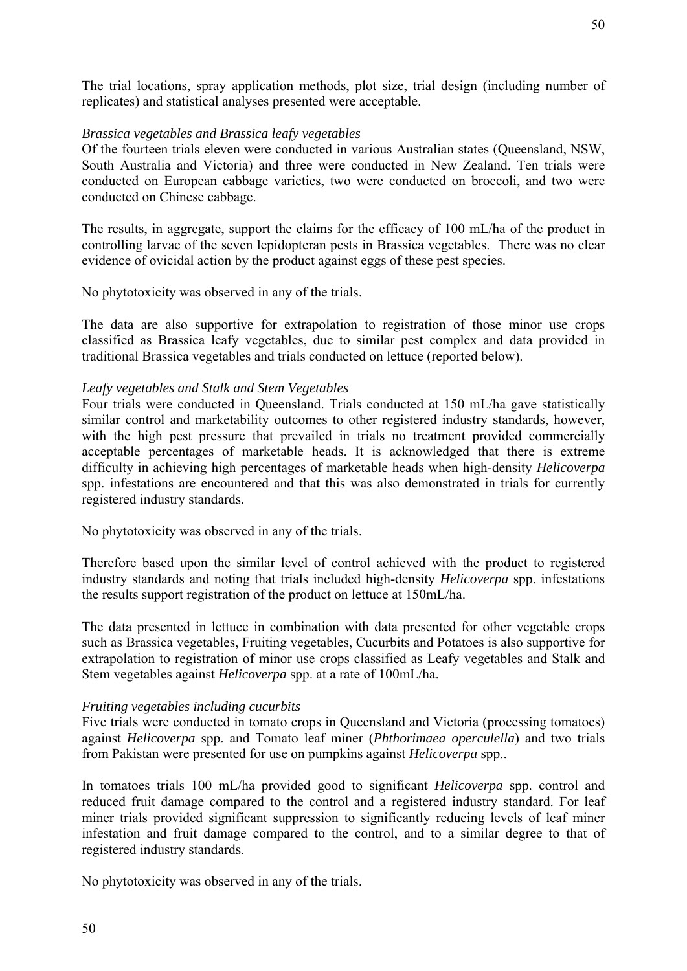The trial locations, spray application methods, plot size, trial design (including number of replicates) and statistical analyses presented were acceptable.

# *Brassica vegetables and Brassica leafy vegetables*

Of the fourteen trials eleven were conducted in various Australian states (Queensland, NSW, South Australia and Victoria) and three were conducted in New Zealand. Ten trials were conducted on European cabbage varieties, two were conducted on broccoli, and two were conducted on Chinese cabbage.

The results, in aggregate, support the claims for the efficacy of 100 mL/ha of the product in controlling larvae of the seven lepidopteran pests in Brassica vegetables. There was no clear evidence of ovicidal action by the product against eggs of these pest species.

No phytotoxicity was observed in any of the trials.

The data are also supportive for extrapolation to registration of those minor use crops classified as Brassica leafy vegetables, due to similar pest complex and data provided in traditional Brassica vegetables and trials conducted on lettuce (reported below).

# *Leafy vegetables and Stalk and Stem Vegetables*

Four trials were conducted in Queensland. Trials conducted at 150 mL/ha gave statistically similar control and marketability outcomes to other registered industry standards, however, with the high pest pressure that prevailed in trials no treatment provided commercially acceptable percentages of marketable heads. It is acknowledged that there is extreme difficulty in achieving high percentages of marketable heads when high-density *Helicoverpa* spp. infestations are encountered and that this was also demonstrated in trials for currently registered industry standards.

No phytotoxicity was observed in any of the trials.

Therefore based upon the similar level of control achieved with the product to registered industry standards and noting that trials included high-density *Helicoverpa* spp. infestations the results support registration of the product on lettuce at 150mL/ha.

The data presented in lettuce in combination with data presented for other vegetable crops such as Brassica vegetables, Fruiting vegetables, Cucurbits and Potatoes is also supportive for extrapolation to registration of minor use crops classified as Leafy vegetables and Stalk and Stem vegetables against *Helicoverpa* spp. at a rate of 100mL/ha.

#### *Fruiting vegetables including cucurbits*

Five trials were conducted in tomato crops in Queensland and Victoria (processing tomatoes) against *Helicoverpa* spp. and Tomato leaf miner (*Phthorimaea operculella*) and two trials from Pakistan were presented for use on pumpkins against *Helicoverpa* spp..

In tomatoes trials 100 mL/ha provided good to significant *Helicoverpa* spp. control and reduced fruit damage compared to the control and a registered industry standard. For leaf miner trials provided significant suppression to significantly reducing levels of leaf miner infestation and fruit damage compared to the control, and to a similar degree to that of registered industry standards.

No phytotoxicity was observed in any of the trials.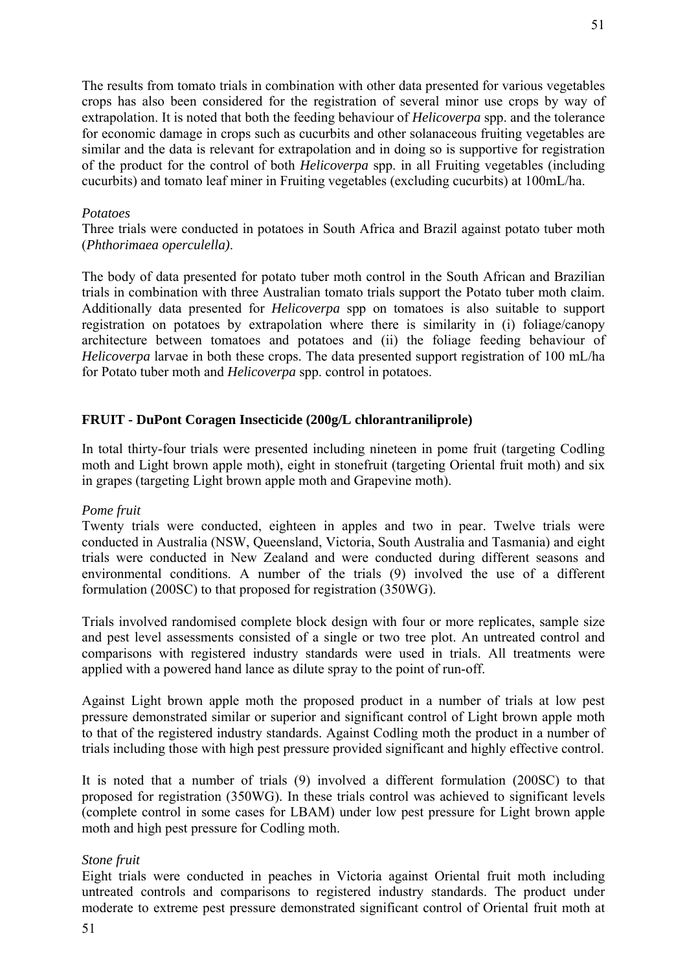The results from tomato trials in combination with other data presented for various vegetables crops has also been considered for the registration of several minor use crops by way of extrapolation. It is noted that both the feeding behaviour of *Helicoverpa* spp. and the tolerance for economic damage in crops such as cucurbits and other solanaceous fruiting vegetables are similar and the data is relevant for extrapolation and in doing so is supportive for registration of the product for the control of both *Helicoverpa* spp. in all Fruiting vegetables (including cucurbits) and tomato leaf miner in Fruiting vegetables (excluding cucurbits) at 100mL/ha.

#### *Potatoes*

Three trials were conducted in potatoes in South Africa and Brazil against potato tuber moth (*Phthorimaea operculella)*.

The body of data presented for potato tuber moth control in the South African and Brazilian trials in combination with three Australian tomato trials support the Potato tuber moth claim. Additionally data presented for *Helicoverpa* spp on tomatoes is also suitable to support registration on potatoes by extrapolation where there is similarity in (i) foliage/canopy architecture between tomatoes and potatoes and (ii) the foliage feeding behaviour of *Helicoverpa* larvae in both these crops. The data presented support registration of 100 mL/ha for Potato tuber moth and *Helicoverpa* spp. control in potatoes.

# **FRUIT - DuPont Coragen Insecticide (200g/L chlorantraniliprole)**

In total thirty-four trials were presented including nineteen in pome fruit (targeting Codling moth and Light brown apple moth), eight in stonefruit (targeting Oriental fruit moth) and six in grapes (targeting Light brown apple moth and Grapevine moth).

#### *Pome fruit*

Twenty trials were conducted, eighteen in apples and two in pear. Twelve trials were conducted in Australia (NSW, Queensland, Victoria, South Australia and Tasmania) and eight trials were conducted in New Zealand and were conducted during different seasons and environmental conditions. A number of the trials (9) involved the use of a different formulation (200SC) to that proposed for registration (350WG).

Trials involved randomised complete block design with four or more replicates, sample size and pest level assessments consisted of a single or two tree plot. An untreated control and comparisons with registered industry standards were used in trials. All treatments were applied with a powered hand lance as dilute spray to the point of run-off.

Against Light brown apple moth the proposed product in a number of trials at low pest pressure demonstrated similar or superior and significant control of Light brown apple moth to that of the registered industry standards. Against Codling moth the product in a number of trials including those with high pest pressure provided significant and highly effective control.

It is noted that a number of trials (9) involved a different formulation (200SC) to that proposed for registration (350WG). In these trials control was achieved to significant levels (complete control in some cases for LBAM) under low pest pressure for Light brown apple moth and high pest pressure for Codling moth.

# *Stone fruit*

Eight trials were conducted in peaches in Victoria against Oriental fruit moth including untreated controls and comparisons to registered industry standards. The product under moderate to extreme pest pressure demonstrated significant control of Oriental fruit moth at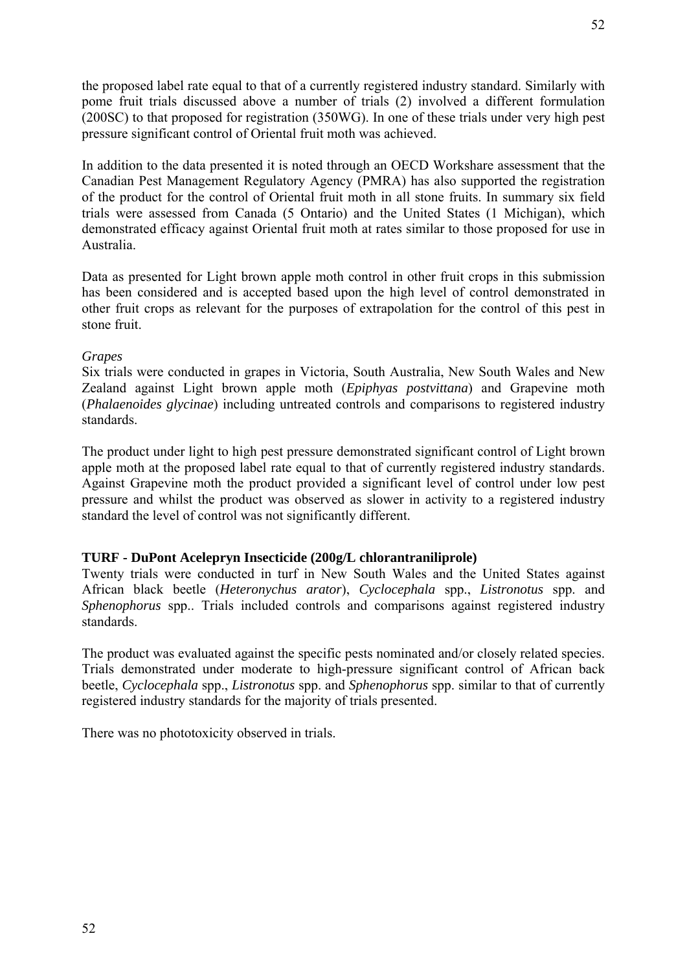the proposed label rate equal to that of a currently registered industry standard. Similarly with pome fruit trials discussed above a number of trials (2) involved a different formulation (200SC) to that proposed for registration (350WG). In one of these trials under very high pest pressure significant control of Oriental fruit moth was achieved.

In addition to the data presented it is noted through an OECD Workshare assessment that the Canadian Pest Management Regulatory Agency (PMRA) has also supported the registration of the product for the control of Oriental fruit moth in all stone fruits. In summary six field trials were assessed from Canada (5 Ontario) and the United States (1 Michigan), which demonstrated efficacy against Oriental fruit moth at rates similar to those proposed for use in Australia.

Data as presented for Light brown apple moth control in other fruit crops in this submission has been considered and is accepted based upon the high level of control demonstrated in other fruit crops as relevant for the purposes of extrapolation for the control of this pest in stone fruit.

# *Grapes*

Six trials were conducted in grapes in Victoria, South Australia, New South Wales and New Zealand against Light brown apple moth (*Epiphyas postvittana*) and Grapevine moth (*Phalaenoides glycinae*) including untreated controls and comparisons to registered industry standards.

The product under light to high pest pressure demonstrated significant control of Light brown apple moth at the proposed label rate equal to that of currently registered industry standards. Against Grapevine moth the product provided a significant level of control under low pest pressure and whilst the product was observed as slower in activity to a registered industry standard the level of control was not significantly different.

# **TURF - DuPont Acelepryn Insecticide (200g/L chlorantraniliprole)**

Twenty trials were conducted in turf in New South Wales and the United States against African black beetle (*Heteronychus arator*), *Cyclocephala* spp., *Listronotus* spp. and *Sphenophorus* spp.. Trials included controls and comparisons against registered industry standards.

The product was evaluated against the specific pests nominated and/or closely related species. Trials demonstrated under moderate to high-pressure significant control of African back beetle, *Cyclocephala* spp., *Listronotus* spp. and *Sphenophorus* spp. similar to that of currently registered industry standards for the majority of trials presented.

There was no phototoxicity observed in trials.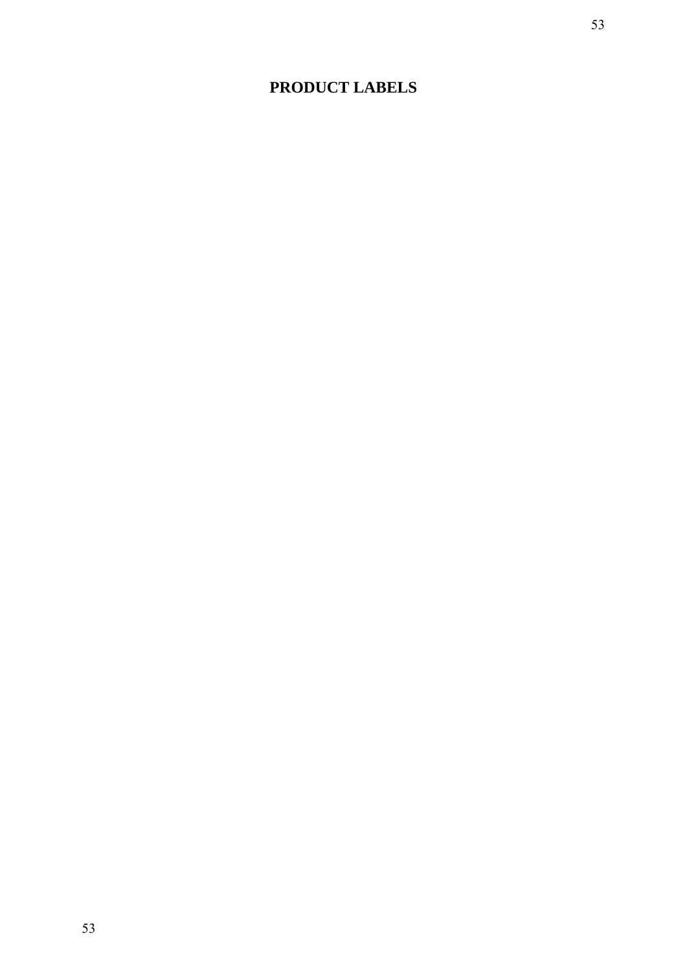# **PRODUCT LABELS**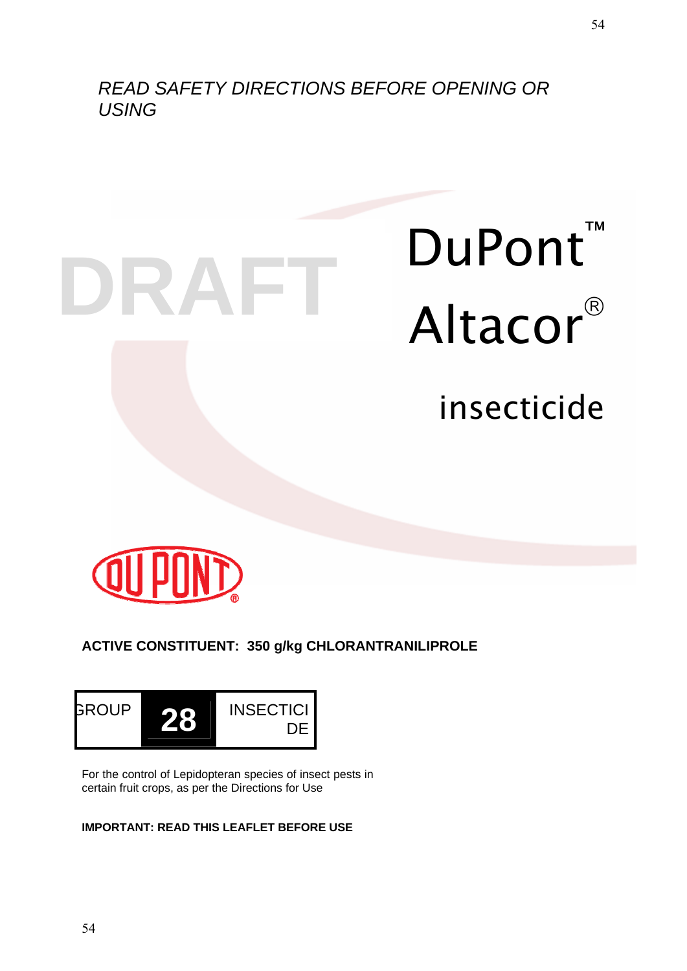*READ SAFETY DIRECTIONS BEFORE OPENING OR USING* 

54





# **ACTIVE CONSTITUENT: 350 g/kg CHLORANTRANILIPROLE**



For the control of Lepidopteran species of insect pests in certain fruit crops, as per the Directions for Use

# **IMPORTANT: READ THIS LEAFLET BEFORE USE**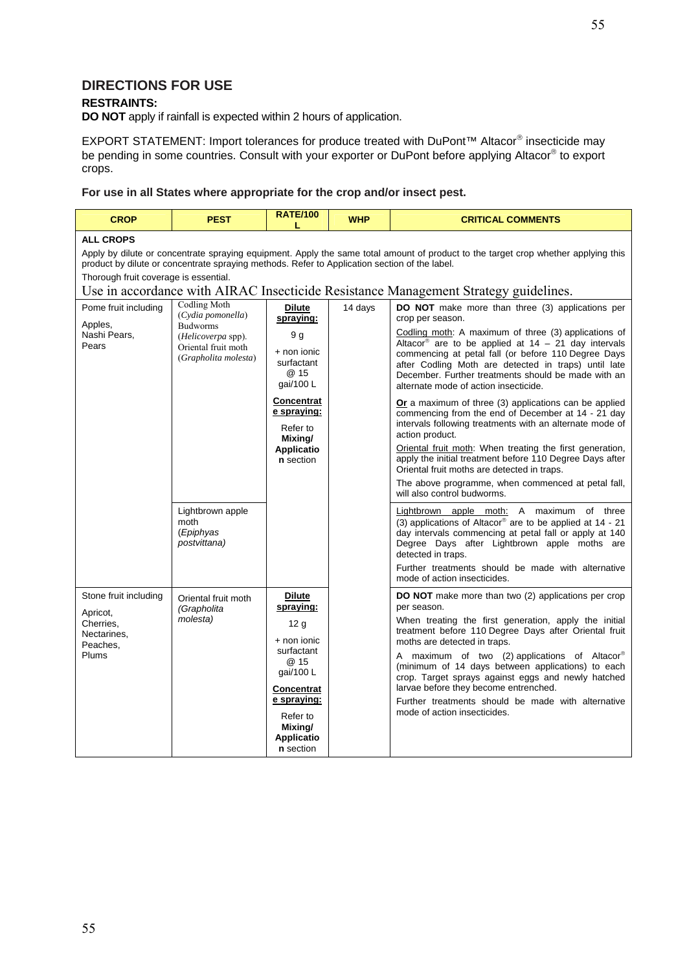# **DIRECTIONS FOR USE**

#### **RESTRAINTS:**

**DO NOT** apply if rainfall is expected within 2 hours of application.

EXPORT STATEMENT: Import tolerances for produce treated with DuPont™ Altacor® insecticide may be pending in some countries. Consult with your exporter or DuPont before applying Altacor® to export crops.

**For use in all States where appropriate for the crop and/or insect pest.** 

| <b>CROP</b>                                                                                                                                                                                                                                                                                      | <b>PEST</b>                                                                                                                      | <b>RATE/100</b>                                                                                                                                                                                | <b>WHP</b> | <b>CRITICAL COMMENTS</b>                                                                                                                                                                                                                                                                                                                                                                                                                                                                                                                                                                                                                                                                                                                                                                                                                                              |  |  |
|--------------------------------------------------------------------------------------------------------------------------------------------------------------------------------------------------------------------------------------------------------------------------------------------------|----------------------------------------------------------------------------------------------------------------------------------|------------------------------------------------------------------------------------------------------------------------------------------------------------------------------------------------|------------|-----------------------------------------------------------------------------------------------------------------------------------------------------------------------------------------------------------------------------------------------------------------------------------------------------------------------------------------------------------------------------------------------------------------------------------------------------------------------------------------------------------------------------------------------------------------------------------------------------------------------------------------------------------------------------------------------------------------------------------------------------------------------------------------------------------------------------------------------------------------------|--|--|
| <b>ALL CROPS</b><br>Apply by dilute or concentrate spraying equipment. Apply the same total amount of product to the target crop whether applying this<br>product by dilute or concentrate spraying methods. Refer to Application section of the label.<br>Thorough fruit coverage is essential. |                                                                                                                                  |                                                                                                                                                                                                |            |                                                                                                                                                                                                                                                                                                                                                                                                                                                                                                                                                                                                                                                                                                                                                                                                                                                                       |  |  |
|                                                                                                                                                                                                                                                                                                  |                                                                                                                                  |                                                                                                                                                                                                |            | Use in accordance with AIRAC Insecticide Resistance Management Strategy guidelines.                                                                                                                                                                                                                                                                                                                                                                                                                                                                                                                                                                                                                                                                                                                                                                                   |  |  |
| Pome fruit including<br>Apples,<br>Nashi Pears,<br>Pears                                                                                                                                                                                                                                         | <b>Codling Moth</b><br>(Cydia pomonella)<br><b>Budworms</b><br>(Helicoverpa spp).<br>Oriental fruit moth<br>(Grapholita molesta) | <b>Dilute</b><br>spraying:<br>9 g<br>+ non ionic<br>surfactant<br>@ 15<br>gai/100 L<br><b>Concentrat</b><br>e spraying:<br>Refer to<br>Mixing/<br>Applicatio<br>n section                      | 14 days    | <b>DO NOT</b> make more than three (3) applications per<br>crop per season.<br>Codling moth: A maximum of three (3) applications of<br>Altacor® are to be applied at $14 - 21$ day intervals<br>commencing at petal fall (or before 110 Degree Days<br>after Codling Moth are detected in traps) until late<br>December. Further treatments should be made with an<br>alternate mode of action insecticide.<br>Or a maximum of three (3) applications can be applied<br>commencing from the end of December at 14 - 21 day<br>intervals following treatments with an alternate mode of<br>action product.<br>Oriental fruit moth: When treating the first generation,<br>apply the initial treatment before 110 Degree Days after<br>Oriental fruit moths are detected in traps.<br>The above programme, when commenced at petal fall,<br>will also control budworms. |  |  |
|                                                                                                                                                                                                                                                                                                  | Lightbrown apple<br>moth<br>(Epiphyas<br>postvittana)                                                                            |                                                                                                                                                                                                |            | Lightbrown apple moth: A maximum of three<br>(3) applications of Altacor® are to be applied at 14 - 21<br>day intervals commencing at petal fall or apply at 140<br>Degree Days after Lightbrown apple moths are<br>detected in traps.<br>Further treatments should be made with alternative<br>mode of action insecticides.                                                                                                                                                                                                                                                                                                                                                                                                                                                                                                                                          |  |  |
| Stone fruit including<br>Apricot,<br>Cherries,<br>Nectarines,<br>Peaches,<br>Plums                                                                                                                                                                                                               | Oriental fruit moth<br>(Grapholita<br>molesta)                                                                                   | <b>Dilute</b><br>spraying:<br>12 <sub>g</sub><br>$+$ non ionic<br>surfactant<br>@ 15<br>gai/100 L<br><b>Concentrat</b><br>e spraying:<br>Refer to<br>Mixing/<br><b>Applicatio</b><br>n section |            | DO NOT make more than two (2) applications per crop<br>per season.<br>When treating the first generation, apply the initial<br>treatment before 110 Degree Days after Oriental fruit<br>moths are detected in traps.<br>A maximum of two (2) applications of Altacor®<br>(minimum of 14 days between applications) to each<br>crop. Target sprays against eggs and newly hatched<br>larvae before they become entrenched.<br>Further treatments should be made with alternative<br>mode of action insecticides.                                                                                                                                                                                                                                                                                                                                                       |  |  |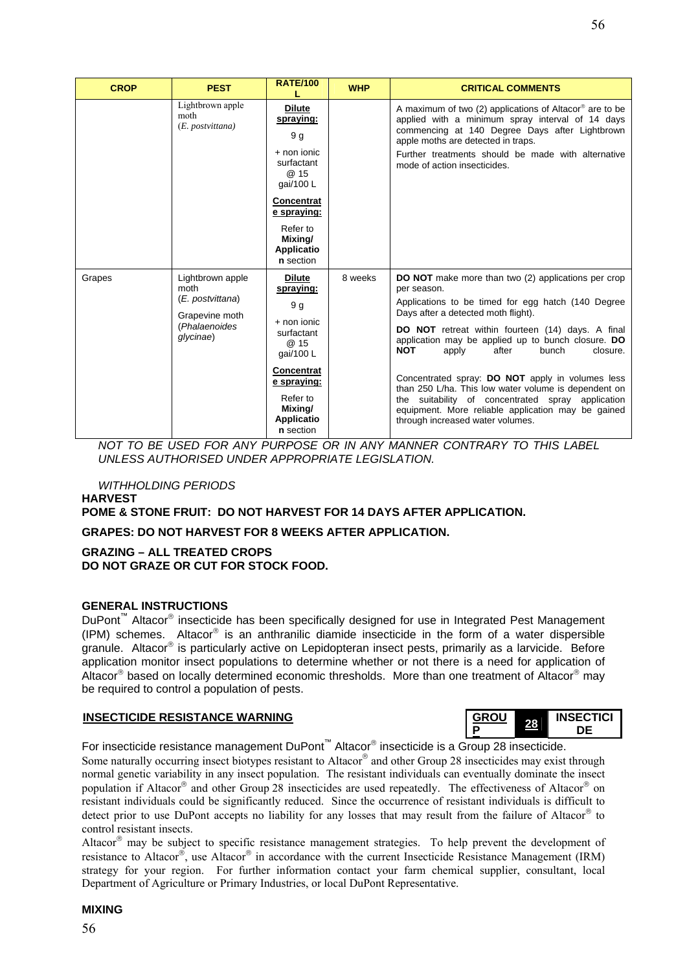| <b>CROP</b> | <b>PEST</b>                                                      | <b>RATE/100</b>                                       | <b>WHP</b> | <b>CRITICAL COMMENTS</b>                                                                                                                                                                                                                                              |
|-------------|------------------------------------------------------------------|-------------------------------------------------------|------------|-----------------------------------------------------------------------------------------------------------------------------------------------------------------------------------------------------------------------------------------------------------------------|
|             | Lightbrown apple<br>moth<br>(E. postvittana)                     | <b>Dilute</b><br>spraying:<br>9 g<br>$+$ non ionic    |            | A maximum of two (2) applications of Altacor <sup>®</sup> are to be<br>applied with a minimum spray interval of 14 days<br>commencing at 140 Degree Days after Lightbrown<br>apple moths are detected in traps.<br>Further treatments should be made with alternative |
|             |                                                                  | surfactant<br>@ 15<br>gai/100 L                       |            | mode of action insecticides.                                                                                                                                                                                                                                          |
|             |                                                                  | <b>Concentrat</b><br>e spraying:                      |            |                                                                                                                                                                                                                                                                       |
|             |                                                                  | Refer to<br>Mixing/<br><b>Applicatio</b><br>n section |            |                                                                                                                                                                                                                                                                       |
| Grapes      | Lightbrown apple<br>moth                                         | <b>Dilute</b><br>spraying:                            | 8 weeks    | <b>DO NOT</b> make more than two (2) applications per crop<br>per season.                                                                                                                                                                                             |
|             | (E. postvittana)<br>Grapevine moth<br>(Phalaenoides<br>glycinae) | 9q                                                    |            | Applications to be timed for egg hatch (140 Degree<br>Days after a detected moth flight).                                                                                                                                                                             |
|             |                                                                  | $+$ non ionic<br>surfactant<br>@ 15<br>gai/100 L      |            | DO NOT retreat within fourteen (14) days. A final<br>application may be applied up to bunch closure. DO<br><b>NOT</b><br>after<br>bunch<br>closure.<br>apply                                                                                                          |
|             |                                                                  | Concentrat<br>e spraying:                             |            | Concentrated spray: DO NOT apply in volumes less<br>than 250 L/ha. This low water volume is dependent on                                                                                                                                                              |
|             |                                                                  | Refer to<br>Mixing/<br><b>Applicatio</b><br>n section |            | the suitability of concentrated spray application<br>equipment. More reliable application may be gained<br>through increased water volumes.                                                                                                                           |

*NOT TO BE USED FOR ANY PURPOSE OR IN ANY MANNER CONTRARY TO THIS LABEL UNLESS AUTHORISED UNDER APPROPRIATE LEGISLATION.* 

*WITHHOLDING PERIODS*  **HARVEST** 

**POME & STONE FRUIT: DO NOT HARVEST FOR 14 DAYS AFTER APPLICATION.** 

**GRAPES: DO NOT HARVEST FOR 8 WEEKS AFTER APPLICATION.** 

#### **GRAZING – ALL TREATED CROPS DO NOT GRAZE OR CUT FOR STOCK FOOD.**

#### **GENERAL INSTRUCTIONS**

DuPont<sup>™</sup> Altacor<sup>®</sup> insecticide has been specifically designed for use in Integrated Pest Management  $(IPM)$  schemes. Altacor<sup>®</sup> is an anthranilic diamide insecticide in the form of a water dispersible granule. Altacor<sup>®</sup> is particularly active on Lepidopteran insect pests, primarily as a larvicide. Before application monitor insect populations to determine whether or not there is a need for application of Altacor® based on locally determined economic thresholds. More than one treatment of Altacor® may be required to control a population of pests.

#### **INSECTICIDE RESISTANCE WARNING**

| <b>GROU</b> | NSECTICI |  |
|-------------|----------|--|
|             |          |  |

For insecticide resistance management DuPont™ Altacor® insecticide is a Group 28 insecticide.

Some naturally occurring insect biotypes resistant to Altacor® and other Group 28 insecticides may exist through normal genetic variability in any insect population. The resistant individuals can eventually dominate the insect population if Altacor® and other Group 28 insecticides are used repeatedly. The effectiveness of Altacor® on resistant individuals could be significantly reduced. Since the occurrence of resistant individuals is difficult to detect prior to use DuPont accepts no liability for any losses that may result from the failure of Altacor® to control resistant insects.

Altacor® may be subject to specific resistance management strategies. To help prevent the development of resistance to Altacor®, use Altacor® in accordance with the current Insecticide Resistance Management (IRM) strategy for your region. For further information contact your farm chemical supplier, consultant, local Department of Agriculture or Primary Industries, or local DuPont Representative.

#### 56

#### **MIXING**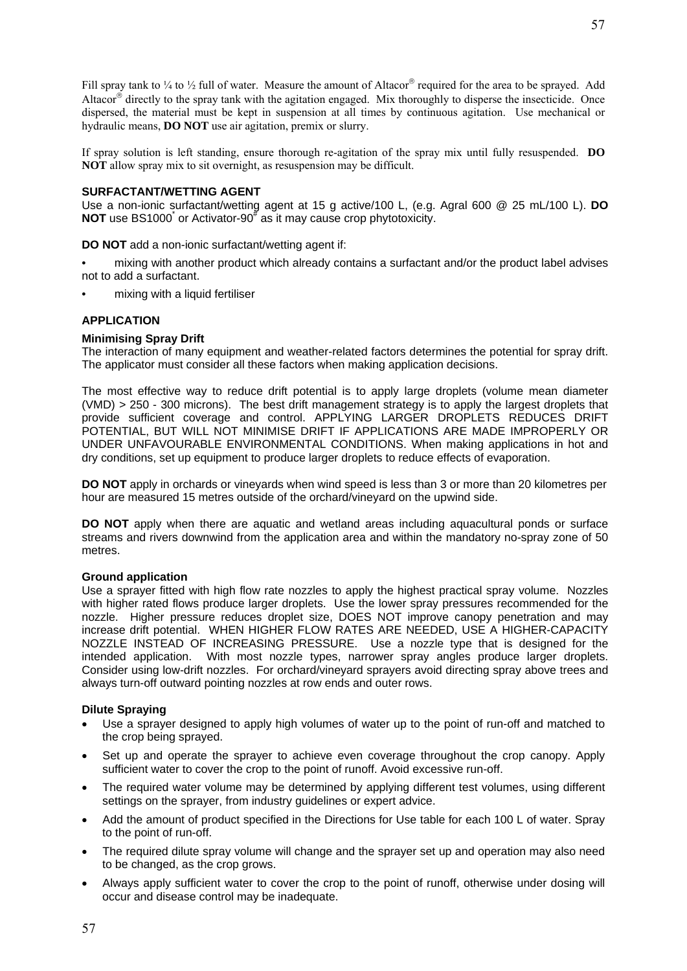Fill spray tank to  $\frac{1}{4}$  to  $\frac{1}{2}$  full of water. Measure the amount of Altacor® required for the area to be sprayed. Add Altacor® directly to the spray tank with the agitation engaged. Mix thoroughly to disperse the insecticide. Once dispersed, the material must be kept in suspension at all times by continuous agitation. Use mechanical or hydraulic means, **DO NOT** use air agitation, premix or slurry.

If spray solution is left standing, ensure thorough re-agitation of the spray mix until fully resuspended. **DO NOT** allow spray mix to sit overnight, as resuspension may be difficult.

#### **SURFACTANT/WETTING AGENT**

Use a non-ionic surfactant/wetting agent at 15 g active/100 L, (e.g. Agral 600 @ 25 mL/100 L). **DO NOT** use BS1000<sup>\*</sup> or Activator-90<sup>#</sup> as it may cause crop phytotoxicity.

**DO NOT** add a non-ionic surfactant/wetting agent if:

- mixing with another product which already contains a surfactant and/or the product label advises not to add a surfactant.
- mixing with a liquid fertiliser

#### **APPLICATION**

#### **Minimising Spray Drift**

The interaction of many equipment and weather-related factors determines the potential for spray drift. The applicator must consider all these factors when making application decisions.

The most effective way to reduce drift potential is to apply large droplets (volume mean diameter (VMD) > 250 - 300 microns). The best drift management strategy is to apply the largest droplets that provide sufficient coverage and control. APPLYING LARGER DROPLETS REDUCES DRIFT POTENTIAL, BUT WILL NOT MINIMISE DRIFT IF APPLICATIONS ARE MADE IMPROPERLY OR UNDER UNFAVOURABLE ENVIRONMENTAL CONDITIONS. When making applications in hot and dry conditions, set up equipment to produce larger droplets to reduce effects of evaporation.

**DO NOT** apply in orchards or vineyards when wind speed is less than 3 or more than 20 kilometres per hour are measured 15 metres outside of the orchard/vineyard on the upwind side.

**DO NOT** apply when there are aquatic and wetland areas including aquacultural ponds or surface streams and rivers downwind from the application area and within the mandatory no-spray zone of 50 metres.

#### **Ground application**

Use a sprayer fitted with high flow rate nozzles to apply the highest practical spray volume. Nozzles with higher rated flows produce larger droplets. Use the lower spray pressures recommended for the nozzle. Higher pressure reduces droplet size, DOES NOT improve canopy penetration and may increase drift potential. WHEN HIGHER FLOW RATES ARE NEEDED, USE A HIGHER-CAPACITY NOZZLE INSTEAD OF INCREASING PRESSURE. Use a nozzle type that is designed for the intended application. With most nozzle types, narrower spray angles produce larger droplets. Consider using low-drift nozzles. For orchard/vineyard sprayers avoid directing spray above trees and always turn-off outward pointing nozzles at row ends and outer rows.

#### **Dilute Spraying**

- Use a sprayer designed to apply high volumes of water up to the point of run-off and matched to the crop being sprayed.
- Set up and operate the sprayer to achieve even coverage throughout the crop canopy. Apply sufficient water to cover the crop to the point of runoff. Avoid excessive run-off.
- The required water volume may be determined by applying different test volumes, using different settings on the sprayer, from industry guidelines or expert advice.
- Add the amount of product specified in the Directions for Use table for each 100 L of water. Spray to the point of run-off.
- The required dilute spray volume will change and the sprayer set up and operation may also need to be changed, as the crop grows.
- Always apply sufficient water to cover the crop to the point of runoff, otherwise under dosing will occur and disease control may be inadequate.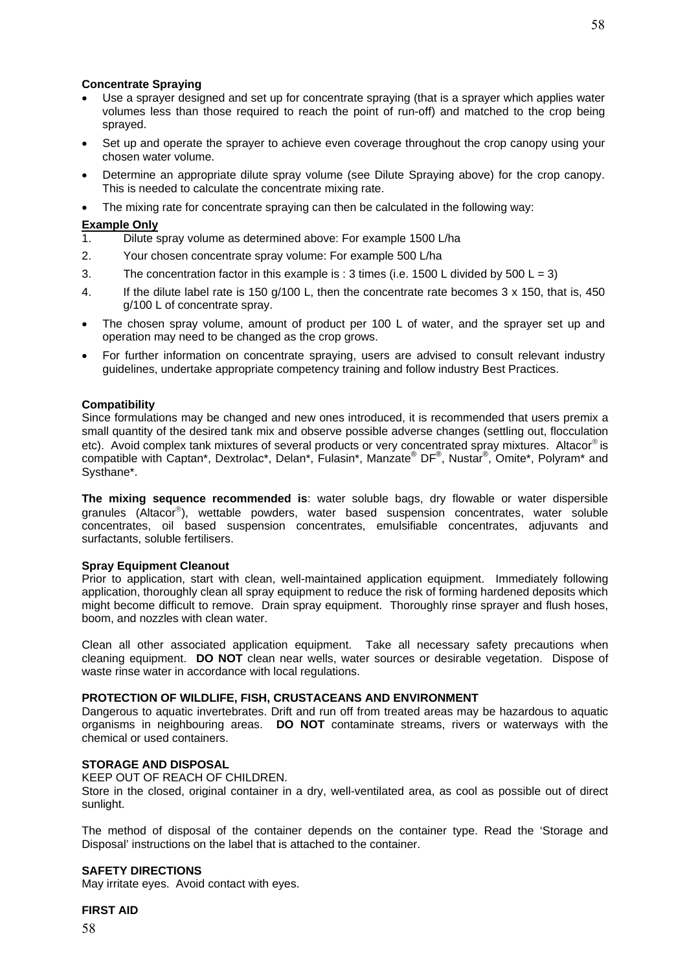#### **Concentrate Spraying**

- Use a sprayer designed and set up for concentrate spraying (that is a sprayer which applies water volumes less than those required to reach the point of run-off) and matched to the crop being sprayed.
- Set up and operate the sprayer to achieve even coverage throughout the crop canopy using your chosen water volume.
- Determine an appropriate dilute spray volume (see Dilute Spraying above) for the crop canopy. This is needed to calculate the concentrate mixing rate.
- The mixing rate for concentrate spraying can then be calculated in the following way:

- **Example Only**<br>1. Dilute s Dilute spray volume as determined above: For example 1500 L/ha
- 2. Your chosen concentrate spray volume: For example 500 L/ha
- 3. The concentration factor in this example is : 3 times (i.e. 1500 L divided by 500 L = 3)
- 4. If the dilute label rate is 150 g/100 L, then the concentrate rate becomes 3 x 150, that is, 450 g/100 L of concentrate spray.
- The chosen spray volume, amount of product per 100 L of water, and the sprayer set up and operation may need to be changed as the crop grows.
- For further information on concentrate spraying, users are advised to consult relevant industry guidelines, undertake appropriate competency training and follow industry Best Practices.

#### **Compatibility**

Since formulations may be changed and new ones introduced, it is recommended that users premix a small quantity of the desired tank mix and observe possible adverse changes (settling out, flocculation etc). Avoid complex tank mixtures of several products or very concentrated spray mixtures. Altacor® is compatible with Captan\*, Dextrolac\*, Delan\*, Fulasin\*, Manzate® DF®, Nustar®, Omite\*, Polyram\* and Systhane\*.

**The mixing sequence recommended is**: water soluble bags, dry flowable or water dispersible granules (Altacor®), wettable powders, water based suspension concentrates, water soluble concentrates, oil based suspension concentrates, emulsifiable concentrates, adjuvants and surfactants, soluble fertilisers.

#### **Spray Equipment Cleanout**

Prior to application, start with clean, well-maintained application equipment. Immediately following application, thoroughly clean all spray equipment to reduce the risk of forming hardened deposits which might become difficult to remove. Drain spray equipment. Thoroughly rinse sprayer and flush hoses, boom, and nozzles with clean water.

Clean all other associated application equipment. Take all necessary safety precautions when cleaning equipment. **DO NOT** clean near wells, water sources or desirable vegetation. Dispose of waste rinse water in accordance with local regulations.

#### **PROTECTION OF WILDLIFE, FISH, CRUSTACEANS AND ENVIRONMENT**

Dangerous to aquatic invertebrates. Drift and run off from treated areas may be hazardous to aquatic organisms in neighbouring areas. **DO NOT** contaminate streams, rivers or waterways with the chemical or used containers.

#### **STORAGE AND DISPOSAL**

KEEP OUT OF REACH OF CHILDREN.

Store in the closed, original container in a dry, well-ventilated area, as cool as possible out of direct sunlight.

The method of disposal of the container depends on the container type. Read the 'Storage and Disposal' instructions on the label that is attached to the container.

#### **SAFETY DIRECTIONS**

May irritate eyes. Avoid contact with eyes.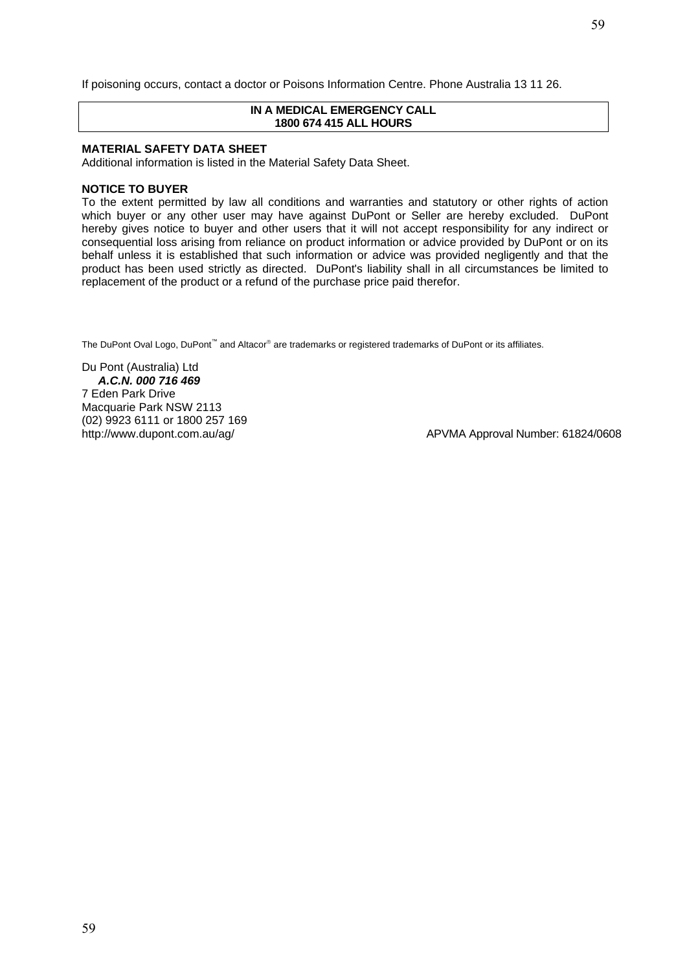#### **IN A MEDICAL EMERGENCY CALL 1800 674 415 ALL HOURS**

#### **MATERIAL SAFETY DATA SHEET**

Additional information is listed in the Material Safety Data Sheet.

#### **NOTICE TO BUYER**

To the extent permitted by law all conditions and warranties and statutory or other rights of action which buyer or any other user may have against DuPont or Seller are hereby excluded. DuPont hereby gives notice to buyer and other users that it will not accept responsibility for any indirect or consequential loss arising from reliance on product information or advice provided by DuPont or on its behalf unless it is established that such information or advice was provided negligently and that the product has been used strictly as directed. DuPont's liability shall in all circumstances be limited to replacement of the product or a refund of the purchase price paid therefor.

The DuPont Oval Logo, DuPont<sup>™</sup> and Altacor<sup>®</sup> are trademarks or registered trademarks of DuPont or its affiliates.

Du Pont (Australia) Ltd *A.C.N. 000 716 469*  7 Eden Park Drive Macquarie Park NSW 2113 (02) 9923 6111 or 1800 257 169

http://www.dupont.com.au/ag/ and and all and a APVMA Approval Number: 61824/0608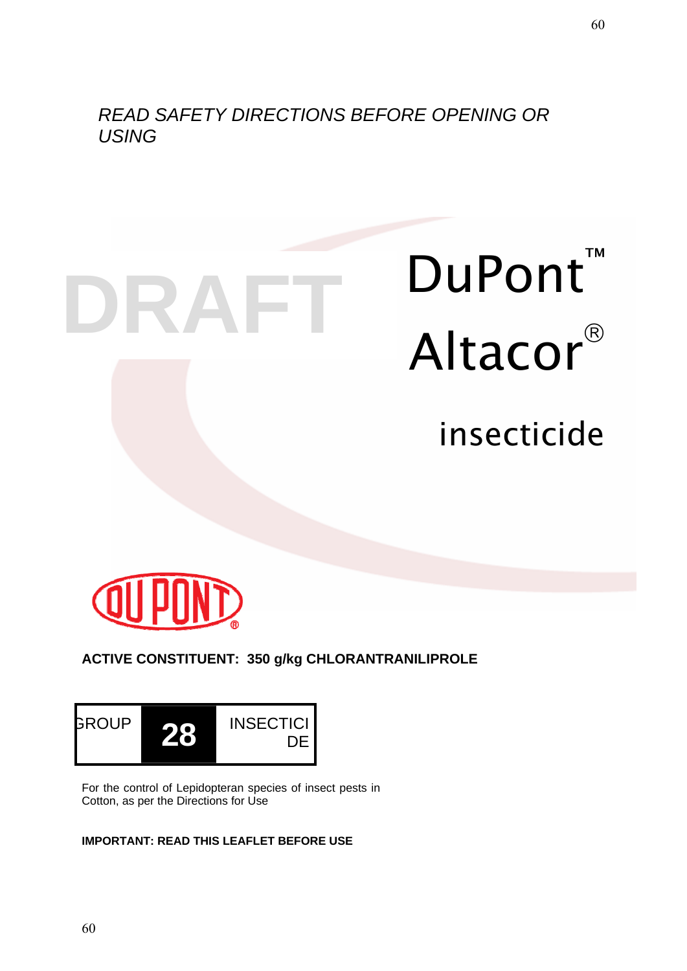*READ SAFETY DIRECTIONS BEFORE OPENING OR USING* 

**DRAFT**

# DuPont<sup>™</sup> Altacor®

insecticide



**ACTIVE CONSTITUENT: 350 g/kg CHLORANTRANILIPROLE** 



For the control of Lepidopteran species of insect pests in Cotton, as per the Directions for Use

# **IMPORTANT: READ THIS LEAFLET BEFORE USE**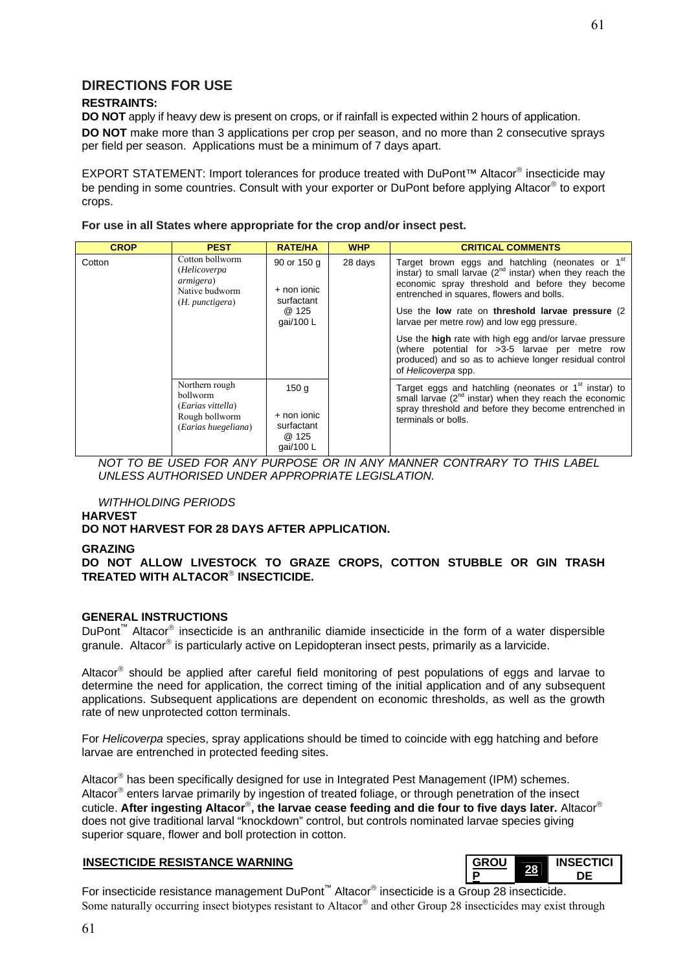# **DIRECTIONS FOR USE**

#### **RESTRAINTS:**

**DO NOT** apply if heavy dew is present on crops, or if rainfall is expected within 2 hours of application. **DO NOT** make more than 3 applications per crop per season, and no more than 2 consecutive sprays per field per season. Applications must be a minimum of 7 days apart.

EXPORT STATEMENT: Import tolerances for produce treated with DuPont™ Altacor® insecticide may be pending in some countries. Consult with your exporter or DuPont before applying Altacor® to export crops.

**For use in all States where appropriate for the crop and/or insect pest.** 

| <b>CROP</b> | <b>PEST</b>                                                                                                                                                     | <b>RATE/HA</b>                                          | <b>WHP</b> | <b>CRITICAL COMMENTS</b>                                                                                                                                                                                                                                                                                                          |
|-------------|-----------------------------------------------------------------------------------------------------------------------------------------------------------------|---------------------------------------------------------|------------|-----------------------------------------------------------------------------------------------------------------------------------------------------------------------------------------------------------------------------------------------------------------------------------------------------------------------------------|
| Cotton      | Cotton bollworm<br>90 or 150 g<br>(Helicoverpa<br><i>armigera</i> )<br>$+$ non ionic<br>Native budworm<br>surfactant<br>$(H.$ punctigera)<br>@ 125<br>gai/100 L |                                                         | 28 days    | Target brown eggs and hatchling (neonates or 1 <sup>st</sup><br>instar) to small larvae $(2^{nd}$ instar) when they reach the<br>economic spray threshold and before they become<br>entrenched in squares, flowers and bolls.<br>Use the low rate on threshold larvae pressure (2)<br>larvae per metre row) and low egg pressure. |
|             |                                                                                                                                                                 |                                                         |            |                                                                                                                                                                                                                                                                                                                                   |
|             |                                                                                                                                                                 |                                                         |            | Use the high rate with high egg and/or larvae pressure<br>(where potential for >3-5 larvae per metre row<br>produced) and so as to achieve longer residual control<br>of Helicoverpa spp.                                                                                                                                         |
|             | Northern rough<br>bollworm<br>(Earias vittella)<br>Rough bollworm<br>(Earias huegeliana)                                                                        | 150q<br>+ non ionic<br>surfactant<br>@ 125<br>qai/100 L |            | Target eggs and hatchling (neonates or 1 <sup>st</sup> instar) to<br>small larvae $(2^{nd}$ instar) when they reach the economic<br>spray threshold and before they become entrenched in<br>terminals or bolls.                                                                                                                   |

*NOT TO BE USED FOR ANY PURPOSE OR IN ANY MANNER CONTRARY TO THIS LABEL UNLESS AUTHORISED UNDER APPROPRIATE LEGISLATION.* 

# *WITHHOLDING PERIODS*

#### **HARVEST**

#### **DO NOT HARVEST FOR 28 DAYS AFTER APPLICATION.**

#### **GRAZING**

#### **DO NOT ALLOW LIVESTOCK TO GRAZE CROPS, COTTON STUBBLE OR GIN TRASH TREATED WITH ALTACOR**® **INSECTICIDE.**

#### **GENERAL INSTRUCTIONS**

DuPont™ Altacor® insecticide is an anthranilic diamide insecticide in the form of a water dispersible granule. Altacor® is particularly active on Lepidopteran insect pests, primarily as a larvicide.

Altacor® should be applied after careful field monitoring of pest populations of eggs and larvae to determine the need for application, the correct timing of the initial application and of any subsequent applications. Subsequent applications are dependent on economic thresholds, as well as the growth rate of new unprotected cotton terminals.

For *Helicoverpa* species, spray applications should be timed to coincide with egg hatching and before larvae are entrenched in protected feeding sites.

Altacor® has been specifically designed for use in Integrated Pest Management (IPM) schemes. Altacor® enters larvae primarily by ingestion of treated foliage, or through penetration of the insect cuticle. **After ingesting Altacor**®**, the larvae cease feeding and die four to five days later.** Altacor® does not give traditional larval "knockdown" control, but controls nominated larvae species giving superior square, flower and boll protection in cotton.

#### **INSECTICIDE RESISTANCE WARNING**



For insecticide resistance management DuPont™ Altacor® insecticide is a Group 28 insecticide. Some naturally occurring insect biotypes resistant to Altacor® and other Group 28 insecticides may exist through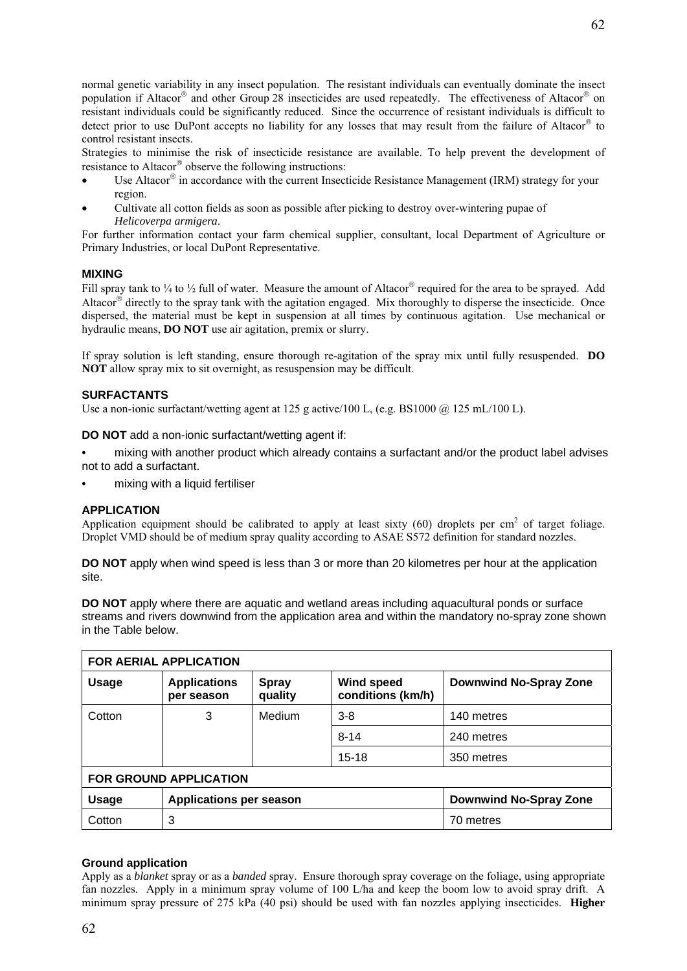normal genetic variability in any insect population. The resistant individuals can eventually dominate the insect population if Altacor® and other Group 28 insecticides are used repeatedly. The effectiveness of Altacor® on resistant individuals could be significantly reduced. Since the occurrence of resistant individuals is difficult to detect prior to use DuPont accepts no liability for any losses that may result from the failure of Altacor® to control resistant insects.

Strategies to minimise the risk of insecticide resistance are available. To help prevent the development of resistance to Altacor® observe the following instructions:

- Use Altacor® in accordance with the current Insecticide Resistance Management (IRM) strategy for your region.
- Cultivate all cotton fields as soon as possible after picking to destroy over-wintering pupae of *Helicoverpa armigera*.

For further information contact your farm chemical supplier, consultant, local Department of Agriculture or Primary Industries, or local DuPont Representative.

#### **MIXING**

Fill spray tank to  $\frac{1}{4}$  to  $\frac{1}{2}$  full of water. Measure the amount of Altacor® required for the area to be sprayed. Add Altacor® directly to the spray tank with the agitation engaged. Mix thoroughly to disperse the insecticide. Once dispersed, the material must be kept in suspension at all times by continuous agitation. Use mechanical or hydraulic means, **DO NOT** use air agitation, premix or slurry.

If spray solution is left standing, ensure thorough re-agitation of the spray mix until fully resuspended. **DO NOT** allow spray mix to sit overnight, as resuspension may be difficult.

#### **SURFACTANTS**

Use a non-ionic surfactant/wetting agent at 125 g active/100 L, (e.g. BS1000  $\omega$  125 mL/100 L).

**DO NOT** add a non-ionic surfactant/wetting agent if:

- mixing with another product which already contains a surfactant and/or the product label advises not to add a surfactant.
- mixing with a liquid fertiliser

#### **APPLICATION**

Application equipment should be calibrated to apply at least sixty  $(60)$  droplets per cm<sup>2</sup> of target foliage. Droplet VMD should be of medium spray quality according to ASAE S572 definition for standard nozzles.

**DO NOT** apply when wind speed is less than 3 or more than 20 kilometres per hour at the application site.

**DO NOT** apply where there are aquatic and wetland areas including aquacultural ponds or surface streams and rivers downwind from the application area and within the mandatory no-spray zone shown in the Table below.

| <b>FOR AERIAL APPLICATION</b> |                                   |                         |                                        |                               |  |  |
|-------------------------------|-----------------------------------|-------------------------|----------------------------------------|-------------------------------|--|--|
| <b>Usage</b>                  | <b>Applications</b><br>per season | <b>Spray</b><br>quality | <b>Wind speed</b><br>conditions (km/h) | <b>Downwind No-Spray Zone</b> |  |  |
| Cotton                        | 3                                 | Medium                  | $3 - 8$                                | 140 metres                    |  |  |
|                               |                                   |                         | $8 - 14$                               | 240 metres                    |  |  |
|                               |                                   |                         | $15 - 18$                              | 350 metres                    |  |  |
| FOR GROUND APPLICATION        |                                   |                         |                                        |                               |  |  |
| <b>Usage</b>                  | <b>Applications per season</b>    |                         |                                        | <b>Downwind No-Spray Zone</b> |  |  |
| Cotton                        | 3                                 |                         |                                        | 70 metres                     |  |  |

#### **Ground application**

Apply as a *blanket* spray or as a *banded* spray. Ensure thorough spray coverage on the foliage, using appropriate fan nozzles. Apply in a minimum spray volume of 100 L/ha and keep the boom low to avoid spray drift. A minimum spray pressure of 275 kPa (40 psi) should be used with fan nozzles applying insecticides. **Higher**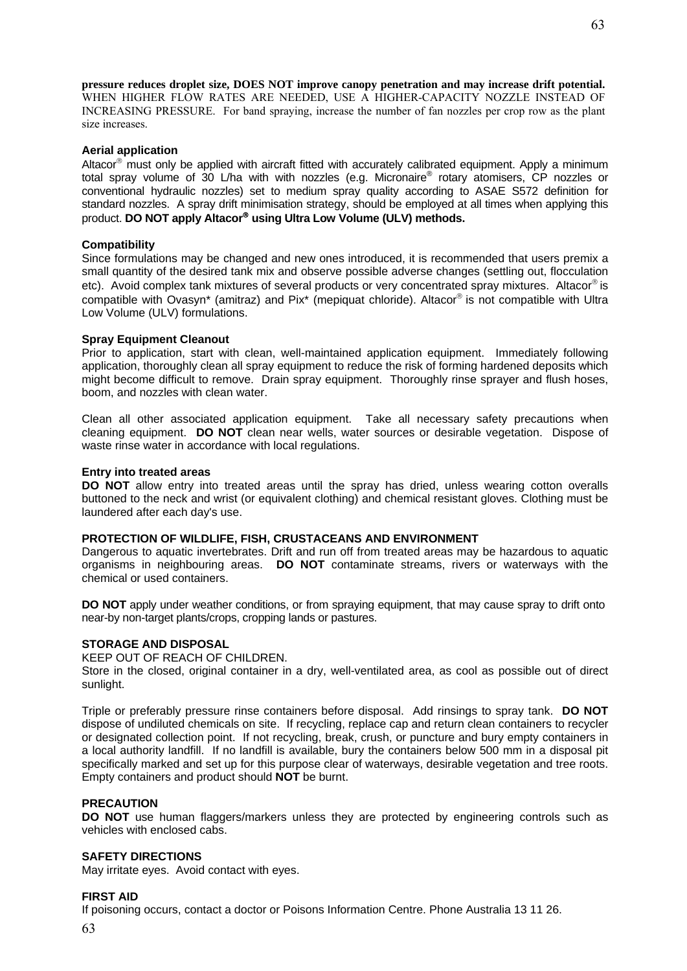**pressure reduces droplet size, DOES NOT improve canopy penetration and may increase drift potential.**  WHEN HIGHER FLOW RATES ARE NEEDED, USE A HIGHER-CAPACITY NOZZLE INSTEAD OF INCREASING PRESSURE. For band spraying, increase the number of fan nozzles per crop row as the plant size increases.

#### **Aerial application**

Altacor® must only be applied with aircraft fitted with accurately calibrated equipment. Apply a minimum total spray volume of 30 L/ha with with nozzles (e.g. Micronaire<sup>®</sup> rotary atomisers, CP nozzles or conventional hydraulic nozzles) set to medium spray quality according to ASAE S572 definition for standard nozzles. A spray drift minimisation strategy, should be employed at all times when applying this product. **DO NOT apply Altacor**® **using Ultra Low Volume (ULV) methods.** 

#### **Compatibility**

Since formulations may be changed and new ones introduced, it is recommended that users premix a small quantity of the desired tank mix and observe possible adverse changes (settling out, flocculation etc). Avoid complex tank mixtures of several products or very concentrated spray mixtures. Altacor® is compatible with Ovasyn\* (amitraz) and Pix\* (mepiquat chloride). Altacor® is not compatible with Ultra Low Volume (ULV) formulations.

#### **Spray Equipment Cleanout**

Prior to application, start with clean, well-maintained application equipment. Immediately following application, thoroughly clean all spray equipment to reduce the risk of forming hardened deposits which might become difficult to remove. Drain spray equipment. Thoroughly rinse sprayer and flush hoses, boom, and nozzles with clean water.

Clean all other associated application equipment. Take all necessary safety precautions when cleaning equipment. **DO NOT** clean near wells, water sources or desirable vegetation. Dispose of waste rinse water in accordance with local regulations.

#### **Entry into treated areas**

**DO NOT** allow entry into treated areas until the spray has dried, unless wearing cotton overalls buttoned to the neck and wrist (or equivalent clothing) and chemical resistant gloves. Clothing must be laundered after each day's use.

#### **PROTECTION OF WILDLIFE, FISH, CRUSTACEANS AND ENVIRONMENT**

Dangerous to aquatic invertebrates. Drift and run off from treated areas may be hazardous to aquatic organisms in neighbouring areas. **DO NOT** contaminate streams, rivers or waterways with the chemical or used containers.

**DO NOT** apply under weather conditions, or from spraying equipment, that may cause spray to drift onto near-by non-target plants/crops, cropping lands or pastures.

#### **STORAGE AND DISPOSAL**

KEEP OUT OF REACH OF CHILDREN.

Store in the closed, original container in a dry, well-ventilated area, as cool as possible out of direct sunlight.

Triple or preferably pressure rinse containers before disposal. Add rinsings to spray tank. **DO NOT** dispose of undiluted chemicals on site. If recycling, replace cap and return clean containers to recycler or designated collection point. If not recycling, break, crush, or puncture and bury empty containers in a local authority landfill. If no landfill is available, bury the containers below 500 mm in a disposal pit specifically marked and set up for this purpose clear of waterways, desirable vegetation and tree roots. Empty containers and product should **NOT** be burnt.

#### **PRECAUTION**

**DO NOT** use human flaggers/markers unless they are protected by engineering controls such as vehicles with enclosed cabs.

#### **SAFETY DIRECTIONS**

May irritate eyes. Avoid contact with eyes.

#### **FIRST AID**

If poisoning occurs, contact a doctor or Poisons Information Centre. Phone Australia 13 11 26.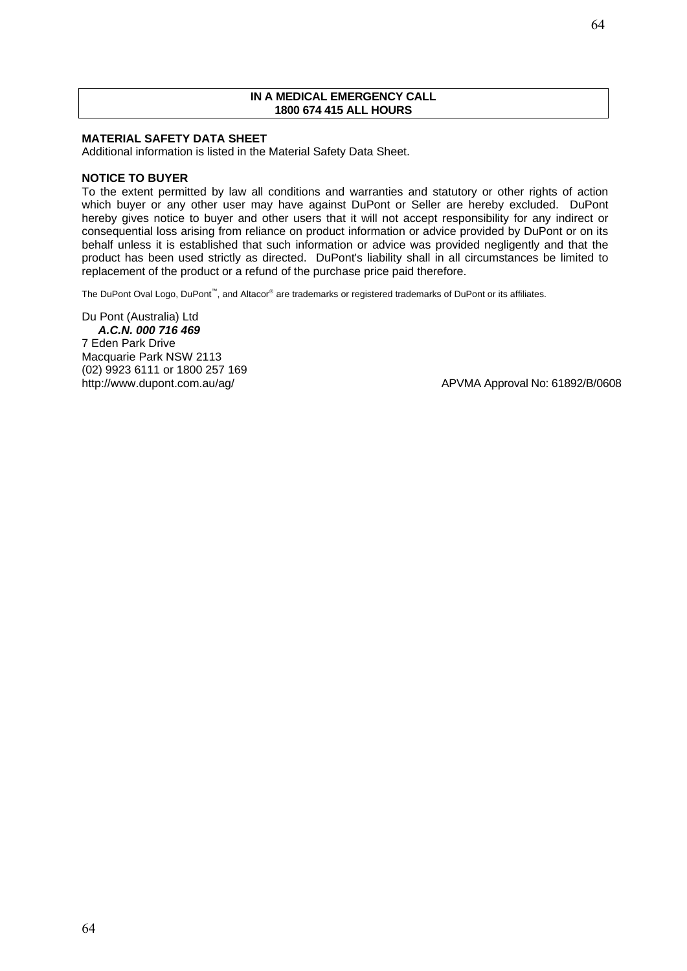#### **IN A MEDICAL EMERGENCY CALL 1800 674 415 ALL HOURS**

#### **MATERIAL SAFETY DATA SHEET**

Additional information is listed in the Material Safety Data Sheet.

#### **NOTICE TO BUYER**

To the extent permitted by law all conditions and warranties and statutory or other rights of action which buyer or any other user may have against DuPont or Seller are hereby excluded. DuPont hereby gives notice to buyer and other users that it will not accept responsibility for any indirect or consequential loss arising from reliance on product information or advice provided by DuPont or on its behalf unless it is established that such information or advice was provided negligently and that the product has been used strictly as directed. DuPont's liability shall in all circumstances be limited to replacement of the product or a refund of the purchase price paid therefore.

The DuPont Oval Logo, DuPont<sup>™</sup>, and Altacor® are trademarks or registered trademarks of DuPont or its affiliates.

Du Pont (Australia) Ltd *A.C.N. 000 716 469*  7 Eden Park Drive Macquarie Park NSW 2113 (02) 9923 6111 or 1800 257 169

http://www.dupont.com.au/ag/ and and and all and a person of APVMA Approval No: 61892/B/0608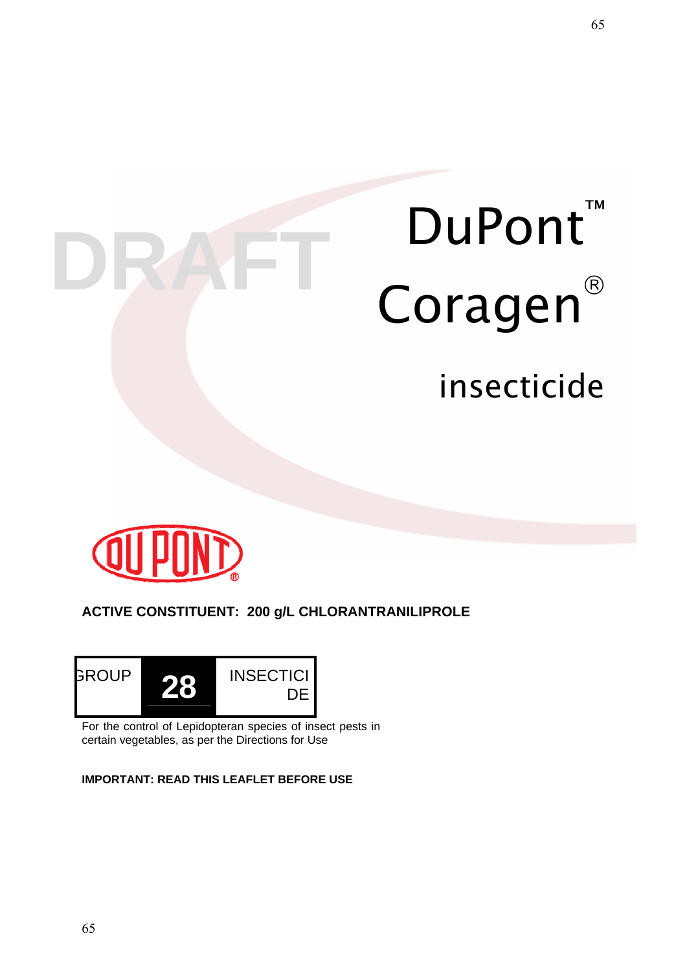# DuPont<sup>™</sup> DRAFT Coragen<sup>®</sup> insecticide



# **ACTIVE CONSTITUENT: 200 g/L CHLORANTRANILIPROLE**



For the control of Lepidopteran species of insect pests in certain vegetables, as per the Directions for Use

**IMPORTANT: READ THIS LEAFLET BEFORE USE**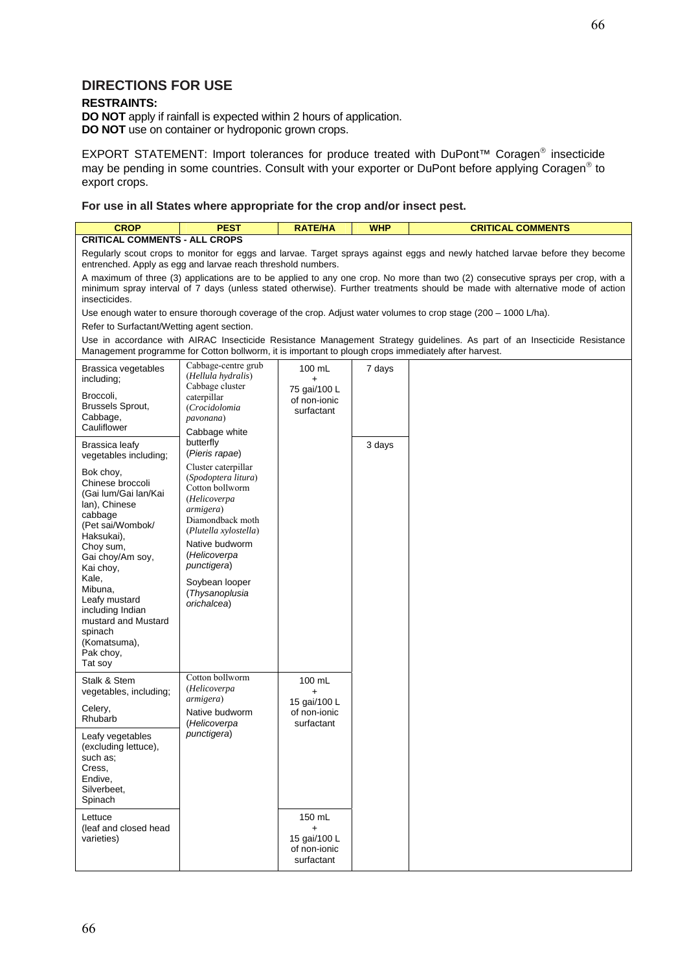#### **DIRECTIONS FOR USE**

#### **RESTRAINTS:**

**DO NOT** apply if rainfall is expected within 2 hours of application. **DO NOT** use on container or hydroponic grown crops.

EXPORT STATEMENT: Import tolerances for produce treated with DuPont™ Coragen® insecticide may be pending in some countries. Consult with your exporter or DuPont before applying Coragen® to export crops.

**For use in all States where appropriate for the crop and/or insect pest.**

| <b>CROP</b>                                                                                                                                                                                                                                                                                          | <b>PEST</b>                                                                                                                                                                                                                                 | <b>RATE/HA</b>                                                    | <b>WHP</b> | <b>CRITICAL COMMENTS</b>                                                                                                 |
|------------------------------------------------------------------------------------------------------------------------------------------------------------------------------------------------------------------------------------------------------------------------------------------------------|---------------------------------------------------------------------------------------------------------------------------------------------------------------------------------------------------------------------------------------------|-------------------------------------------------------------------|------------|--------------------------------------------------------------------------------------------------------------------------|
| <b>CRITICAL COMMENTS - ALL CROPS</b>                                                                                                                                                                                                                                                                 |                                                                                                                                                                                                                                             |                                                                   |            |                                                                                                                          |
| Regularly scout crops to monitor for eggs and larvae. Target sprays against eggs and newly hatched larvae before they become<br>entrenched. Apply as egg and larvae reach threshold numbers.                                                                                                         |                                                                                                                                                                                                                                             |                                                                   |            |                                                                                                                          |
| A maximum of three (3) applications are to be applied to any one crop. No more than two (2) consecutive sprays per crop, with a<br>minimum spray interval of 7 days (unless stated otherwise). Further treatments should be made with alternative mode of action<br>insecticides.                    |                                                                                                                                                                                                                                             |                                                                   |            |                                                                                                                          |
|                                                                                                                                                                                                                                                                                                      |                                                                                                                                                                                                                                             |                                                                   |            | Use enough water to ensure thorough coverage of the crop. Adjust water volumes to crop stage (200 – 1000 L/ha).          |
| Refer to Surfactant/Wetting agent section.                                                                                                                                                                                                                                                           |                                                                                                                                                                                                                                             |                                                                   |            |                                                                                                                          |
| Management programme for Cotton bollworm, it is important to plough crops immediately after harvest.                                                                                                                                                                                                 |                                                                                                                                                                                                                                             |                                                                   |            | Use in accordance with AIRAC Insecticide Resistance Management Strategy guidelines. As part of an Insecticide Resistance |
| Brassica vegetables<br>including;                                                                                                                                                                                                                                                                    | Cabbage-centre grub<br>(Hellula hydralis)<br>Cabbage cluster                                                                                                                                                                                | 100 mL<br>$\ddot{}$                                               | 7 days     |                                                                                                                          |
| Broccoli,<br>Brussels Sprout,<br>Cabbage,<br>Cauliflower                                                                                                                                                                                                                                             | caterpillar<br>(Crocidolomia<br>pavonana)<br>Cabbage white                                                                                                                                                                                  | 75 gai/100 L<br>of non-ionic<br>surfactant                        |            |                                                                                                                          |
| Brassica leafy<br>vegetables including;                                                                                                                                                                                                                                                              | butterfly<br>(Pieris rapae)                                                                                                                                                                                                                 |                                                                   | 3 days     |                                                                                                                          |
| Bok choy,<br>Chinese broccoli<br>(Gai lum/Gai lan/Kai<br>lan), Chinese<br>cabbage<br>(Pet sai/Wombok/<br>Haksukai).<br>Choy sum,<br>Gai choy/Am soy,<br>Kai choy,<br>Kale,<br>Mibuna,<br>Leafy mustard<br>including Indian<br>mustard and Mustard<br>spinach<br>(Komatsuma),<br>Pak choy,<br>Tat soy | Cluster caterpillar<br>(Spodoptera litura)<br>Cotton bollworm<br>(Helicoverpa<br>armigera)<br>Diamondback moth<br>(Plutella xylostella)<br>Native budworm<br>(Helicoverpa<br>punctigera)<br>Soybean looper<br>(Thysanoplusia<br>orichalcea) |                                                                   |            |                                                                                                                          |
| Stalk & Stem<br>vegetables, including;<br>Celery,<br>Rhubarb                                                                                                                                                                                                                                         | Cotton bollworm<br>(Helicoverpa<br><i>armigera</i> )<br>Native budworm                                                                                                                                                                      | 100 mL<br>$\ddot{}$<br>15 gai/100 L<br>of non-ionic               |            |                                                                                                                          |
| Leafy vegetables<br>(excluding lettuce),<br>such as:<br>Cress,<br>Endive,<br>Silverbeet,<br>Spinach                                                                                                                                                                                                  | (Helicoverpa<br>punctigera)                                                                                                                                                                                                                 | surfactant                                                        |            |                                                                                                                          |
| Lettuce<br>(leaf and closed head)<br>varieties)                                                                                                                                                                                                                                                      |                                                                                                                                                                                                                                             | 150 mL<br>$\ddot{}$<br>15 gai/100 L<br>of non-ionic<br>surfactant |            |                                                                                                                          |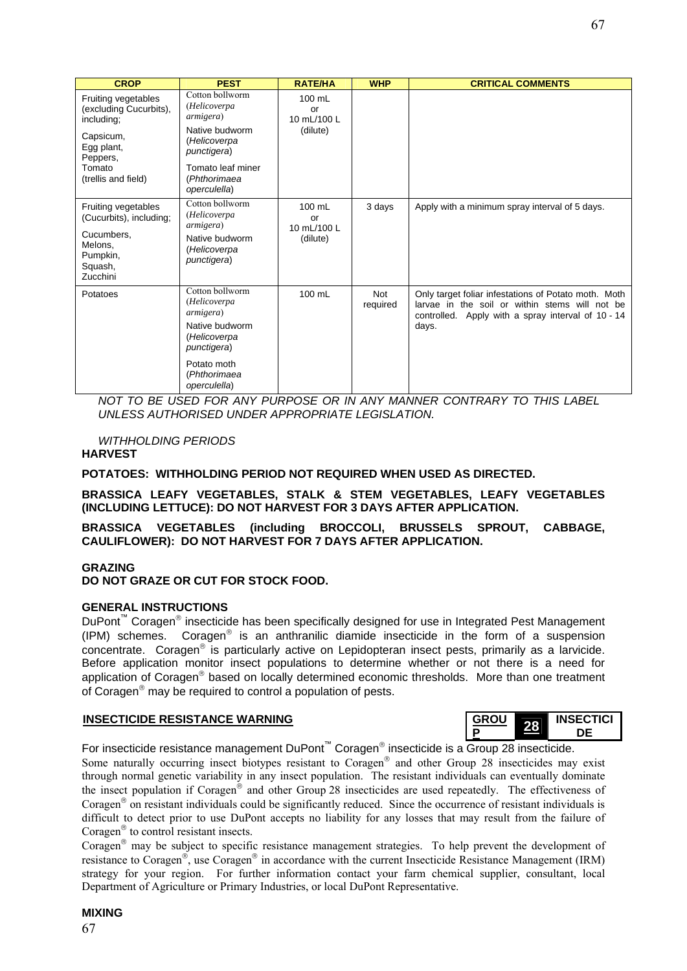| <b>CROP</b>                                                  | <b>PEST</b>                                       | <b>RATE/HA</b>              | <b>WHP</b>             | <b>CRITICAL COMMENTS</b>                                                                                                                                              |
|--------------------------------------------------------------|---------------------------------------------------|-----------------------------|------------------------|-----------------------------------------------------------------------------------------------------------------------------------------------------------------------|
| Fruiting vegetables<br>(excluding Cucurbits),<br>including;  | Cotton bollworm<br>(Helicoverpa<br>armigera)      | 100 mL<br>or<br>10 mL/100 L |                        |                                                                                                                                                                       |
| Capsicum,<br>Egg plant,<br>Peppers,                          | Native budworm<br>(Helicoverpa<br>punctigera)     | (dilute)                    |                        |                                                                                                                                                                       |
| Tomato<br>(trellis and field)                                | Tomato leaf miner<br>(Phthorimaea<br>operculella) |                             |                        |                                                                                                                                                                       |
| Fruiting vegetables<br>(Cucurbits), including;<br>Cucumbers, | Cotton bollworm<br>(Helicoverpa<br>armigera)      | 100 mL<br>or<br>10 mL/100 L | 3 days                 | Apply with a minimum spray interval of 5 days.                                                                                                                        |
| Melons,<br>Pumpkin,<br>Squash,<br>Zucchini                   | Native budworm<br>(Helicoverpa<br>punctigera)     | (dilute)                    |                        |                                                                                                                                                                       |
| Potatoes                                                     | Cotton bollworm<br>(Helicoverpa<br>armigera)      | 100 mL                      | <b>Not</b><br>required | Only target foliar infestations of Potato moth. Moth<br>larvae in the soil or within stems will not be<br>controlled. Apply with a spray interval of 10 - 14<br>days. |
|                                                              | Native budworm<br>(Helicoverpa<br>punctigera)     |                             |                        |                                                                                                                                                                       |
|                                                              | Potato moth<br>(Phthorimaea<br>operculella)       |                             |                        |                                                                                                                                                                       |

*NOT TO BE USED FOR ANY PURPOSE OR IN ANY MANNER CONTRARY TO THIS LABEL UNLESS AUTHORISED UNDER APPROPRIATE LEGISLATION.* 

### *WITHHOLDING PERIODS*

#### **HARVEST**

**POTATOES: WITHHOLDING PERIOD NOT REQUIRED WHEN USED AS DIRECTED.** 

#### **BRASSICA LEAFY VEGETABLES, STALK & STEM VEGETABLES, LEAFY VEGETABLES (INCLUDING LETTUCE): DO NOT HARVEST FOR 3 DAYS AFTER APPLICATION.**

**BRASSICA VEGETABLES (including BROCCOLI, BRUSSELS SPROUT, CABBAGE, CAULIFLOWER): DO NOT HARVEST FOR 7 DAYS AFTER APPLICATION.** 

#### **GRAZING**

**DO NOT GRAZE OR CUT FOR STOCK FOOD.** 

#### **GENERAL INSTRUCTIONS**

DuPont<sup>™</sup> Coragen<sup>®</sup> insecticide has been specifically designed for use in Integrated Pest Management (IPM) schemes. Coragen® is an anthranilic diamide insecticide in the form of a suspension concentrate. Coragen® is particularly active on Lepidopteran insect pests, primarily as a larvicide. Before application monitor insect populations to determine whether or not there is a need for application of Coragen<sup>®</sup> based on locally determined economic thresholds. More than one treatment of Coragen® may be required to control a population of pests.

# **INSECTICIDE RESISTANCE WARNING**

**<sup>P</sup> <sup>28</sup> INSECTICI DE** 

For insecticide resistance management DuPont™ Coragen® insecticide is a Group 28 insecticide.

Some naturally occurring insect biotypes resistant to Coragen® and other Group 28 insecticides may exist through normal genetic variability in any insect population. The resistant individuals can eventually dominate the insect population if Coragen® and other Group 28 insecticides are used repeatedly. The effectiveness of Coragen® on resistant individuals could be significantly reduced. Since the occurrence of resistant individuals is difficult to detect prior to use DuPont accepts no liability for any losses that may result from the failure of Coragen® to control resistant insects.

Coragen® may be subject to specific resistance management strategies. To help prevent the development of resistance to Coragen®, use Coragen® in accordance with the current Insecticide Resistance Management (IRM) strategy for your region. For further information contact your farm chemical supplier, consultant, local Department of Agriculture or Primary Industries, or local DuPont Representative.

### **MIXING**

67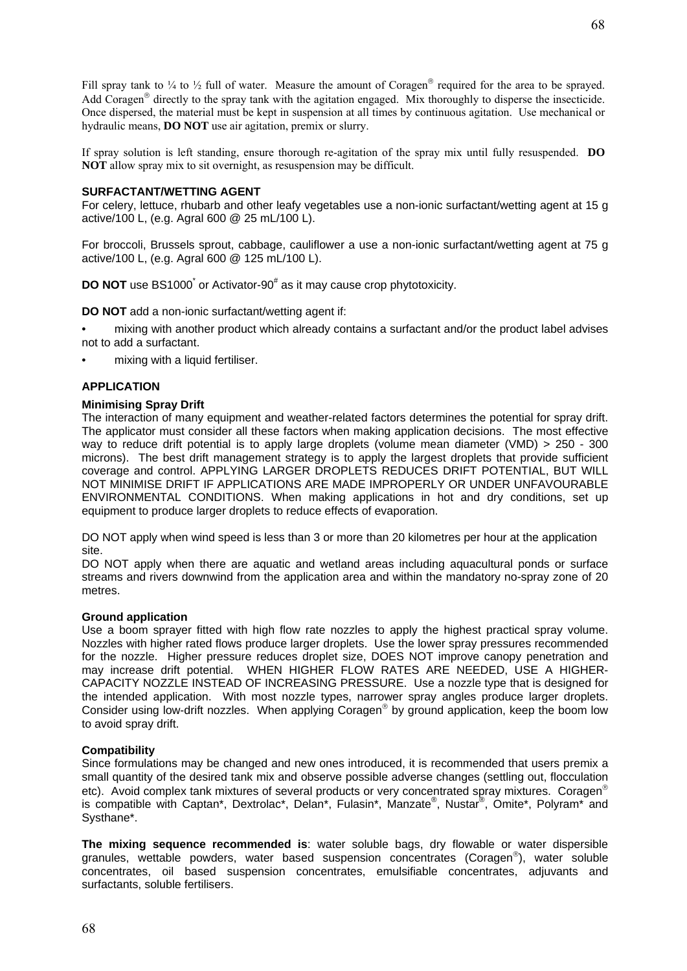Fill spray tank to  $\frac{1}{4}$  to  $\frac{1}{2}$  full of water. Measure the amount of Coragen<sup>®</sup> required for the area to be sprayed. Add Coragen® directly to the spray tank with the agitation engaged. Mix thoroughly to disperse the insecticide. Once dispersed, the material must be kept in suspension at all times by continuous agitation. Use mechanical or hydraulic means, **DO NOT** use air agitation, premix or slurry.

If spray solution is left standing, ensure thorough re-agitation of the spray mix until fully resuspended. **DO NOT** allow spray mix to sit overnight, as resuspension may be difficult.

#### **SURFACTANT/WETTING AGENT**

For celery, lettuce, rhubarb and other leafy vegetables use a non-ionic surfactant/wetting agent at 15 g active/100 L, (e.g. Agral 600 @ 25 mL/100 L).

For broccoli, Brussels sprout, cabbage, cauliflower a use a non-ionic surfactant/wetting agent at 75 g active/100 L, (e.g. Agral 600 @ 125 mL/100 L).

**DO NOT** use BS1000<sup>\*</sup> or Activator-90<sup>#</sup> as it may cause crop phytotoxicity.

**DO NOT** add a non-ionic surfactant/wetting agent if:

- mixing with another product which already contains a surfactant and/or the product label advises not to add a surfactant.
- mixing with a liquid fertiliser.

#### **APPLICATION**

#### **Minimising Spray Drift**

The interaction of many equipment and weather-related factors determines the potential for spray drift. The applicator must consider all these factors when making application decisions. The most effective way to reduce drift potential is to apply large droplets (volume mean diameter (VMD) > 250 - 300 microns). The best drift management strategy is to apply the largest droplets that provide sufficient coverage and control. APPLYING LARGER DROPLETS REDUCES DRIFT POTENTIAL, BUT WILL NOT MINIMISE DRIFT IF APPLICATIONS ARE MADE IMPROPERLY OR UNDER UNFAVOURABLE ENVIRONMENTAL CONDITIONS. When making applications in hot and dry conditions, set up equipment to produce larger droplets to reduce effects of evaporation.

DO NOT apply when wind speed is less than 3 or more than 20 kilometres per hour at the application site.

DO NOT apply when there are aquatic and wetland areas including aquacultural ponds or surface streams and rivers downwind from the application area and within the mandatory no-spray zone of 20 metres.

#### **Ground application**

Use a boom sprayer fitted with high flow rate nozzles to apply the highest practical spray volume. Nozzles with higher rated flows produce larger droplets. Use the lower spray pressures recommended for the nozzle. Higher pressure reduces droplet size, DOES NOT improve canopy penetration and may increase drift potential. WHEN HIGHER FLOW RATES ARE NEEDED, USE A HIGHER-CAPACITY NOZZLE INSTEAD OF INCREASING PRESSURE. Use a nozzle type that is designed for the intended application. With most nozzle types, narrower spray angles produce larger droplets. Consider using low-drift nozzles. When applying Coragen® by ground application, keep the boom low to avoid spray drift.

#### **Compatibility**

Since formulations may be changed and new ones introduced, it is recommended that users premix a small quantity of the desired tank mix and observe possible adverse changes (settling out, flocculation etc). Avoid complex tank mixtures of several products or very concentrated spray mixtures. Coragen<sup>®</sup> is compatible with Captan\*, Dextrolac\*, Delan\*, Fulasin\*, Manzate®, Nustar®, Omite\*, Polyram\* and Systhane\*.

**The mixing sequence recommended is**: water soluble bags, dry flowable or water dispersible granules, wettable powders, water based suspension concentrates (Coragen®), water soluble concentrates, oil based suspension concentrates, emulsifiable concentrates, adjuvants and surfactants, soluble fertilisers.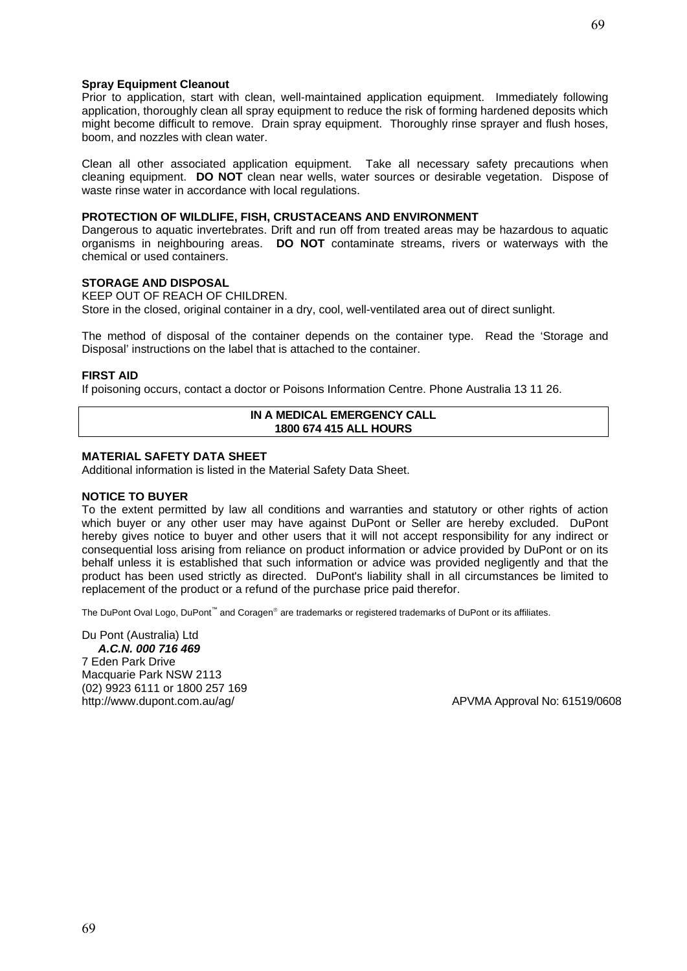#### **Spray Equipment Cleanout**

Prior to application, start with clean, well-maintained application equipment. Immediately following application, thoroughly clean all spray equipment to reduce the risk of forming hardened deposits which might become difficult to remove. Drain spray equipment. Thoroughly rinse sprayer and flush hoses, boom, and nozzles with clean water.

Clean all other associated application equipment. Take all necessary safety precautions when cleaning equipment. **DO NOT** clean near wells, water sources or desirable vegetation. Dispose of waste rinse water in accordance with local regulations.

#### **PROTECTION OF WILDLIFE, FISH, CRUSTACEANS AND ENVIRONMENT**

Dangerous to aquatic invertebrates. Drift and run off from treated areas may be hazardous to aquatic organisms in neighbouring areas. **DO NOT** contaminate streams, rivers or waterways with the chemical or used containers.

#### **STORAGE AND DISPOSAL**

KEEP OUT OF REACH OF CHILDREN. Store in the closed, original container in a dry, cool, well-ventilated area out of direct sunlight.

The method of disposal of the container depends on the container type. Read the 'Storage and Disposal' instructions on the label that is attached to the container.

#### **FIRST AID**

If poisoning occurs, contact a doctor or Poisons Information Centre. Phone Australia 13 11 26.

#### **IN A MEDICAL EMERGENCY CALL 1800 674 415 ALL HOURS**

#### **MATERIAL SAFETY DATA SHEET**

Additional information is listed in the Material Safety Data Sheet.

#### **NOTICE TO BUYER**

To the extent permitted by law all conditions and warranties and statutory or other rights of action which buyer or any other user may have against DuPont or Seller are hereby excluded. DuPont hereby gives notice to buyer and other users that it will not accept responsibility for any indirect or consequential loss arising from reliance on product information or advice provided by DuPont or on its behalf unless it is established that such information or advice was provided negligently and that the product has been used strictly as directed. DuPont's liability shall in all circumstances be limited to replacement of the product or a refund of the purchase price paid therefor.

The DuPont Oval Logo, DuPont<sup>™</sup> and Coragen® are trademarks or registered trademarks of DuPont or its affiliates.

Du Pont (Australia) Ltd *A.C.N. 000 716 469*  7 Eden Park Drive Macquarie Park NSW 2113 (02) 9923 6111 or 1800 257 169 http://www.dupont.com.au/ag/ APVMA Approval No: 61519/0608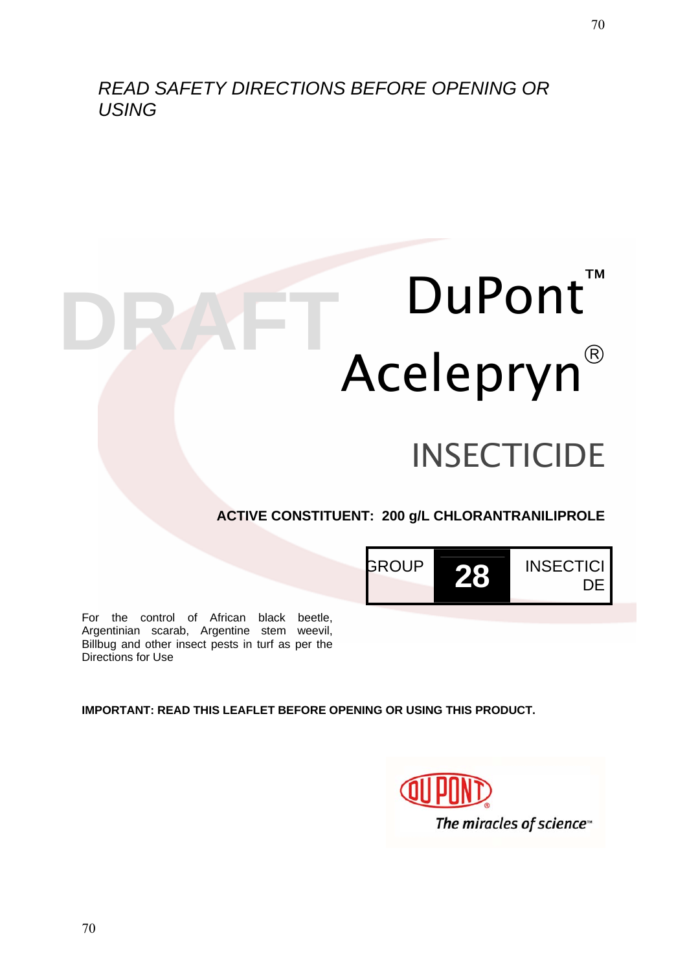# *READ SAFETY DIRECTIONS BEFORE OPENING OR USING*

# DuPont<sup>™</sup> Acelepryn **DRAFT** DuPont

# **INSECTICIDE**

# **ACTIVE CONSTITUENT: 200 g/L CHLORANTRANILIPROLE**



For the control of African black beetle, Argentinian scarab, Argentine stem weevil, Billbug and other insect pests in turf as per the Directions for Use

**IMPORTANT: READ THIS LEAFLET BEFORE OPENING OR USING THIS PRODUCT.** 

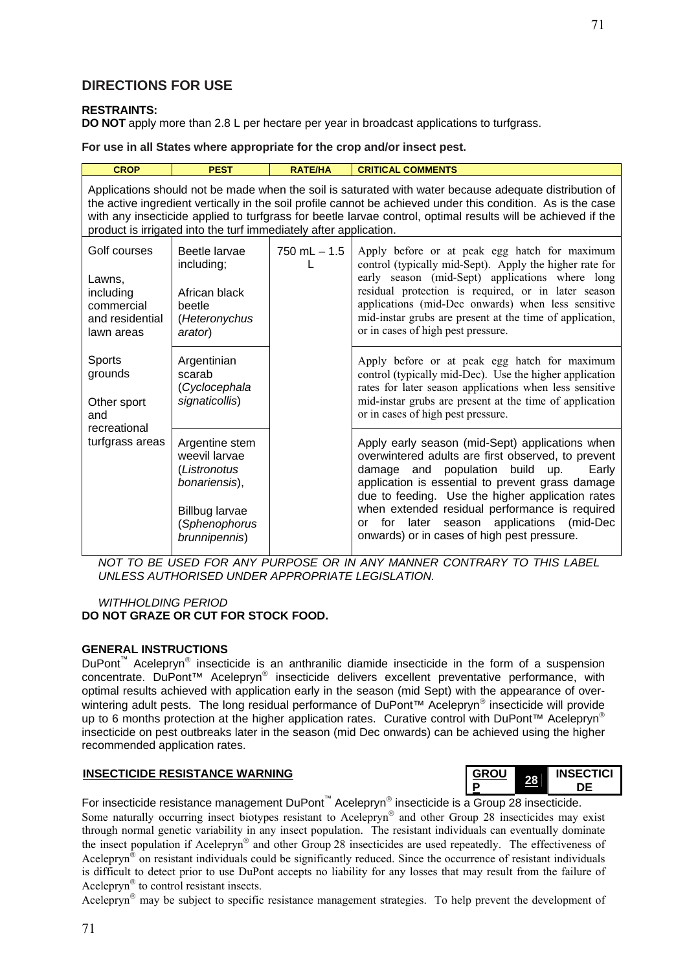#### **RESTRAINTS:**

**DO NOT** apply more than 2.8 L per hectare per year in broadcast applications to turfgrass.

**For use in all States where appropriate for the crop and/or insect pest.** 

| <b>CROP</b>                                                                                                                                                                                                                                                                                                                                                                                                 | <b>PEST</b>                                                                        | <b>RATE/HA</b>                                                                                                                                                                                                                                                       | <b>CRITICAL COMMENTS</b>                                                                                                                                                                                                                                                                                                                                                                                   |  |
|-------------------------------------------------------------------------------------------------------------------------------------------------------------------------------------------------------------------------------------------------------------------------------------------------------------------------------------------------------------------------------------------------------------|------------------------------------------------------------------------------------|----------------------------------------------------------------------------------------------------------------------------------------------------------------------------------------------------------------------------------------------------------------------|------------------------------------------------------------------------------------------------------------------------------------------------------------------------------------------------------------------------------------------------------------------------------------------------------------------------------------------------------------------------------------------------------------|--|
| Applications should not be made when the soil is saturated with water because adequate distribution of<br>the active ingredient vertically in the soil profile cannot be achieved under this condition. As is the case<br>with any insecticide applied to turfgrass for beetle larvae control, optimal results will be achieved if the<br>product is irrigated into the turf immediately after application. |                                                                                    |                                                                                                                                                                                                                                                                      |                                                                                                                                                                                                                                                                                                                                                                                                            |  |
| Golf courses<br>Lawns,<br>including<br>commercial<br>and residential<br>lawn areas                                                                                                                                                                                                                                                                                                                          | Beetle larvae<br>including;<br>African black<br>beetle<br>(Heteronychus<br>arator) | $750$ mL $- 1.5$                                                                                                                                                                                                                                                     | Apply before or at peak egg hatch for maximum<br>control (typically mid-Sept). Apply the higher rate for<br>early season (mid-Sept) applications where long<br>residual protection is required, or in later season<br>applications (mid-Dec onwards) when less sensitive<br>mid-instar grubs are present at the time of application,<br>or in cases of high pest pressure.                                 |  |
| <b>Sports</b><br>Argentinian<br>grounds<br>scarab<br>(Cyclocephala<br>signaticollis)<br>Other sport<br>and<br>recreational<br>turfgrass areas<br>Argentine stem<br>weevil larvae<br>(Listronotus<br>bonariensis),<br><b>Billbug larvae</b><br>(Sphenophorus<br>brunnipennis)                                                                                                                                |                                                                                    | Apply before or at peak egg hatch for maximum<br>control (typically mid-Dec). Use the higher application<br>rates for later season applications when less sensitive<br>mid-instar grubs are present at the time of application<br>or in cases of high pest pressure. |                                                                                                                                                                                                                                                                                                                                                                                                            |  |
|                                                                                                                                                                                                                                                                                                                                                                                                             |                                                                                    |                                                                                                                                                                                                                                                                      | Apply early season (mid-Sept) applications when<br>overwintered adults are first observed, to prevent<br>damage and population build up.<br>Early<br>application is essential to prevent grass damage<br>due to feeding. Use the higher application rates<br>when extended residual performance is required<br>for later season applications (mid-Dec<br>0r<br>onwards) or in cases of high pest pressure. |  |

*NOT TO BE USED FOR ANY PURPOSE OR IN ANY MANNER CONTRARY TO THIS LABEL UNLESS AUTHORISED UNDER APPROPRIATE LEGISLATION.* 

#### *WITHHOLDING PERIOD*  **DO NOT GRAZE OR CUT FOR STOCK FOOD.**

#### **GENERAL INSTRUCTIONS**

DuPont™ Acelepryn® insecticide is an anthranilic diamide insecticide in the form of a suspension concentrate. DuPont™ Acelepryn® insecticide delivers excellent preventative performance, with optimal results achieved with application early in the season (mid Sept) with the appearance of overwintering adult pests. The long residual performance of DuPont™ Acelepryn<sup>®</sup> insecticide will provide up to 6 months protection at the higher application rates. Curative control with DuPont™ Acelepryn<sup>®</sup> insecticide on pest outbreaks later in the season (mid Dec onwards) can be achieved using the higher recommended application rates.

#### **INSECTICIDE RESISTANCE WARNING**

| <b>GROU</b> | <b>INSECTICI</b> |  |
|-------------|------------------|--|
| Р           |                  |  |

For insecticide resistance management DuPont™ Acelepryn® insecticide is a Group 28 insecticide. Some naturally occurring insect biotypes resistant to Acelepryn<sup>®</sup> and other Group 28 insecticides may exist through normal genetic variability in any insect population. The resistant individuals can eventually dominate the insect population if Acelepryn® and other Group 28 insecticides are used repeatedly. The effectiveness of Acelepryn<sup>®</sup> on resistant individuals could be significantly reduced. Since the occurrence of resistant individuals is difficult to detect prior to use DuPont accepts no liability for any losses that may result from the failure of Acelepryn® to control resistant insects.

Acelepryn® may be subject to specific resistance management strategies. To help prevent the development of

71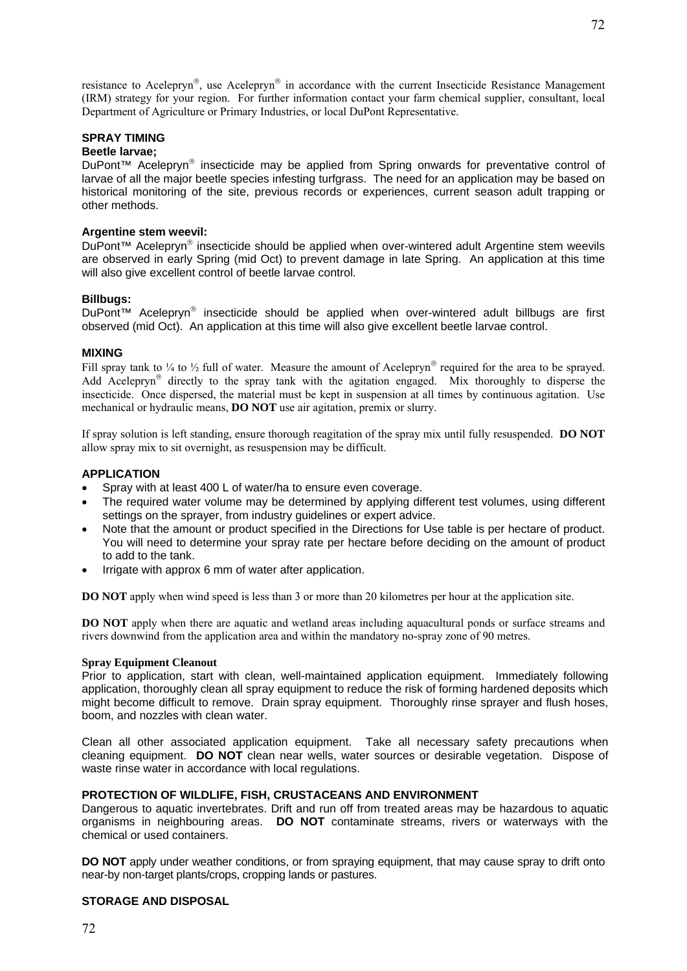resistance to Acelepryn®, use Acelepryn® in accordance with the current Insecticide Resistance Management (IRM) strategy for your region. For further information contact your farm chemical supplier, consultant, local Department of Agriculture or Primary Industries, or local DuPont Representative.

#### **SPRAY TIMING**

#### **Beetle larvae;**

DuPont<sup>™</sup> Acelepryn<sup>®</sup> insecticide may be applied from Spring onwards for preventative control of larvae of all the major beetle species infesting turfgrass. The need for an application may be based on historical monitoring of the site, previous records or experiences, current season adult trapping or other methods.

#### **Argentine stem weevil:**

DuPont<sup>™</sup> Acelepryn<sup>®</sup> insecticide should be applied when over-wintered adult Argentine stem weevils are observed in early Spring (mid Oct) to prevent damage in late Spring. An application at this time will also give excellent control of beetle larvae control.

#### **Billbugs:**

DuPont™ Acelepryn® insecticide should be applied when over-wintered adult billbugs are first observed (mid Oct). An application at this time will also give excellent beetle larvae control.

#### **MIXING**

Fill spray tank to  $\frac{1}{4}$  to  $\frac{1}{2}$  full of water. Measure the amount of Acelepryn<sup>®</sup> required for the area to be sprayed. Add Acelepryn® directly to the spray tank with the agitation engaged. Mix thoroughly to disperse the insecticide. Once dispersed, the material must be kept in suspension at all times by continuous agitation. Use mechanical or hydraulic means, **DO NOT** use air agitation, premix or slurry.

If spray solution is left standing, ensure thorough reagitation of the spray mix until fully resuspended. **DO NOT** allow spray mix to sit overnight, as resuspension may be difficult.

#### **APPLICATION**

- Spray with at least 400 L of water/ha to ensure even coverage.
- The required water volume may be determined by applying different test volumes, using different settings on the sprayer, from industry guidelines or expert advice.
- Note that the amount or product specified in the Directions for Use table is per hectare of product. You will need to determine your spray rate per hectare before deciding on the amount of product to add to the tank.
- Irrigate with approx 6 mm of water after application.

**DO NOT** apply when wind speed is less than 3 or more than 20 kilometres per hour at the application site.

**DO NOT** apply when there are aquatic and wetland areas including aquacultural ponds or surface streams and rivers downwind from the application area and within the mandatory no-spray zone of 90 metres.

#### **Spray Equipment Cleanout**

Prior to application, start with clean, well-maintained application equipment. Immediately following application, thoroughly clean all spray equipment to reduce the risk of forming hardened deposits which might become difficult to remove. Drain spray equipment. Thoroughly rinse sprayer and flush hoses, boom, and nozzles with clean water.

Clean all other associated application equipment. Take all necessary safety precautions when cleaning equipment. **DO NOT** clean near wells, water sources or desirable vegetation. Dispose of waste rinse water in accordance with local regulations.

#### **PROTECTION OF WILDLIFE, FISH, CRUSTACEANS AND ENVIRONMENT**

Dangerous to aquatic invertebrates. Drift and run off from treated areas may be hazardous to aquatic organisms in neighbouring areas. **DO NOT** contaminate streams, rivers or waterways with the chemical or used containers.

**DO NOT** apply under weather conditions, or from spraying equipment, that may cause spray to drift onto near-by non-target plants/crops, cropping lands or pastures.

#### **STORAGE AND DISPOSAL**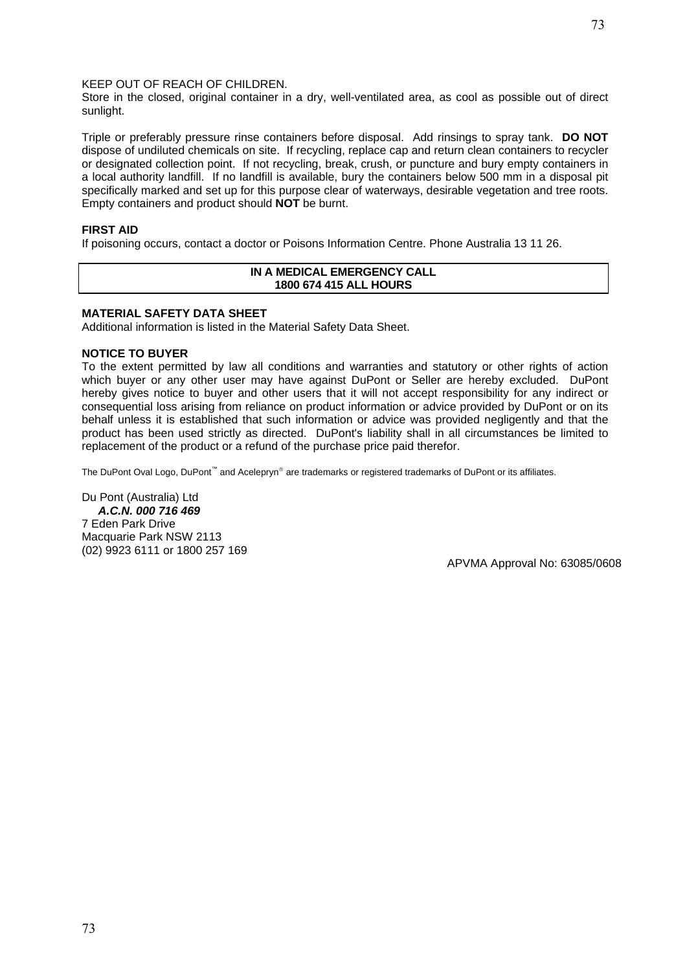73

#### KEEP OUT OF REACH OF CHILDREN.

Store in the closed, original container in a dry, well-ventilated area, as cool as possible out of direct sunlight.

Triple or preferably pressure rinse containers before disposal. Add rinsings to spray tank. **DO NOT** dispose of undiluted chemicals on site. If recycling, replace cap and return clean containers to recycler or designated collection point. If not recycling, break, crush, or puncture and bury empty containers in a local authority landfill. If no landfill is available, bury the containers below 500 mm in a disposal pit specifically marked and set up for this purpose clear of waterways, desirable vegetation and tree roots. Empty containers and product should **NOT** be burnt.

#### **FIRST AID**

If poisoning occurs, contact a doctor or Poisons Information Centre. Phone Australia 13 11 26.

#### **IN A MEDICAL EMERGENCY CALL 1800 674 415 ALL HOURS**

#### **MATERIAL SAFETY DATA SHEET**

Additional information is listed in the Material Safety Data Sheet.

#### **NOTICE TO BUYER**

To the extent permitted by law all conditions and warranties and statutory or other rights of action which buyer or any other user may have against DuPont or Seller are hereby excluded. DuPont hereby gives notice to buyer and other users that it will not accept responsibility for any indirect or consequential loss arising from reliance on product information or advice provided by DuPont or on its behalf unless it is established that such information or advice was provided negligently and that the product has been used strictly as directed. DuPont's liability shall in all circumstances be limited to replacement of the product or a refund of the purchase price paid therefor.

The DuPont Oval Logo, DuPont™ and Acelepryn® are trademarks or registered trademarks of DuPont or its affiliates.

Du Pont (Australia) Ltd *A.C.N. 000 716 469*  7 Eden Park Drive Macquarie Park NSW 2113 (02) 9923 6111 or 1800 257 169

APVMA Approval No: 63085/0608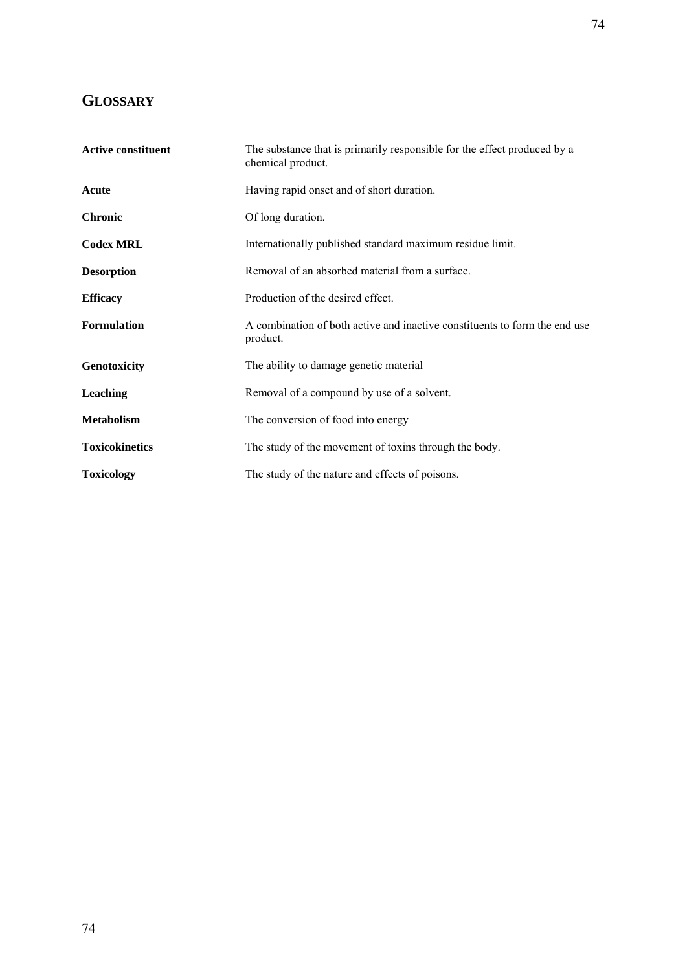# **GLOSSARY**

| <b>Active constituent</b> | The substance that is primarily responsible for the effect produced by a<br>chemical product. |  |  |
|---------------------------|-----------------------------------------------------------------------------------------------|--|--|
| Acute                     | Having rapid onset and of short duration.                                                     |  |  |
| <b>Chronic</b>            | Of long duration.                                                                             |  |  |
| <b>Codex MRL</b>          | Internationally published standard maximum residue limit.                                     |  |  |
| <b>Desorption</b>         | Removal of an absorbed material from a surface.                                               |  |  |
| <b>Efficacy</b>           | Production of the desired effect.                                                             |  |  |
| <b>Formulation</b>        | A combination of both active and inactive constituents to form the end use<br>product.        |  |  |
| Genotoxicity              | The ability to damage genetic material                                                        |  |  |
| Leaching                  | Removal of a compound by use of a solvent.                                                    |  |  |
| <b>Metabolism</b>         | The conversion of food into energy                                                            |  |  |
| <b>Toxicokinetics</b>     | The study of the movement of toxins through the body.                                         |  |  |
| <b>Toxicology</b>         | The study of the nature and effects of poisons.                                               |  |  |